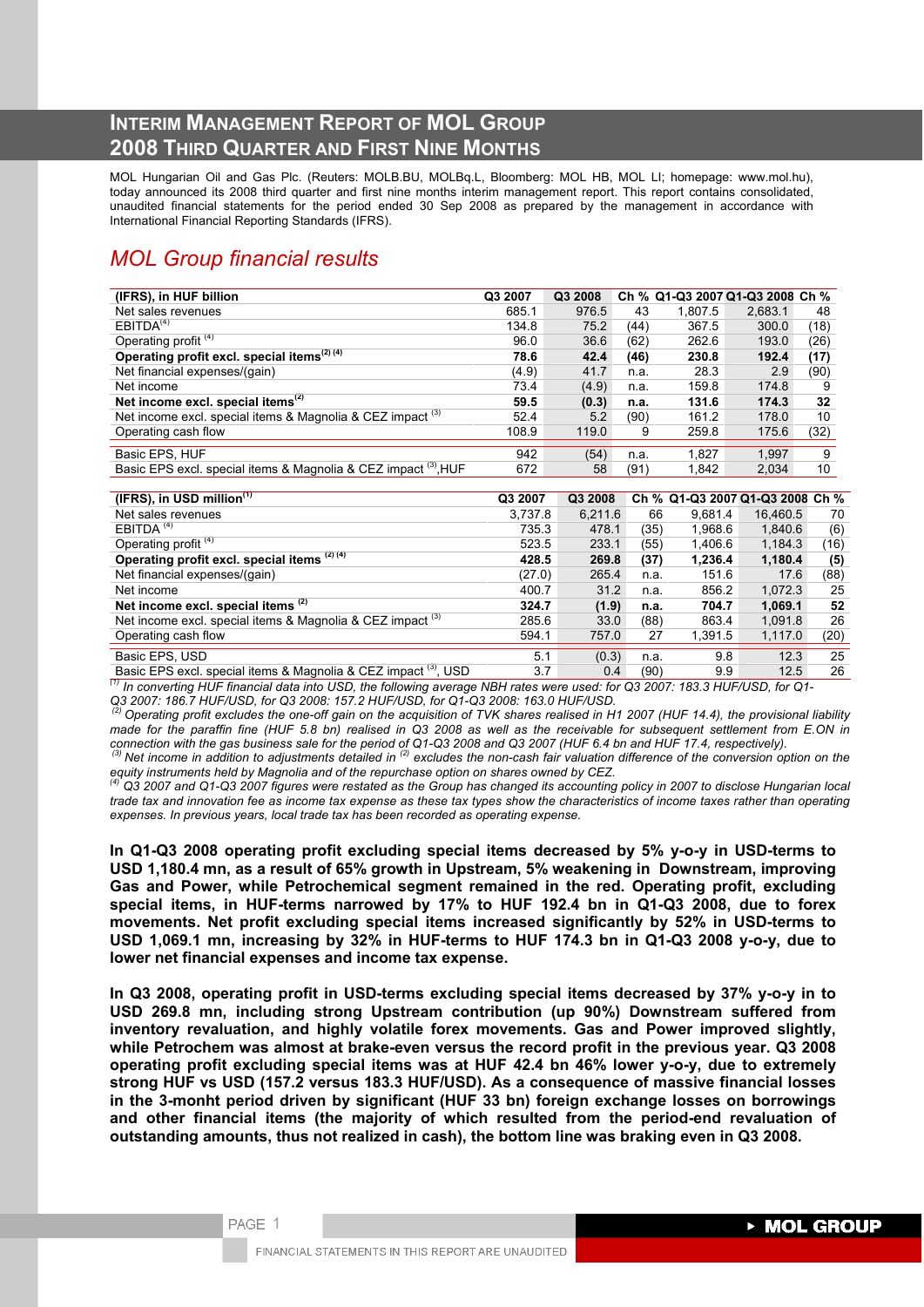# **INTERIM MANAGEMENT REPORT OF MOL GROUP 2008 THIRD QUARTER AND FIRST NINE MONTHS**

MOL Hungarian Oil and Gas Plc. (Reuters: MOLB.BU, MOLBq.L, Bloomberg: MOL HB, MOL LI; homepage: www.mol.hu), today announced its 2008 third quarter and first nine months interim management report. This report contains consolidated, unaudited financial statements for the period ended 30 Sep 2008 as prepared by the management in accordance with International Financial Reporting Standards (IFRS).

# *MOL Group financial results*

| (IFRS), in HUF billion                                                | Q3 2007 | Q3 2008 |      |         | Ch % Q1-Q3 2007 Q1-Q3 2008 Ch % |      |
|-----------------------------------------------------------------------|---------|---------|------|---------|---------------------------------|------|
| Net sales revenues                                                    | 685.1   | 976.5   | 43   | 1.807.5 | 2,683.1                         | 48   |
| EBITDA <sup>(4)</sup>                                                 | 134.8   | 75.2    | (44) | 367.5   | 300.0                           | (18) |
| Operating profit <sup>(4)</sup>                                       | 96.0    | 36.6    | (62) | 262.6   | 193.0                           | (26) |
| Operating profit excl. special items <sup>(2)(4)</sup>                | 78.6    | 42.4    | (46) | 230.8   | 192.4                           | (17) |
| Net financial expenses/(gain)                                         | (4.9)   | 41.7    | n.a. | 28.3    | 2.9                             | (90) |
| Net income                                                            | 73.4    | (4.9)   | n.a. | 159.8   | 174.8                           | 9    |
| Net income excl. special items $(2)$                                  | 59.5    | (0.3)   | n.a. | 131.6   | 174.3                           | 32   |
| Net income excl. special items & Magnolia & CEZ impact <sup>(3)</sup> | 52.4    | 5.2     | (90) | 161.2   | 178.0                           | 10   |
| Operating cash flow                                                   | 108.9   | 119.0   | 9    | 259.8   | 175.6                           | (32) |
|                                                                       |         |         |      |         |                                 |      |
| Basic EPS, HUF                                                        | 942     | (54)    | n.a. | 1,827   | 1.997                           | 9    |
| Basic EPS excl. special items & Magnolia & CEZ impact (3), HUF        | 672     | 58      | (91) | 1,842   | 2,034                           | 10   |

| $(IFRS)$ , in USD million $(1)$                                            | Q3 2007 | Q3 2008 |      | Ch % Q1-Q3 2007 Q1-Q3 2008 Ch % |          |      |
|----------------------------------------------------------------------------|---------|---------|------|---------------------------------|----------|------|
| Net sales revenues                                                         | 3,737.8 | 6,211.6 | 66   | 9.681.4                         | 16.460.5 | 70   |
| EBITDA <sup>(4)</sup>                                                      | 735.3   | 478.1   | (35) | 1.968.6                         | 1.840.6  | (6)  |
| Operating profit <sup>(4)</sup>                                            | 523.5   | 233.1   | (55) | 1.406.6                         | 1.184.3  | (16) |
| Operating profit excl. special items (2) (4)                               | 428.5   | 269.8   | (37) | 1,236.4                         | 1,180.4  | (5)  |
| Net financial expenses/(gain)                                              | (27.0)  | 265.4   | n.a. | 151.6                           | 17.6     | (88) |
| Net income                                                                 | 400.7   | 31.2    | n.a. | 856.2                           | 1,072.3  | 25   |
| Net income excl. special items (2)                                         | 324.7   | (1.9)   | n.a. | 704.7                           | 1,069.1  | 52   |
| Net income excl. special items & Magnolia & CEZ impact <sup>(3)</sup>      | 285.6   | 33.0    | (88) | 863.4                           | 1.091.8  | 26   |
| Operating cash flow                                                        | 594.1   | 757.0   | 27   | 1,391.5                         | 1,117.0  | (20) |
| Basic EPS, USD                                                             | 5.1     | (0.3)   | n.a. | 9.8                             | 12.3     | 25   |
| Basic EPS excl. special items & Magnolia & CEZ impact <sup>(3)</sup> , USD | 3.7     | 0.4     | (90) | 9.9                             | 12.5     | 26   |

*(1) In converting HUF financial data into USD, the following average NBH rates were used: for Q3 2007: 183.3 HUF/USD, for Q1- Q3 2007: 186.7 HUF/USD, for Q3 2008: 157.2 HUF/USD, for Q1-Q3 2008: 163.0 HUF/USD.* 

 *(2) Operating profit excludes the one-off gain on the acquisition of TVK shares realised in H1 2007 (HUF 14.4), the provisional liability made for the paraffin fine (HUF 5.8 bn) realised in Q3 2008 as well as the receivable for subsequent settlement from E.ON in* 

connection with the gas business sale for the period of Q1-Q3 2008 and Q3 2007 (HUF 6.4 bn and HUF 17.4, respectively).<br><sup>(3)</sup> Net income in addition to adjustments detailed in <sup>(2)</sup> excludes the non-cash fair valuation dif

 $^{(4)}$  Q3 2007 and Q1-Q3 2007 figures were restated as the Group has changed its accounting policy in 2007 to disclose Hungarian local *trade tax and innovation fee as income tax expense as these tax types show the characteristics of income taxes rather than operating expenses. In previous years, local trade tax has been recorded as operating expense.* 

**In Q1-Q3 2008 operating profit excluding special items decreased by 5% y-o-y in USD-terms to USD 1,180.4 mn, as a result of 65% growth in Upstream, 5% weakening in Downstream, improving Gas and Power, while Petrochemical segment remained in the red. Operating profit, excluding special items, in HUF-terms narrowed by 17% to HUF 192.4 bn in Q1-Q3 2008, due to forex movements. Net profit excluding special items increased significantly by 52% in USD-terms to USD 1,069.1 mn, increasing by 32% in HUF-terms to HUF 174.3 bn in Q1-Q3 2008 y-o-y, due to lower net financial expenses and income tax expense.** 

**In Q3 2008, operating profit in USD-terms excluding special items decreased by 37% y-o-y in to USD 269.8 mn, including strong Upstream contribution (up 90%) Downstream suffered from inventory revaluation, and highly volatile forex movements. Gas and Power improved slightly, while Petrochem was almost at brake-even versus the record profit in the previous year. Q3 2008 operating profit excluding special items was at HUF 42.4 bn 46% lower y-o-y, due to extremely strong HUF vs USD (157.2 versus 183.3 HUF/USD). As a consequence of massive financial losses in the 3-monht period driven by significant (HUF 33 bn) foreign exchange losses on borrowings and other financial items (the majority of which resulted from the period-end revaluation of outstanding amounts, thus not realized in cash), the bottom line was braking even in Q3 2008.**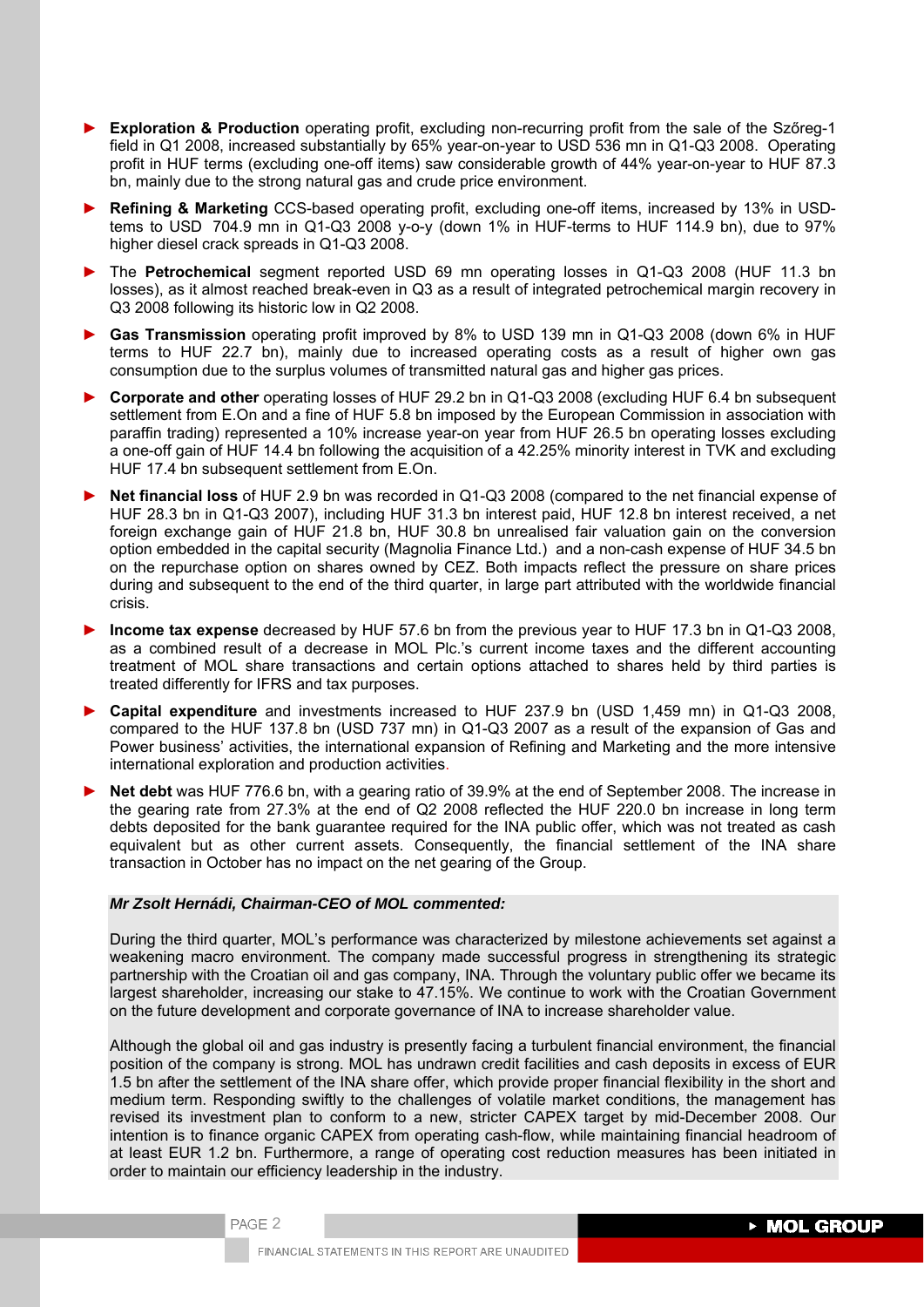- ► **Exploration & Production** operating profit, excluding non-recurring profit from the sale of the Szőreg-1 field in Q1 2008, increased substantially by 65% year-on-year to USD 536 mn in Q1-Q3 2008. Operating profit in HUF terms (excluding one-off items) saw considerable growth of 44% year-on-year to HUF 87.3 bn, mainly due to the strong natural gas and crude price environment.
- ► **Refining & Marketing** CCS-based operating profit, excluding one-off items, increased by 13% in USDtems to USD 704.9 mn in Q1-Q3 2008 y-o-y (down 1% in HUF-terms to HUF 114.9 bn), due to 97% higher diesel crack spreads in Q1-Q3 2008.
- ► The **Petrochemical** segment reported USD 69 mn operating losses in Q1-Q3 2008 (HUF 11.3 bn losses), as it almost reached break-even in Q3 as a result of integrated petrochemical margin recovery in Q3 2008 following its historic low in Q2 2008.
- ► **Gas Transmission** operating profit improved by 8% to USD 139 mn in Q1-Q3 2008 (down 6% in HUF terms to HUF 22.7 bn), mainly due to increased operating costs as a result of higher own gas consumption due to the surplus volumes of transmitted natural gas and higher gas prices.
- ► **Corporate and other** operating losses of HUF 29.2 bn in Q1-Q3 2008 (excluding HUF 6.4 bn subsequent settlement from E.On and a fine of HUF 5.8 bn imposed by the European Commission in association with paraffin trading) represented a 10% increase year-on year from HUF 26.5 bn operating losses excluding a one-off gain of HUF 14.4 bn following the acquisition of a 42.25% minority interest in TVK and excluding HUF 17.4 bn subsequent settlement from E.On.
- ► **Net financial loss** of HUF 2.9 bn was recorded in Q1-Q3 2008 (compared to the net financial expense of HUF 28.3 bn in Q1-Q3 2007), including HUF 31.3 bn interest paid, HUF 12.8 bn interest received, a net foreign exchange gain of HUF 21.8 bn, HUF 30.8 bn unrealised fair valuation gain on the conversion option embedded in the capital security (Magnolia Finance Ltd.) and a non-cash expense of HUF 34.5 bn on the repurchase option on shares owned by CEZ. Both impacts reflect the pressure on share prices during and subsequent to the end of the third quarter, in large part attributed with the worldwide financial crisis.
- ► **Income tax expense** decreased by HUF 57.6 bn from the previous year to HUF 17.3 bn in Q1-Q3 2008, as a combined result of a decrease in MOL Plc.'s current income taxes and the different accounting treatment of MOL share transactions and certain options attached to shares held by third parties is treated differently for IFRS and tax purposes.
- ► **Capital expenditure** and investments increased to HUF 237.9 bn (USD 1,459 mn) in Q1-Q3 2008, compared to the HUF 137.8 bn (USD 737 mn) in Q1-Q3 2007 as a result of the expansion of Gas and Power business' activities, the international expansion of Refining and Marketing and the more intensive international exploration and production activities.
- **Net debt** was HUF 776.6 bn, with a gearing ratio of 39.9% at the end of September 2008. The increase in the gearing rate from 27.3% at the end of Q2 2008 reflected the HUF 220.0 bn increase in long term debts deposited for the bank guarantee required for the INA public offer, which was not treated as cash equivalent but as other current assets. Consequently, the financial settlement of the INA share transaction in October has no impact on the net gearing of the Group.

## *Mr Zsolt Hernádi, Chairman-CEO of MOL commented:*

PAGE 2

During the third quarter, MOL's performance was characterized by milestone achievements set against a weakening macro environment. The company made successful progress in strengthening its strategic partnership with the Croatian oil and gas company, INA. Through the voluntary public offer we became its largest shareholder, increasing our stake to 47.15%. We continue to work with the Croatian Government on the future development and corporate governance of INA to increase shareholder value.

Although the global oil and gas industry is presently facing a turbulent financial environment, the financial position of the company is strong. MOL has undrawn credit facilities and cash deposits in excess of EUR 1.5 bn after the settlement of the INA share offer, which provide proper financial flexibility in the short and medium term. Responding swiftly to the challenges of volatile market conditions, the management has revised its investment plan to conform to a new, stricter CAPEX target by mid-December 2008. Our intention is to finance organic CAPEX from operating cash-flow, while maintaining financial headroom of at least EUR 1.2 bn. Furthermore, a range of operating cost reduction measures has been initiated in order to maintain our efficiency leadership in the industry.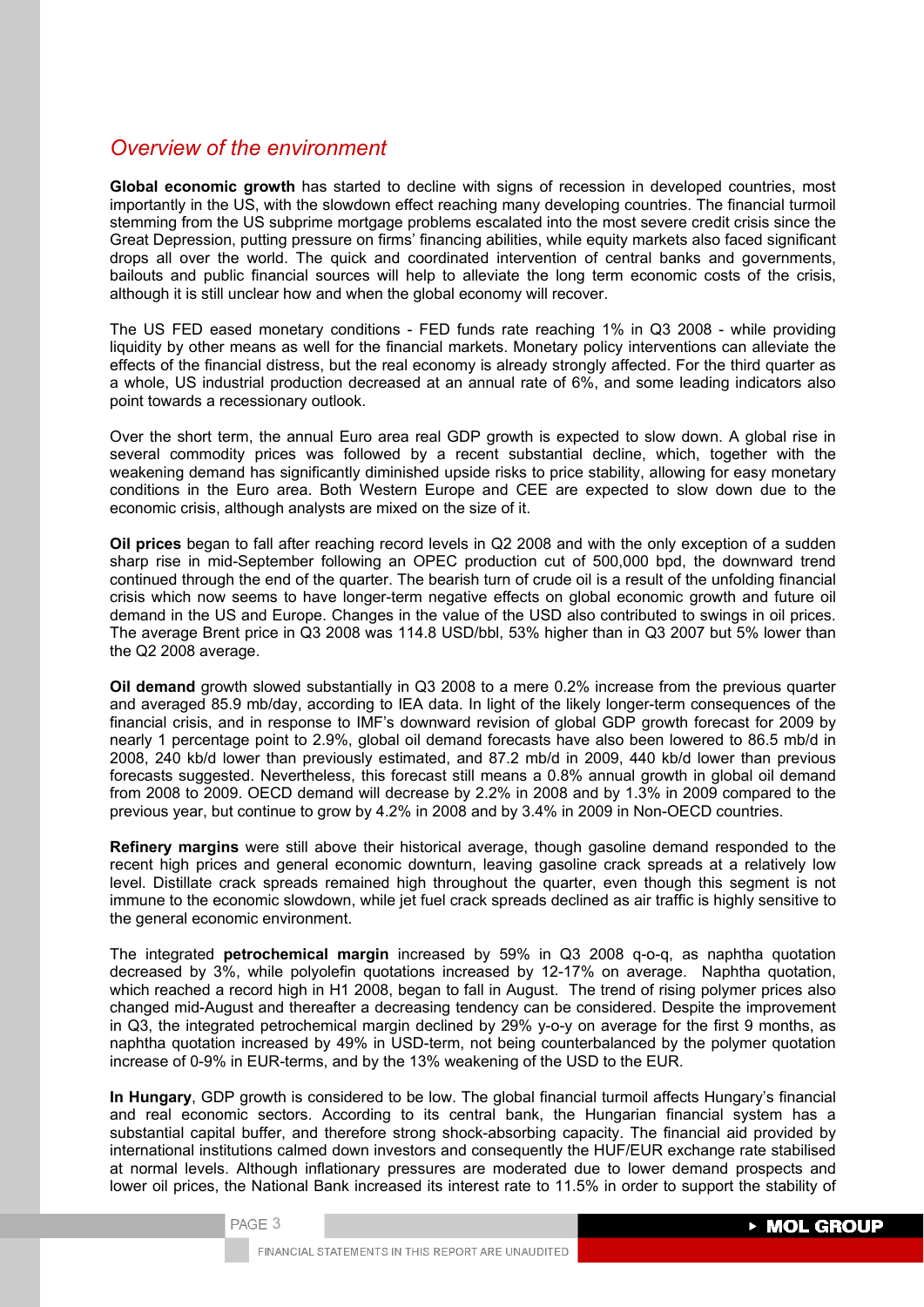# *Overview of the environment*

**Global economic growth** has started to decline with signs of recession in developed countries, most importantly in the US, with the slowdown effect reaching many developing countries. The financial turmoil stemming from the US subprime mortgage problems escalated into the most severe credit crisis since the Great Depression, putting pressure on firms' financing abilities, while equity markets also faced significant drops all over the world. The quick and coordinated intervention of central banks and governments, bailouts and public financial sources will help to alleviate the long term economic costs of the crisis, although it is still unclear how and when the global economy will recover.

The US FED eased monetary conditions - FED funds rate reaching 1% in Q3 2008 - while providing liquidity by other means as well for the financial markets. Monetary policy interventions can alleviate the effects of the financial distress, but the real economy is already strongly affected. For the third quarter as a whole, US industrial production decreased at an annual rate of 6%, and some leading indicators also point towards a recessionary outlook.

Over the short term, the annual Euro area real GDP growth is expected to slow down. A global rise in several commodity prices was followed by a recent substantial decline, which, together with the weakening demand has significantly diminished upside risks to price stability, allowing for easy monetary conditions in the Euro area. Both Western Europe and CEE are expected to slow down due to the economic crisis, although analysts are mixed on the size of it.

**Oil prices** began to fall after reaching record levels in Q2 2008 and with the only exception of a sudden sharp rise in mid-September following an OPEC production cut of 500,000 bpd, the downward trend continued through the end of the quarter. The bearish turn of crude oil is a result of the unfolding financial crisis which now seems to have longer-term negative effects on global economic growth and future oil demand in the US and Europe. Changes in the value of the USD also contributed to swings in oil prices. The average Brent price in Q3 2008 was 114.8 USD/bbl, 53% higher than in Q3 2007 but 5% lower than the Q2 2008 average.

**Oil demand** growth slowed substantially in Q3 2008 to a mere 0.2% increase from the previous quarter and averaged 85.9 mb/day, according to IEA data. In light of the likely longer-term consequences of the financial crisis, and in response to IMF's downward revision of global GDP growth forecast for 2009 by nearly 1 percentage point to 2.9%, global oil demand forecasts have also been lowered to 86.5 mb/d in 2008, 240 kb/d lower than previously estimated, and 87.2 mb/d in 2009, 440 kb/d lower than previous forecasts suggested. Nevertheless, this forecast still means a 0.8% annual growth in global oil demand from 2008 to 2009. OECD demand will decrease by 2.2% in 2008 and by 1.3% in 2009 compared to the previous year, but continue to grow by 4.2% in 2008 and by 3.4% in 2009 in Non-OECD countries.

**Refinery margins** were still above their historical average, though gasoline demand responded to the recent high prices and general economic downturn, leaving gasoline crack spreads at a relatively low level. Distillate crack spreads remained high throughout the quarter, even though this segment is not immune to the economic slowdown, while jet fuel crack spreads declined as air traffic is highly sensitive to the general economic environment.

The integrated **petrochemical margin** increased by 59% in Q3 2008 q-o-q, as naphtha quotation decreased by 3%, while polyolefin quotations increased by 12-17% on average. Naphtha quotation, which reached a record high in H1 2008, began to fall in August. The trend of rising polymer prices also changed mid-August and thereafter a decreasing tendency can be considered. Despite the improvement in Q3, the integrated petrochemical margin declined by 29% y-o-y on average for the first 9 months, as naphtha quotation increased by 49% in USD-term, not being counterbalanced by the polymer quotation increase of 0-9% in EUR-terms, and by the 13% weakening of the USD to the EUR.

**In Hungary**, GDP growth is considered to be low. The global financial turmoil affects Hungary's financial and real economic sectors. According to its central bank, the Hungarian financial system has a substantial capital buffer, and therefore strong shock-absorbing capacity. The financial aid provided by international institutions calmed down investors and consequently the HUF/EUR exchange rate stabilised at normal levels. Although inflationary pressures are moderated due to lower demand prospects and lower oil prices, the National Bank increased its interest rate to 11.5% in order to support the stability of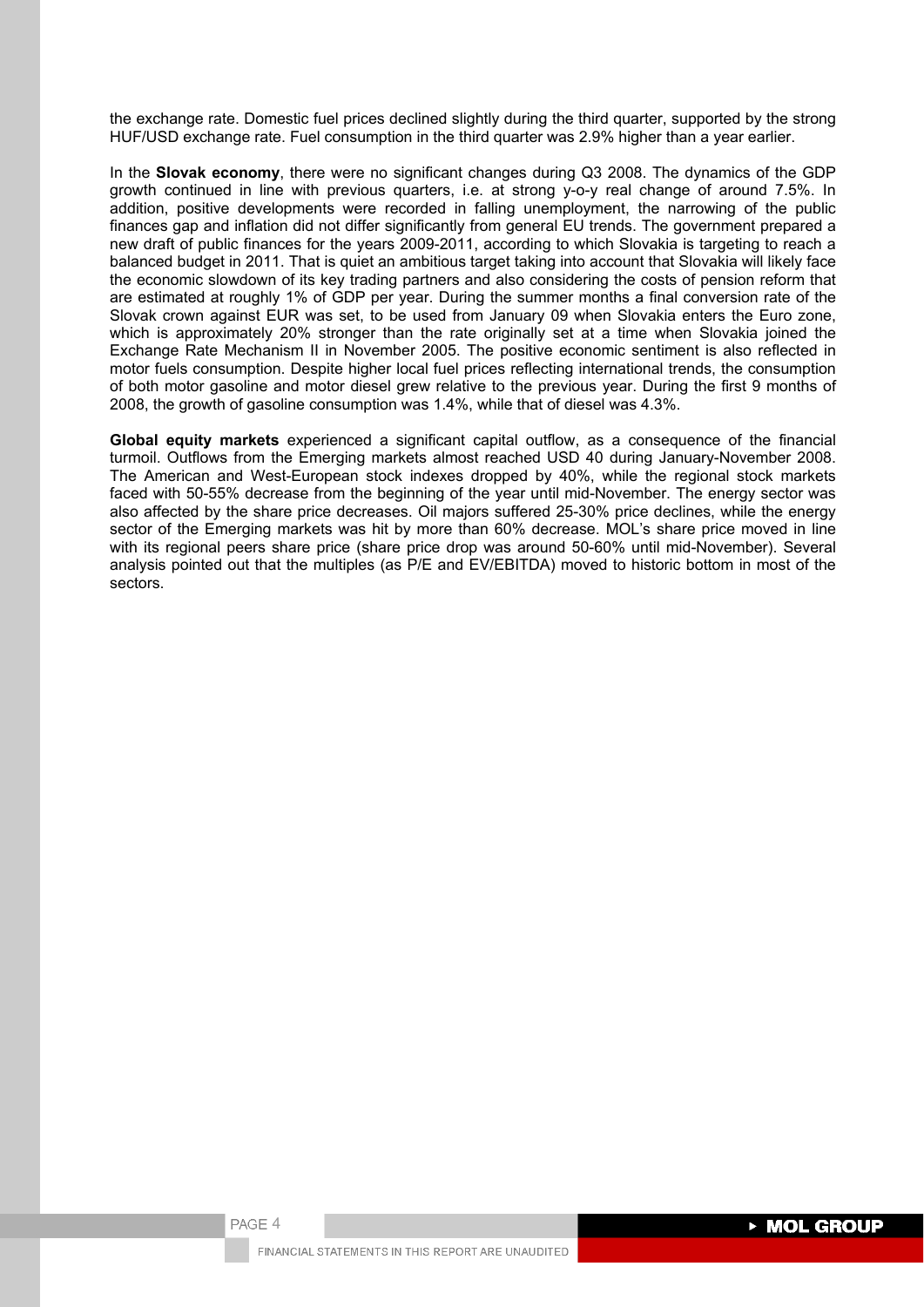the exchange rate. Domestic fuel prices declined slightly during the third quarter, supported by the strong HUF/USD exchange rate. Fuel consumption in the third quarter was 2.9% higher than a year earlier.

In the **Slovak economy**, there were no significant changes during Q3 2008. The dynamics of the GDP growth continued in line with previous quarters, i.e. at strong y-o-y real change of around 7.5%. In addition, positive developments were recorded in falling unemployment, the narrowing of the public finances gap and inflation did not differ significantly from general EU trends. The government prepared a new draft of public finances for the years 2009-2011, according to which Slovakia is targeting to reach a balanced budget in 2011. That is quiet an ambitious target taking into account that Slovakia will likely face the economic slowdown of its key trading partners and also considering the costs of pension reform that are estimated at roughly 1% of GDP per year. During the summer months a final conversion rate of the Slovak crown against EUR was set, to be used from January 09 when Slovakia enters the Euro zone, which is approximately 20% stronger than the rate originally set at a time when Slovakia joined the Exchange Rate Mechanism II in November 2005. The positive economic sentiment is also reflected in motor fuels consumption. Despite higher local fuel prices reflecting international trends, the consumption of both motor gasoline and motor diesel grew relative to the previous year. During the first 9 months of 2008, the growth of gasoline consumption was 1.4%, while that of diesel was 4.3%.

**Global equity markets** experienced a significant capital outflow, as a consequence of the financial turmoil. Outflows from the Emerging markets almost reached USD 40 during January-November 2008. The American and West-European stock indexes dropped by 40%, while the regional stock markets faced with 50-55% decrease from the beginning of the year until mid-November. The energy sector was also affected by the share price decreases. Oil majors suffered 25-30% price declines, while the energy sector of the Emerging markets was hit by more than 60% decrease. MOL's share price moved in line with its regional peers share price (share price drop was around 50-60% until mid-November). Several analysis pointed out that the multiples (as P/E and EV/EBITDA) moved to historic bottom in most of the sectors.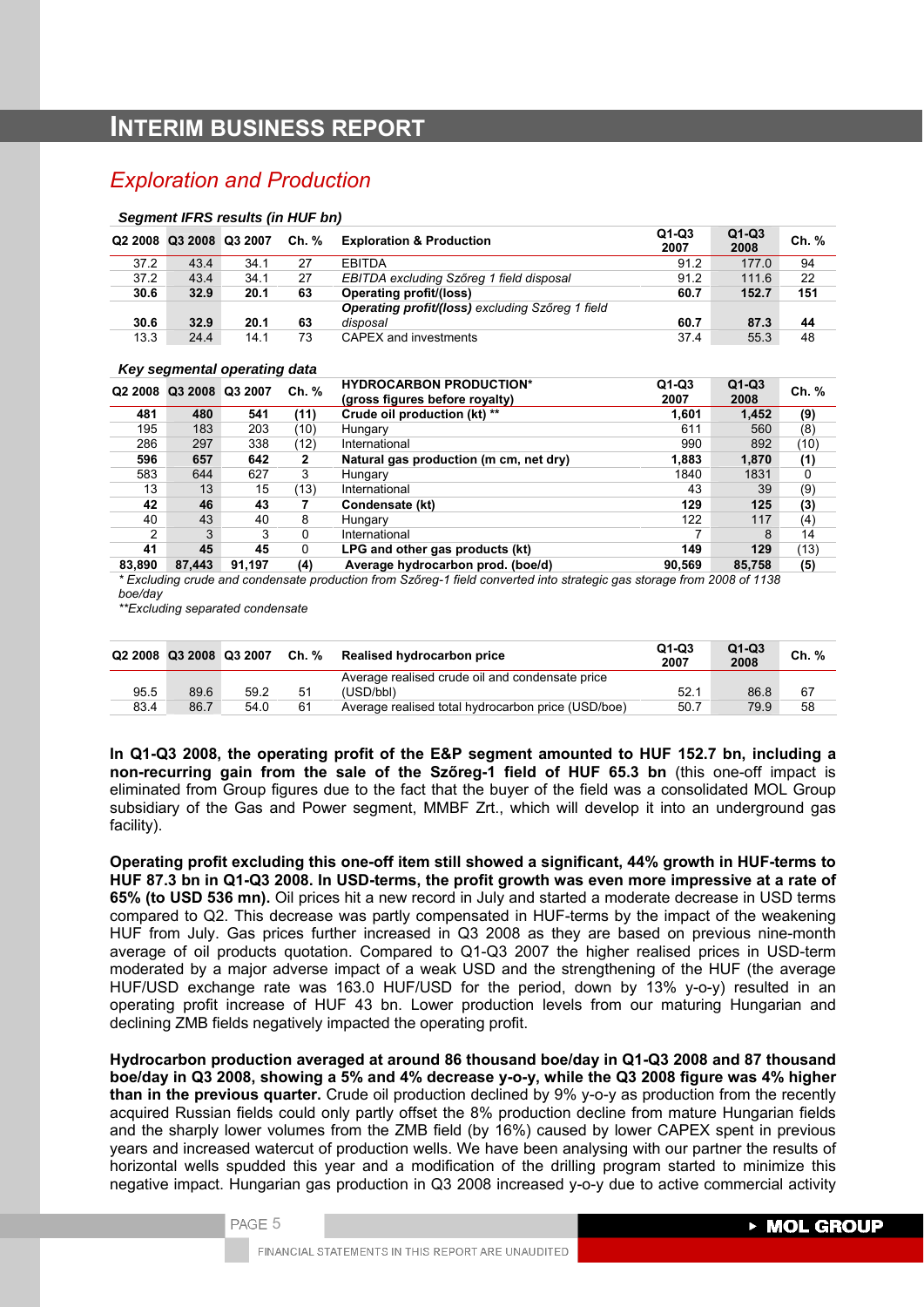# **INTERIM BUSINESS REPORT**

# *Exploration and Production*

#### *Segment IFRS results (in HUF bn)*

|      | Q2 2008 Q3 2008 Q3 2007 |      | Ch. % | <b>Exploration &amp; Production</b>              | $Q1-Q3$<br>2007 | $Q1-Q3$<br>2008 | Ch. % |
|------|-------------------------|------|-------|--------------------------------------------------|-----------------|-----------------|-------|
| 37.2 | 43.4                    | 34.1 | 27    | <b>FRITDA</b>                                    | 91.2            | 177.0           | 94    |
| 37.2 | 43.4                    | 34.1 | 27    | EBITDA excluding Szőreg 1 field disposal         | 91.2            | 111.6           | 22    |
| 30.6 | 32.9                    | 20.1 | 63    | Operating profit/(loss)                          | 60.7            | 152.7           | 151   |
|      |                         |      |       | Operating profit/(loss) excluding Szőreg 1 field |                 |                 |       |
| 30.6 | 32.9                    | 20.1 | 63    | disposal                                         | 60.7            | 87.3            | 44    |
| 13.3 | 24.4                    | 14.1 | 73    | CAPEX and investments                            | 37.4            | 55.3            | 48    |

#### *Key segmental operating data*

| -                   | -               |        | . .   |                                                                  |                 |                 |       |
|---------------------|-----------------|--------|-------|------------------------------------------------------------------|-----------------|-----------------|-------|
| Q <sub>2</sub> 2008 | Q3 2008 Q3 2007 |        | Ch. % | <b>HYDROCARBON PRODUCTION*</b><br>(gross figures before royalty) | $Q1-Q3$<br>2007 | $Q1-Q3$<br>2008 | Ch. % |
| 481                 | 480             | 541    | (11)  | Crude oil production (kt) **                                     | 1.601           | 1,452           | (9)   |
| 195                 | 183             | 203    | (10)  | Hungary                                                          | 611             | 560             | (8)   |
| 286                 | 297             | 338    | (12)  | International                                                    | 990             | 892             | (10)  |
| 596                 | 657             | 642    | 2     | Natural gas production (m cm, net dry)                           | 1.883           | 1,870           | (1)   |
| 583                 | 644             | 627    | 3     | Hungary                                                          | 1840            | 1831            | 0     |
| 13                  | 13              | 15     | (13)  | International                                                    | 43              | 39              | (9)   |
| 42                  | 46              | 43     |       | Condensate (kt)                                                  | 129             | 125             | (3)   |
| 40                  | 43              | 40     | 8     | Hungary                                                          | 122             | 117             | (4)   |
| 2                   | 3               | 3      | 0     | International                                                    |                 | 8               | 14    |
| 41                  | 45              | 45     | 0     | LPG and other gas products (kt)                                  | 149             | 129             | (13)  |
| 83.890              | 87.443          | 91.197 | (4)   | Average hydrocarbon prod. (boe/d)                                | 90.569          | 85,758          | (5)   |

*\* Excluding crude and condensate production from Szőreg-1 field converted into strategic gas storage from 2008 of 1138 boe/day* 

*\*\*Excluding separated condensate* 

| Q2 2008 Q3 2008 Q3 2007 |      |      |    | Ch. % Realised hydrocarbon price                   | Q1-Q3<br>2007 | $Q1-Q3$<br>2008 | Ch. % |
|-------------------------|------|------|----|----------------------------------------------------|---------------|-----------------|-------|
|                         |      |      |    | Average realised crude oil and condensate price    |               |                 |       |
| 95.5                    | 89.6 | 59.2 | 51 | (USD/bbl)                                          | 52.1          | 86.8            | 67    |
| 83.4                    | 86.7 | 54.0 | 61 | Average realised total hydrocarbon price (USD/boe) | 50.7          | 79.9            | 58    |

**In Q1-Q3 2008, the operating profit of the E&P segment amounted to HUF 152.7 bn, including a non-recurring gain from the sale of the Szőreg-1 field of HUF 65.3 bn** (this one-off impact is eliminated from Group figures due to the fact that the buyer of the field was a consolidated MOL Group subsidiary of the Gas and Power segment, MMBF Zrt., which will develop it into an underground gas facility).

**Operating profit excluding this one-off item still showed a significant, 44% growth in HUF-terms to HUF 87.3 bn in Q1-Q3 2008. In USD-terms, the profit growth was even more impressive at a rate of 65% (to USD 536 mn).** Oil prices hit a new record in July and started a moderate decrease in USD terms compared to Q2. This decrease was partly compensated in HUF-terms by the impact of the weakening HUF from July. Gas prices further increased in Q3 2008 as they are based on previous nine-month average of oil products quotation. Compared to Q1-Q3 2007 the higher realised prices in USD-term moderated by a major adverse impact of a weak USD and the strengthening of the HUF (the average HUF/USD exchange rate was 163.0 HUF/USD for the period, down by 13% y-o-y) resulted in an operating profit increase of HUF 43 bn. Lower production levels from our maturing Hungarian and declining ZMB fields negatively impacted the operating profit.

**Hydrocarbon production averaged at around 86 thousand boe/day in Q1-Q3 2008 and 87 thousand boe/day in Q3 2008, showing a 5% and 4% decrease y-o-y, while the Q3 2008 figure was 4% higher than in the previous quarter.** Crude oil production declined by 9% y-o-y as production from the recently acquired Russian fields could only partly offset the 8% production decline from mature Hungarian fields and the sharply lower volumes from the ZMB field (by 16%) caused by lower CAPEX spent in previous years and increased watercut of production wells. We have been analysing with our partner the results of horizontal wells spudded this year and a modification of the drilling program started to minimize this negative impact. Hungarian gas production in Q3 2008 increased y-o-y due to active commercial activity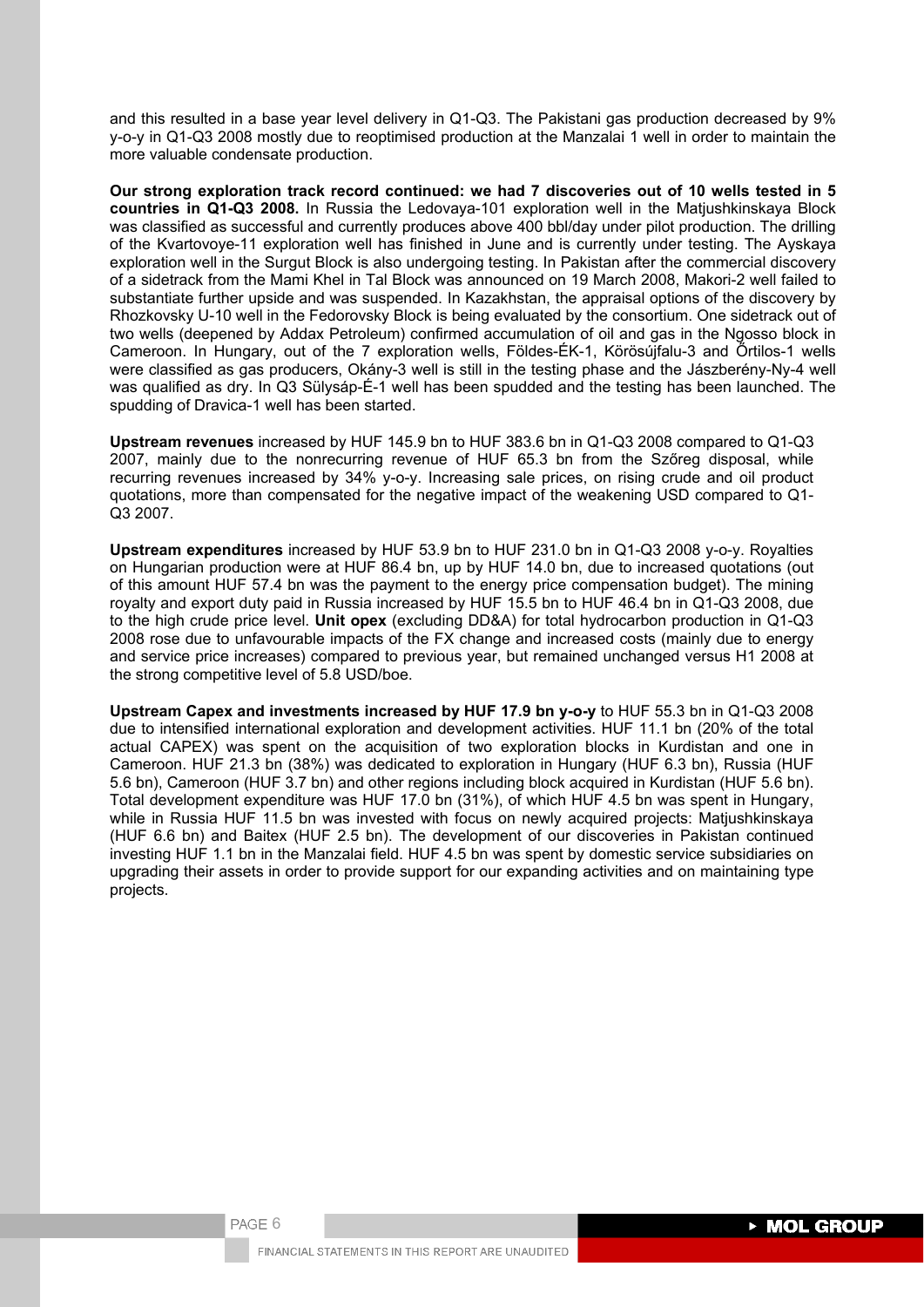and this resulted in a base year level delivery in Q1-Q3. The Pakistani gas production decreased by 9% y-o-y in Q1-Q3 2008 mostly due to reoptimised production at the Manzalai 1 well in order to maintain the more valuable condensate production.

**Our strong exploration track record continued: we had 7 discoveries out of 10 wells tested in 5 countries in Q1-Q3 2008.** In Russia the Ledovaya-101 exploration well in the Matjushkinskaya Block was classified as successful and currently produces above 400 bbl/day under pilot production. The drilling of the Kvartovoye-11 exploration well has finished in June and is currently under testing. The Ayskaya exploration well in the Surgut Block is also undergoing testing. In Pakistan after the commercial discovery of a sidetrack from the Mami Khel in Tal Block was announced on 19 March 2008, Makori-2 well failed to substantiate further upside and was suspended. In Kazakhstan, the appraisal options of the discovery by Rhozkovsky U-10 well in the Fedorovsky Block is being evaluated by the consortium. One sidetrack out of two wells (deepened by Addax Petroleum) confirmed accumulation of oil and gas in the Ngosso block in Cameroon. In Hungary, out of the 7 exploration wells, Földes-ÉK-1, Körösújfalu-3 and Őrtilos-1 wells were classified as gas producers, Okány-3 well is still in the testing phase and the Jászberény-Ny-4 well was qualified as dry. In Q3 Sülysáp-É-1 well has been spudded and the testing has been launched. The spudding of Dravica-1 well has been started.

**Upstream revenues** increased by HUF 145.9 bn to HUF 383.6 bn in Q1-Q3 2008 compared to Q1-Q3 2007, mainly due to the nonrecurring revenue of HUF 65.3 bn from the Szőreg disposal, while recurring revenues increased by 34% y-o-y. Increasing sale prices, on rising crude and oil product quotations, more than compensated for the negative impact of the weakening USD compared to Q1- Q3 2007.

**Upstream expenditures** increased by HUF 53.9 bn to HUF 231.0 bn in Q1-Q3 2008 y-o-y. Royalties on Hungarian production were at HUF 86.4 bn, up by HUF 14.0 bn, due to increased quotations (out of this amount HUF 57.4 bn was the payment to the energy price compensation budget). The mining royalty and export duty paid in Russia increased by HUF 15.5 bn to HUF 46.4 bn in Q1-Q3 2008, due to the high crude price level. **Unit opex** (excluding DD&A) for total hydrocarbon production in Q1-Q3 2008 rose due to unfavourable impacts of the FX change and increased costs (mainly due to energy and service price increases) compared to previous year, but remained unchanged versus H1 2008 at the strong competitive level of 5.8 USD/boe.

**Upstream Capex and investments increased by HUF 17.9 bn y-o-y** to HUF 55.3 bn in Q1-Q3 2008 due to intensified international exploration and development activities. HUF 11.1 bn (20% of the total actual CAPEX) was spent on the acquisition of two exploration blocks in Kurdistan and one in Cameroon. HUF 21.3 bn (38%) was dedicated to exploration in Hungary (HUF 6.3 bn), Russia (HUF 5.6 bn), Cameroon (HUF 3.7 bn) and other regions including block acquired in Kurdistan (HUF 5.6 bn). Total development expenditure was HUF 17.0 bn (31%), of which HUF 4.5 bn was spent in Hungary, while in Russia HUF 11.5 bn was invested with focus on newly acquired projects: Matjushkinskaya (HUF 6.6 bn) and Baitex (HUF 2.5 bn). The development of our discoveries in Pakistan continued investing HUF 1.1 bn in the Manzalai field. HUF 4.5 bn was spent by domestic service subsidiaries on upgrading their assets in order to provide support for our expanding activities and on maintaining type projects.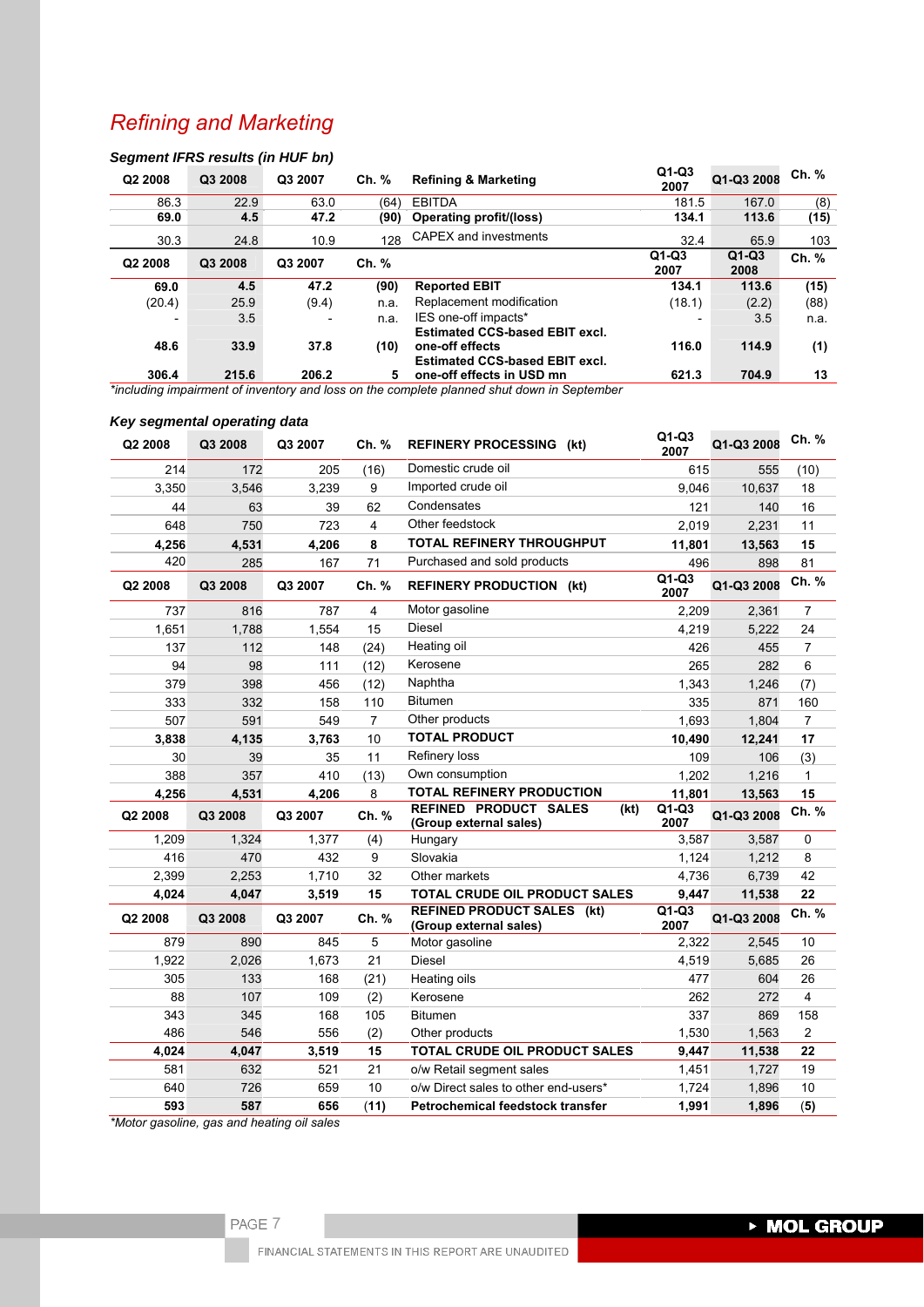# *Refining and Marketing*

# *Segment IFRS results (in HUF bn)*

| Q2 2008 | Q3 2008 | Q3 2007 | Ch. % | <b>Refining &amp; Marketing</b>                                    | $Q1-Q3$<br>2007 | Q1-Q3 2008      | Ch. % |
|---------|---------|---------|-------|--------------------------------------------------------------------|-----------------|-----------------|-------|
| 86.3    | 22.9    | 63.0    | (64)  | <b>EBITDA</b>                                                      | 181.5           | 167.0           | (8)   |
| 69.0    | 4.5     | 47.2    | (90)  | <b>Operating profit/(loss)</b>                                     | 134.1           | 113.6           | (15)  |
| 30.3    | 24.8    | 10.9    | 128   | CAPEX and investments                                              | 32.4            | 65.9            | 103   |
| Q2 2008 | Q3 2008 | Q3 2007 | Ch. % |                                                                    | $Q1-Q3$<br>2007 | $Q1-Q3$<br>2008 | Ch. % |
| 69.0    | 4.5     | 47.2    | (90)  | <b>Reported EBIT</b>                                               | 134.1           | 113.6           | (15)  |
| (20.4)  | 25.9    | (9.4)   | n.a.  | Replacement modification                                           | (18.1)          | (2.2)           | (88)  |
|         | 3.5     |         | n.a.  | IES one-off impacts*                                               |                 | 3.5             | n.a.  |
| 48.6    | 33.9    | 37.8    | (10)  | <b>Estimated CCS-based EBIT excl.</b><br>one-off effects           | 116.0           | 114.9           | (1)   |
| 306.4   | 215.6   | 206.2   | 5     | <b>Estimated CCS-based EBIT excl.</b><br>one-off effects in USD mn | 621.3           | 704.9           | 13    |

*\*including impairment of inventory and loss on the complete planned shut down in September*

# *Key segmental operating data*

| Q2 2008 | Q3 2008 | Q3 2007    | Ch. %          | <b>REFINERY PROCESSING (kt)</b>                             | $Q1-Q3$<br>2007 | Q1-Q3 2008 | Ch. %          |
|---------|---------|------------|----------------|-------------------------------------------------------------|-----------------|------------|----------------|
| 214     | 172     | 205        | (16)           | Domestic crude oil                                          | 615             | 555        | (10)           |
| 3,350   | 3,546   | 3,239      | 9              | Imported crude oil                                          | 9,046           | 10,637     | 18             |
| 44      | 63      | 39         | 62             | Condensates                                                 | 121             | 140        | 16             |
| 648     | 750     | 723        | 4              | Other feedstock                                             | 2,019           | 2,231      | 11             |
| 4,256   | 4,531   | 4,206      | 8              | <b>TOTAL REFINERY THROUGHPUT</b>                            | 11,801          | 13,563     | 15             |
| 420     | 285     | 167        | 71             | Purchased and sold products                                 | 496             | 898        | 81             |
| Q2 2008 | Q3 2008 | Q3 2007    | Ch. %          | <b>REFINERY PRODUCTION (kt)</b>                             | $Q1-Q3$<br>2007 | Q1-Q3 2008 | Ch. %          |
| 737     | 816     | 787        | $\overline{4}$ | Motor gasoline                                              | 2,209           | 2,361      | $\overline{7}$ |
| 1,651   | 1,788   | 1,554      | 15             | Diesel                                                      | 4,219           | 5,222      | 24             |
| 137     | 112     | 148        | (24)           | Heating oil                                                 | 426             | 455        | 7              |
| 94      | 98      | 111        | (12)           | Kerosene                                                    | 265             | 282        | 6              |
| 379     | 398     | 456        | (12)           | Naphtha                                                     | 1,343           | 1,246      | (7)            |
| 333     | 332     | 158        | 110            | <b>Bitumen</b>                                              | 335             | 871        | 160            |
| 507     | 591     | 549        | $\overline{7}$ | Other products                                              | 1,693           | 1,804      | $\overline{7}$ |
| 3,838   | 4,135   | 3,763      | 10             | <b>TOTAL PRODUCT</b>                                        | 10,490          | 12,241     | 17             |
| 30      | 39      | 35         | 11             | Refinery loss                                               | 109             | 106        | (3)            |
| 388     | 357     | 410        | (13)           | Own consumption                                             | 1,202           | 1,216      | $\mathbf{1}$   |
| 4,256   | 4,531   | 4,206      | 8              | <b>TOTAL REFINERY PRODUCTION</b>                            | 11,801          | 13,563     | 15             |
| Q2 2008 | Q3 2008 | Q3 2007    | Ch. %          | <b>REFINED PRODUCT SALES</b><br>(kt)                        | $Q1-Q3$         | Q1-Q3 2008 | Ch. %          |
|         |         |            |                | (Group external sales)                                      | 2007            |            |                |
| 1,209   | 1,324   | 1.377      | (4)            | Hungary                                                     | 3.587           | 3,587      | $\mathbf 0$    |
| 416     | 470     | 432        | 9              | Slovakia                                                    | 1,124           | 1,212      | 8              |
| 2,399   | 2,253   | 1,710      | 32             | Other markets                                               | 4,736           | 6.739      | 42             |
| 4,024   | 4,047   | 3,519      | 15             | TOTAL CRUDE OIL PRODUCT SALES                               | 9,447           | 11,538     | 22             |
| Q2 2008 | Q3 2008 | Q3 2007    | Ch. %          | <b>REFINED PRODUCT SALES (kt)</b><br>(Group external sales) | $Q1-Q3$<br>2007 | Q1-Q3 2008 | Ch. %          |
| 879     | 890     | 845        | 5              | Motor gasoline                                              | 2.322           | 2,545      | 10             |
| 1,922   | 2,026   | 1,673      | 21             | <b>Diesel</b>                                               | 4,519           | 5,685      | 26             |
| 305     | 133     | 168        | (21)           | Heating oils                                                | 477             | 604        | 26             |
| 88      | 107     | 109        | (2)            | Kerosene                                                    | 262             | 272        | $\overline{4}$ |
| 343     | 345     | 168        | 105            | <b>Bitumen</b>                                              | 337             | 869        | 158            |
| 486     | 546     | 556        | (2)            | Other products                                              | 1,530           | 1,563      | $\overline{c}$ |
| 4,024   | 4,047   | 3,519      | 15             | <b>TOTAL CRUDE OIL PRODUCT SALES</b>                        | 9,447           | 11,538     | 22             |
| 581     | 632     | 521        | 21             | o/w Retail segment sales                                    | 1,451           | 1,727      | 19             |
| 640     | 726     | 659<br>656 | 10             | o/w Direct sales to other end-users*                        | 1,724           | 1,896      | 10             |

*\*Motor gasoline, gas and heating oil sales*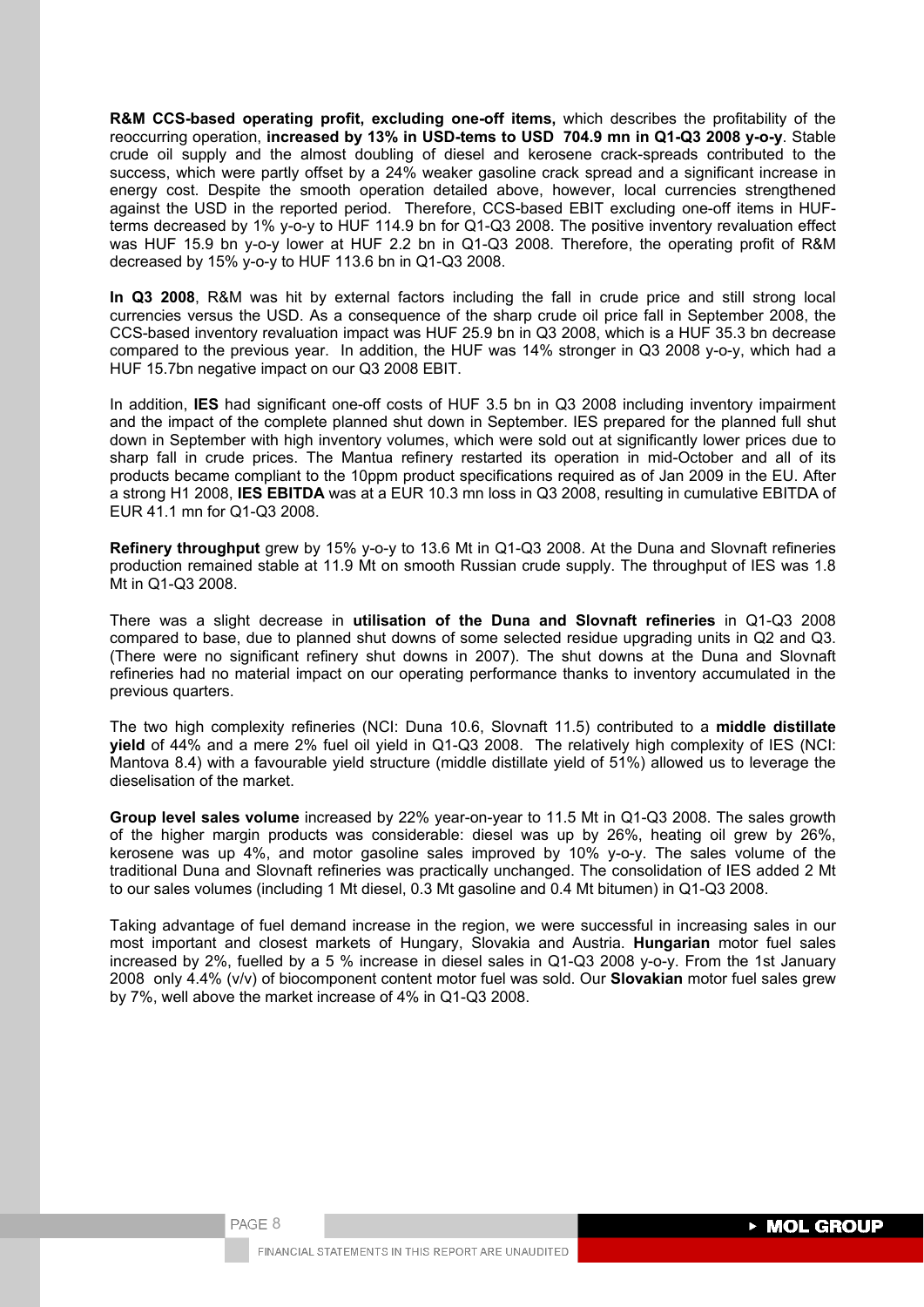**R&M CCS-based operating profit, excluding one-off items,** which describes the profitability of the reoccurring operation, **increased by 13% in USD-tems to USD 704.9 mn in Q1-Q3 2008 y-o-y**. Stable crude oil supply and the almost doubling of diesel and kerosene crack-spreads contributed to the success, which were partly offset by a 24% weaker gasoline crack spread and a significant increase in energy cost. Despite the smooth operation detailed above, however, local currencies strengthened against the USD in the reported period. Therefore, CCS-based EBIT excluding one-off items in HUFterms decreased by 1% y-o-y to HUF 114.9 bn for Q1-Q3 2008. The positive inventory revaluation effect was HUF 15.9 bn y-o-y lower at HUF 2.2 bn in Q1-Q3 2008. Therefore, the operating profit of R&M decreased by 15% y-o-y to HUF 113.6 bn in Q1-Q3 2008.

**In Q3 2008**, R&M was hit by external factors including the fall in crude price and still strong local currencies versus the USD. As a consequence of the sharp crude oil price fall in September 2008, the CCS-based inventory revaluation impact was HUF 25.9 bn in Q3 2008, which is a HUF 35.3 bn decrease compared to the previous year. In addition, the HUF was 14% stronger in Q3 2008 y-o-y, which had a HUF 15.7bn negative impact on our Q3 2008 EBIT.

In addition, **IES** had significant one-off costs of HUF 3.5 bn in Q3 2008 including inventory impairment and the impact of the complete planned shut down in September. IES prepared for the planned full shut down in September with high inventory volumes, which were sold out at significantly lower prices due to sharp fall in crude prices. The Mantua refinery restarted its operation in mid-October and all of its products became compliant to the 10ppm product specifications required as of Jan 2009 in the EU. After a strong H1 2008, **IES EBITDA** was at a EUR 10.3 mn loss in Q3 2008, resulting in cumulative EBITDA of EUR 41.1 mn for Q1-Q3 2008.

**Refinery throughput** grew by 15% y-o-y to 13.6 Mt in Q1-Q3 2008. At the Duna and Slovnaft refineries production remained stable at 11.9 Mt on smooth Russian crude supply. The throughput of IES was 1.8 Mt in Q1-Q3 2008.

There was a slight decrease in **utilisation of the Duna and Slovnaft refineries** in Q1-Q3 2008 compared to base, due to planned shut downs of some selected residue upgrading units in Q2 and Q3. (There were no significant refinery shut downs in 2007). The shut downs at the Duna and Slovnaft refineries had no material impact on our operating performance thanks to inventory accumulated in the previous quarters.

The two high complexity refineries (NCI: Duna 10.6, Slovnaft 11.5) contributed to a **middle distillate yield** of 44% and a mere 2% fuel oil yield in Q1-Q3 2008. The relatively high complexity of IES (NCI: Mantova 8.4) with a favourable yield structure (middle distillate yield of 51%) allowed us to leverage the dieselisation of the market.

**Group level sales volume** increased by 22% year-on-year to 11.5 Mt in Q1-Q3 2008. The sales growth of the higher margin products was considerable: diesel was up by 26%, heating oil grew by 26%, kerosene was up 4%, and motor gasoline sales improved by 10% y-o-y. The sales volume of the traditional Duna and Slovnaft refineries was practically unchanged. The consolidation of IES added 2 Mt to our sales volumes (including 1 Mt diesel, 0.3 Mt gasoline and 0.4 Mt bitumen) in Q1-Q3 2008.

Taking advantage of fuel demand increase in the region, we were successful in increasing sales in our most important and closest markets of Hungary, Slovakia and Austria. **Hungarian** motor fuel sales increased by 2%, fuelled by a 5 % increase in diesel sales in Q1-Q3 2008 y-o-y. From the 1st January 2008 only 4.4% (v/v) of biocomponent content motor fuel was sold. Our **Slovakian** motor fuel sales grew by 7%, well above the market increase of 4% in Q1-Q3 2008.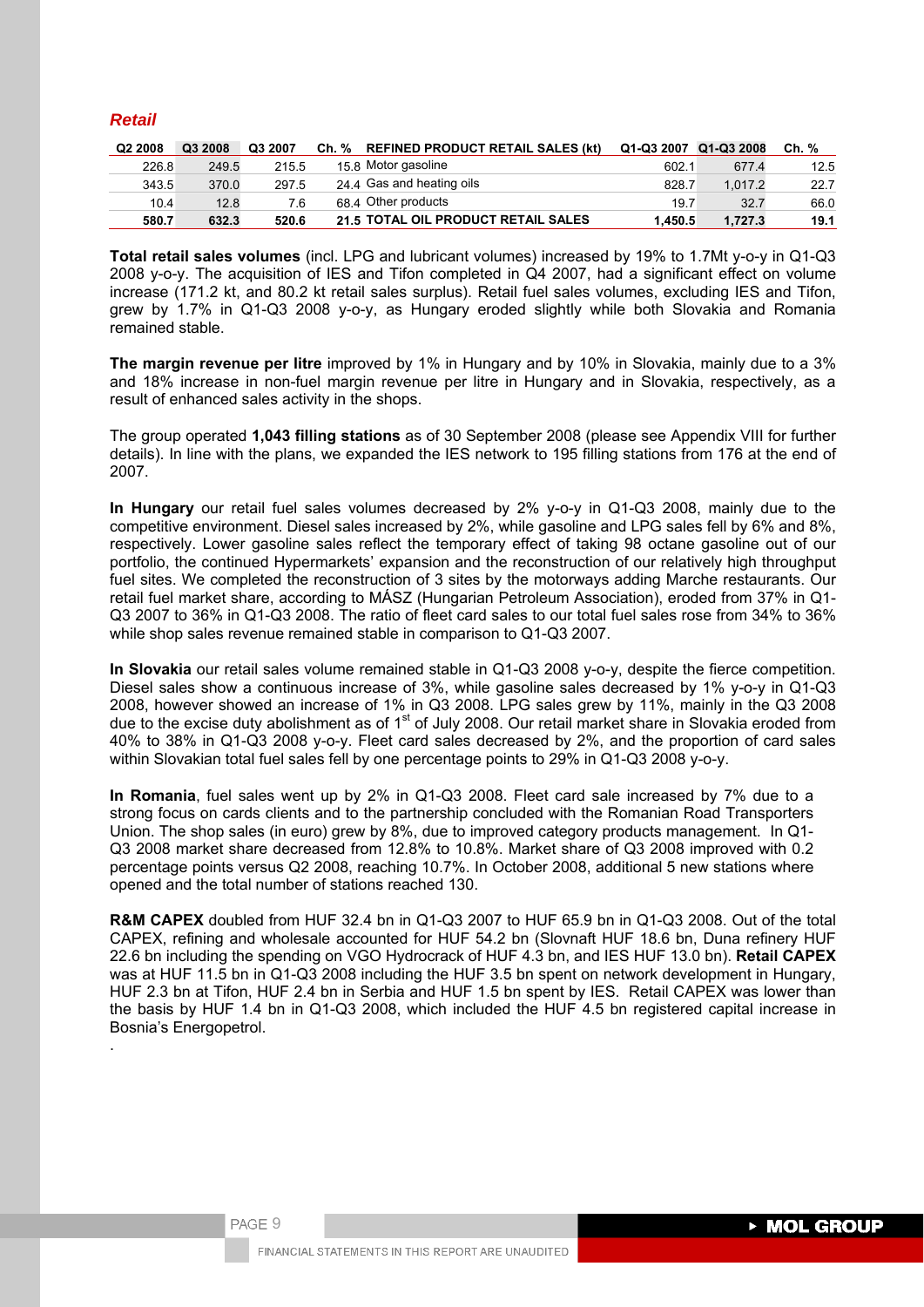# *Retail*

| Q <sub>2</sub> 2008 | Q3 2008 | Q3 2007 | Ch. % REFINED PRODUCT RETAIL SALES (kt) | Q1-Q3 2007 Q1-Q3 2008 |         | Ch. % |
|---------------------|---------|---------|-----------------------------------------|-----------------------|---------|-------|
| 226.8               | 249.5   | 215.5   | 15.8 Motor gasoline                     | 602.1                 | 677.4   | 12.5  |
| 343.5               | 370.0   | 297.5   | 24 4 Gas and heating oils               | 828.7                 | 1.017.2 | 22.7  |
| 10.4                | 12.8    | 7.6     | 68.4 Other products                     | 19.7                  | 32.7    | 66.0  |
| 580.7               | 632.3   | 520.6   | 21.5 TOTAL OIL PRODUCT RETAIL SALES     | 1.450.5               | 1.727.3 | 19.1  |

**Total retail sales volumes** (incl. LPG and lubricant volumes) increased by 19% to 1.7Mt y-o-y in Q1-Q3 2008 y-o-y. The acquisition of IES and Tifon completed in Q4 2007, had a significant effect on volume increase (171.2 kt, and 80.2 kt retail sales surplus). Retail fuel sales volumes, excluding IES and Tifon, grew by 1.7% in Q1-Q3 2008 y-o-y, as Hungary eroded slightly while both Slovakia and Romania remained stable.

**The margin revenue per litre** improved by 1% in Hungary and by 10% in Slovakia, mainly due to a 3% and 18% increase in non-fuel margin revenue per litre in Hungary and in Slovakia, respectively, as a result of enhanced sales activity in the shops.

The group operated **1,043 filling stations** as of 30 September 2008 (please see Appendix VIII for further details). In line with the plans, we expanded the IES network to 195 filling stations from 176 at the end of 2007.

**In Hungary** our retail fuel sales volumes decreased by 2% y-o-y in Q1-Q3 2008, mainly due to the competitive environment. Diesel sales increased by 2%, while gasoline and LPG sales fell by 6% and 8%, respectively. Lower gasoline sales reflect the temporary effect of taking 98 octane gasoline out of our portfolio, the continued Hypermarkets' expansion and the reconstruction of our relatively high throughput fuel sites. We completed the reconstruction of 3 sites by the motorways adding Marche restaurants. Our retail fuel market share, according to MÁSZ (Hungarian Petroleum Association), eroded from 37% in Q1- Q3 2007 to 36% in Q1-Q3 2008. The ratio of fleet card sales to our total fuel sales rose from 34% to 36% while shop sales revenue remained stable in comparison to Q1-Q3 2007.

**In Slovakia** our retail sales volume remained stable in Q1-Q3 2008 y-o-y, despite the fierce competition. Diesel sales show a continuous increase of 3%, while gasoline sales decreased by 1% y-o-y in Q1-Q3 2008, however showed an increase of 1% in Q3 2008. LPG sales grew by 11%, mainly in the Q3 2008 due to the excise duty abolishment as of 1<sup>st</sup> of July 2008. Our retail market share in Slovakia eroded from 40% to 38% in Q1-Q3 2008 y-o-y. Fleet card sales decreased by 2%, and the proportion of card sales within Slovakian total fuel sales fell by one percentage points to 29% in Q1-Q3 2008 y-o-y.

**In Romania**, fuel sales went up by 2% in Q1-Q3 2008. Fleet card sale increased by 7% due to a strong focus on cards clients and to the partnership concluded with the Romanian Road Transporters Union. The shop sales (in euro) grew by 8%, due to improved category products management. In Q1- Q3 2008 market share decreased from 12.8% to 10.8%. Market share of Q3 2008 improved with 0.2 percentage points versus Q2 2008, reaching 10.7%. In October 2008, additional 5 new stations where opened and the total number of stations reached 130.

**R&M CAPEX** doubled from HUF 32.4 bn in Q1-Q3 2007 to HUF 65.9 bn in Q1-Q3 2008. Out of the total CAPEX, refining and wholesale accounted for HUF 54.2 bn (Slovnaft HUF 18.6 bn, Duna refinery HUF 22.6 bn including the spending on VGO Hydrocrack of HUF 4.3 bn, and IES HUF 13.0 bn). **Retail CAPEX** was at HUF 11.5 bn in Q1-Q3 2008 including the HUF 3.5 bn spent on network development in Hungary, HUF 2.3 bn at Tifon, HUF 2.4 bn in Serbia and HUF 1.5 bn spent by IES. Retail CAPEX was lower than the basis by HUF 1.4 bn in Q1-Q3 2008, which included the HUF 4.5 bn registered capital increase in Bosnia's Energopetrol.

PAGE 9

.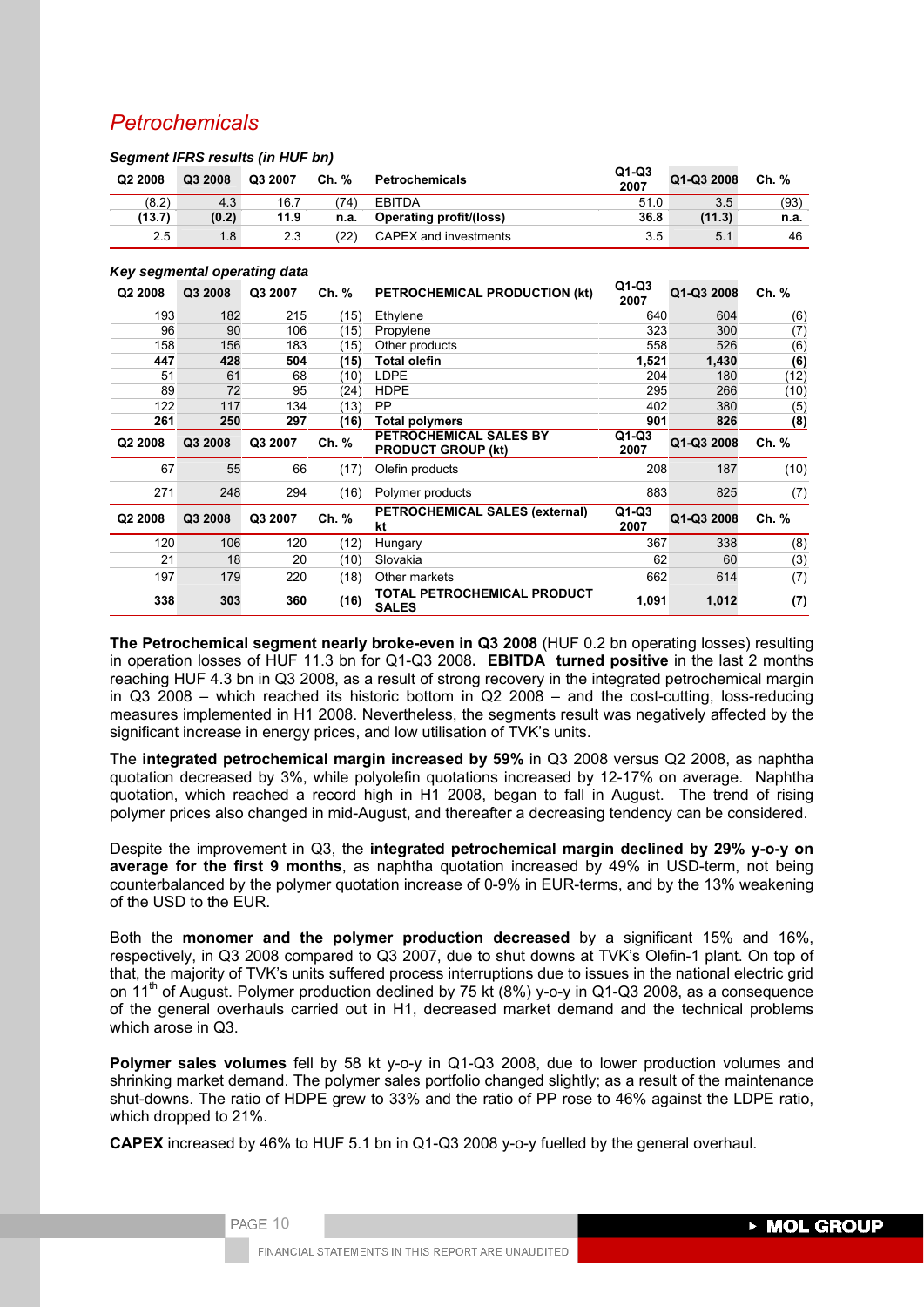# *Petrochemicals*

|                     | <u>standing in the results (iii rist for i</u> |         |       |                                |                 |            |       |
|---------------------|------------------------------------------------|---------|-------|--------------------------------|-----------------|------------|-------|
| Q <sub>2</sub> 2008 | Q3 2008                                        | Q3 2007 | Ch. % | Petrochemicals                 | $Q1-Q3$<br>2007 | Q1-Q3 2008 | Ch. % |
| (8.2)               | 4.3                                            | 16.7    | 74)   | <b>EBITDA</b>                  | 51.0            | 3.5        | (93)  |
| (13.7)              | (0.2)                                          | 11.9    | n.a.  | <b>Operating profit/(loss)</b> | 36.8            | (11.3)     | n.a.  |
| 2.5                 | 1.8                                            | 2.3     | :22)  | CAPEX and investments          | 3.5             | 5.1        | 46    |
|                     |                                                |         |       |                                |                 |            |       |

# *Key segmental operating data*

*Segment IFRS results (in HUF bn)* 

| Q <sub>2</sub> 2008 | Q3 2008 | Q3 2007 | Ch. % | PETROCHEMICAL PRODUCTION (kt)                       | $Q1-Q3$<br>2007 | Q1-Q3 2008 | Ch. % |
|---------------------|---------|---------|-------|-----------------------------------------------------|-----------------|------------|-------|
| 193                 | 182     | 215     | (15)  | Ethylene                                            | 640             | 604        | (6)   |
| 96                  | 90      | 106     | (15)  | Propylene                                           | 323             | 300        | (7)   |
| 158                 | 156     | 183     | (15)  | Other products                                      | 558             | 526        | (6)   |
| 447                 | 428     | 504     | (15)  | <b>Total olefin</b>                                 | 1,521           | 1,430      | (6)   |
| 51                  | 61      | 68      | (10)  | <b>LDPE</b>                                         | 204             | 180        | (12)  |
| 89                  | 72      | 95      | (24)  | <b>HDPE</b>                                         | 295             | 266        | (10)  |
| 122                 | 117     | 134     | (13)  | <b>PP</b>                                           | 402             | 380        | (5)   |
| 261                 | 250     | 297     | (16)  | <b>Total polymers</b>                               | 901             | 826        | (8)   |
| Q2 2008             | Q3 2008 | Q3 2007 | Ch. % | PETROCHEMICAL SALES BY<br><b>PRODUCT GROUP (kt)</b> | $Q1-Q3$<br>2007 | Q1-Q3 2008 | Ch. % |
| 67                  | 55      | 66      | (17)  | Olefin products                                     | 208             | 187        | (10)  |
| 271                 | 248     | 294     | (16)  | Polymer products                                    | 883             | 825        | (7)   |
| Q2 2008             | Q3 2008 | Q3 2007 | Ch. % | <b>PETROCHEMICAL SALES (external)</b><br>kt         | $Q1-Q3$<br>2007 | Q1-Q3 2008 | Ch. % |
| 120                 | 106     | 120     | (12)  | Hungary                                             | 367             | 338        | (8)   |
| 21                  | 18      | 20      | (10)  | Slovakia                                            | 62              | 60         | (3)   |
| 197                 | 179     | 220     | (18)  | Other markets                                       | 662             | 614        | (7)   |
| 338                 | 303     | 360     | (16)  | <b>TOTAL PETROCHEMICAL PRODUCT</b><br><b>SALES</b>  | 1,091           | 1,012      | (7)   |

**The Petrochemical segment nearly broke-even in Q3 2008** (HUF 0.2 bn operating losses) resulting in operation losses of HUF 11.3 bn for Q1-Q3 2008**. EBITDA turned positive** in the last 2 months reaching HUF 4.3 bn in Q3 2008, as a result of strong recovery in the integrated petrochemical margin in Q3 2008 – which reached its historic bottom in Q2 2008 – and the cost-cutting, loss-reducing measures implemented in H1 2008. Nevertheless, the segments result was negatively affected by the significant increase in energy prices, and low utilisation of TVK's units.

The **integrated petrochemical margin increased by 59%** in Q3 2008 versus Q2 2008, as naphtha quotation decreased by 3%, while polyolefin quotations increased by 12-17% on average. Naphtha quotation, which reached a record high in H1 2008, began to fall in August. The trend of rising polymer prices also changed in mid-August, and thereafter a decreasing tendency can be considered.

Despite the improvement in Q3, the **integrated petrochemical margin declined by 29% y-o-y on average for the first 9 months**, as naphtha quotation increased by 49% in USD-term, not being counterbalanced by the polymer quotation increase of 0-9% in EUR-terms, and by the 13% weakening of the USD to the EUR.

Both the **monomer and the polymer production decreased** by a significant 15% and 16%, respectively, in Q3 2008 compared to Q3 2007, due to shut downs at TVK's Olefin-1 plant. On top of that, the majority of TVK's units suffered process interruptions due to issues in the national electric grid on 11<sup>th</sup> of August. Polymer production declined by 75 kt (8%) y-o-y in Q1-Q3 2008, as a consequence of the general overhauls carried out in H1, decreased market demand and the technical problems which arose in Q3.

**Polymer sales volumes** fell by 58 kt y-o-y in Q1-Q3 2008, due to lower production volumes and shrinking market demand. The polymer sales portfolio changed slightly; as a result of the maintenance shut-downs. The ratio of HDPE grew to 33% and the ratio of PP rose to 46% against the LDPE ratio, which dropped to 21%.

**CAPEX** increased by 46% to HUF 5.1 bn in Q1-Q3 2008 y-o-y fuelled by the general overhaul.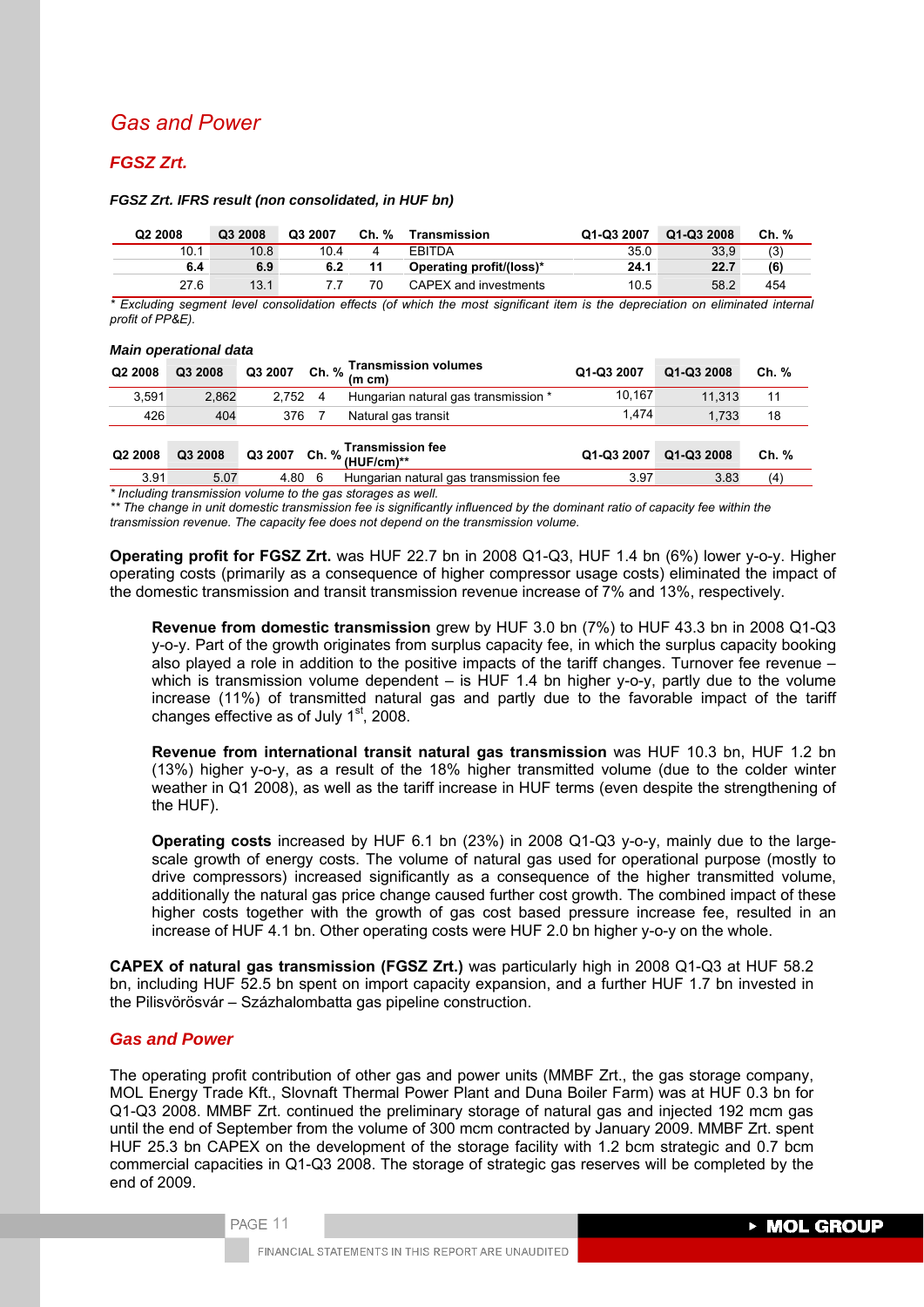# *Gas and Power*

# *FGSZ Zrt.*

#### *FGSZ Zrt. IFRS result (non consolidated, in HUF bn)*

| Q <sub>2</sub> 2008 | Q3 2008 | Q3 2007 | Ch. % | Transmission             | Q1-Q3 2007 | Q1-Q3 2008 | Ch. % |
|---------------------|---------|---------|-------|--------------------------|------------|------------|-------|
| 10.1                | 10.8    | 10.4    | 4     | <b>EBITDA</b>            | 35.0       | 33.9       | (3)   |
| 6.4                 | 6.9     | 6.2     | 11    | Operating profit/(loss)* | 24.1       | 22.7       | (6)   |
| 27.6                | 13.1    |         | 70    | CAPEX and investments    | 10.5       | 58.2       | 454   |

*\* Excluding segment level consolidation effects (of which the most significant item is the depreciation on eliminated internal profit of PP&E).* 

#### *Main operational data*

| Q2 2008 | Q3 2008 | Q3 2007 | Ch. % | <b>Transmission volumes</b><br>$(m \, cm)$  | Q1-Q3 2007 | Q1-Q3 2008 | Ch. % |
|---------|---------|---------|-------|---------------------------------------------|------------|------------|-------|
| 3.591   | 2,862   | 2.752   | 4     | Hungarian natural gas transmission *        | 10.167     | 11.313     | 11    |
| 426     | 404     | 376     |       | Natural gas transit                         | 1.474      | 1.733      | 18    |
| Q2 2008 | Q3 2008 | Q3 2007 |       | <b>Transmission fee</b><br>Ch. % (HUF/cm)** | Q1-Q3 2007 | Q1-Q3 2008 | Ch. % |
| 3.91    | 5.07    | 4.80    | -6    | Hungarian natural gas transmission fee      | 3.97       | 3.83       | (4)   |

*\* Including transmission volume to the gas storages as well.* 

*\*\* The change in unit domestic transmission fee is significantly influenced by the dominant ratio of capacity fee within the transmission revenue. The capacity fee does not depend on the transmission volume.* 

**Operating profit for FGSZ Zrt.** was HUF 22.7 bn in 2008 Q1-Q3, HUF 1.4 bn (6%) lower y-o-y. Higher operating costs (primarily as a consequence of higher compressor usage costs) eliminated the impact of the domestic transmission and transit transmission revenue increase of 7% and 13%, respectively.

**Revenue from domestic transmission** grew by HUF 3.0 bn (7%) to HUF 43.3 bn in 2008 Q1-Q3 y-o-y. Part of the growth originates from surplus capacity fee, in which the surplus capacity booking also played a role in addition to the positive impacts of the tariff changes. Turnover fee revenue – which is transmission volume dependent  $-$  is HUF 1.4 bn higher y-o-y, partly due to the volume increase (11%) of transmitted natural gas and partly due to the favorable impact of the tariff changes effective as of July  $1<sup>st</sup>$ , 2008.

**Revenue from international transit natural gas transmission** was HUF 10.3 bn, HUF 1.2 bn (13%) higher y-o-y, as a result of the 18% higher transmitted volume (due to the colder winter weather in Q1 2008), as well as the tariff increase in HUF terms (even despite the strengthening of the HUF).

**Operating costs** increased by HUF 6.1 bn (23%) in 2008 Q1-Q3 y-o-y, mainly due to the largescale growth of energy costs. The volume of natural gas used for operational purpose (mostly to drive compressors) increased significantly as a consequence of the higher transmitted volume, additionally the natural gas price change caused further cost growth. The combined impact of these higher costs together with the growth of gas cost based pressure increase fee, resulted in an increase of HUF 4.1 bn. Other operating costs were HUF 2.0 bn higher y-o-y on the whole.

**CAPEX of natural gas transmission (FGSZ Zrt.)** was particularly high in 2008 Q1-Q3 at HUF 58.2 bn, including HUF 52.5 bn spent on import capacity expansion, and a further HUF 1.7 bn invested in the Pilisvörösvár – Százhalombatta gas pipeline construction.

## *Gas and Power*

PAGE 11

The operating profit contribution of other gas and power units (MMBF Zrt., the gas storage company, MOL Energy Trade Kft., Slovnaft Thermal Power Plant and Duna Boiler Farm) was at HUF 0.3 bn for Q1-Q3 2008. MMBF Zrt. continued the preliminary storage of natural gas and injected 192 mcm gas until the end of September from the volume of 300 mcm contracted by January 2009. MMBF Zrt. spent HUF 25.3 bn CAPEX on the development of the storage facility with 1.2 bcm strategic and 0.7 bcm commercial capacities in Q1-Q3 2008. The storage of strategic gas reserves will be completed by the end of 2009.

**> MOL GROUP**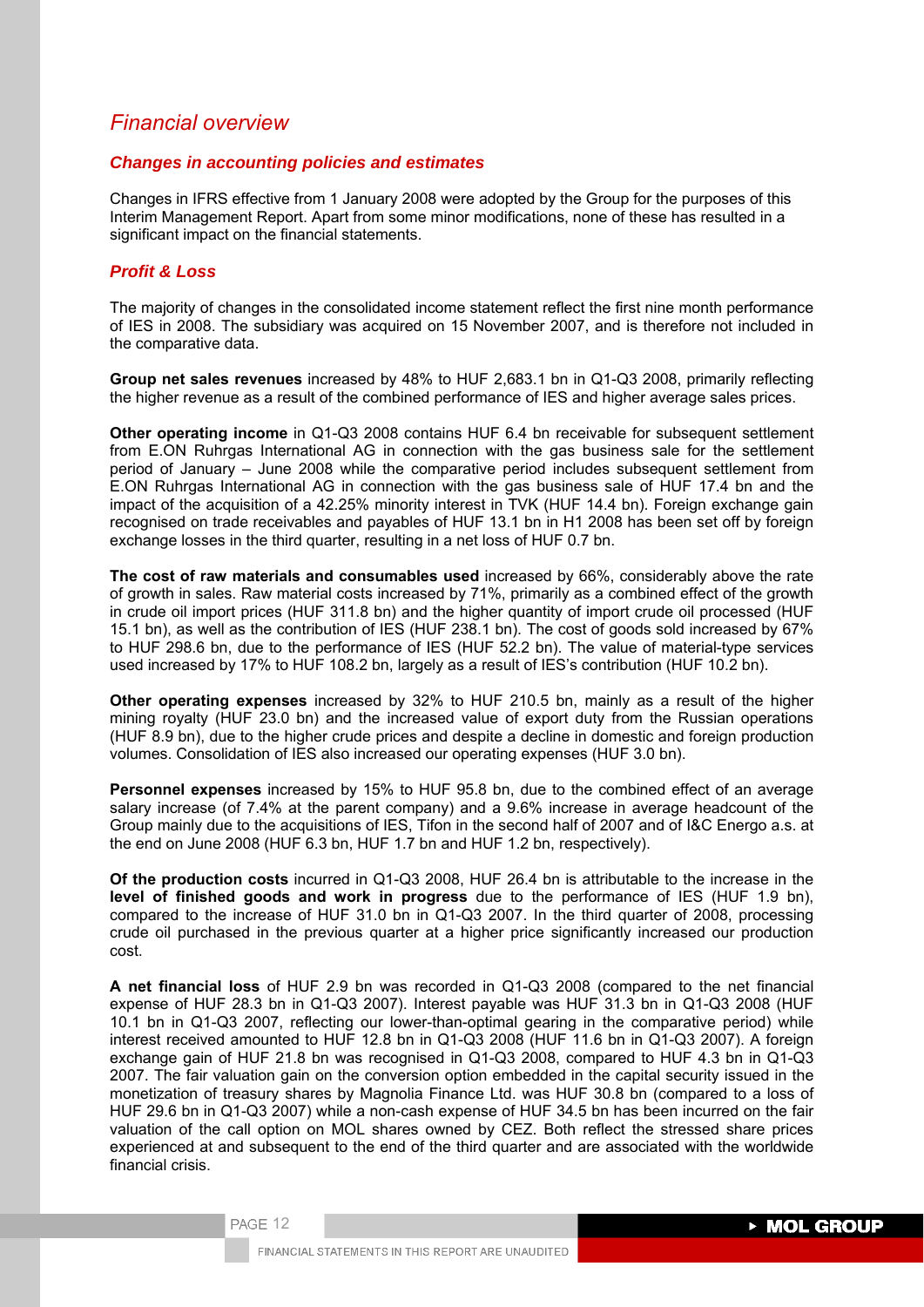# *Financial overview*

## *Changes in accounting policies and estimates*

Changes in IFRS effective from 1 January 2008 were adopted by the Group for the purposes of this Interim Management Report. Apart from some minor modifications, none of these has resulted in a significant impact on the financial statements.

# *Profit & Loss*

The majority of changes in the consolidated income statement reflect the first nine month performance of IES in 2008. The subsidiary was acquired on 15 November 2007, and is therefore not included in the comparative data.

**Group net sales revenues** increased by 48% to HUF 2,683.1 bn in Q1-Q3 2008, primarily reflecting the higher revenue as a result of the combined performance of IES and higher average sales prices.

**Other operating income** in Q1-Q3 2008 contains HUF 6.4 bn receivable for subsequent settlement from E.ON Ruhrgas International AG in connection with the gas business sale for the settlement period of January – June 2008 while the comparative period includes subsequent settlement from E.ON Ruhrgas International AG in connection with the gas business sale of HUF 17.4 bn and the impact of the acquisition of a 42.25% minority interest in TVK (HUF 14.4 bn). Foreign exchange gain recognised on trade receivables and payables of HUF 13.1 bn in H1 2008 has been set off by foreign exchange losses in the third quarter, resulting in a net loss of HUF 0.7 bn.

**The cost of raw materials and consumables used** increased by 66%, considerably above the rate of growth in sales. Raw material costs increased by 71%, primarily as a combined effect of the growth in crude oil import prices (HUF 311.8 bn) and the higher quantity of import crude oil processed (HUF 15.1 bn), as well as the contribution of IES (HUF 238.1 bn). The cost of goods sold increased by 67% to HUF 298.6 bn, due to the performance of IES (HUF 52.2 bn). The value of material-type services used increased by 17% to HUF 108.2 bn, largely as a result of IES's contribution (HUF 10.2 bn).

**Other operating expenses** increased by 32% to HUF 210.5 bn, mainly as a result of the higher mining royalty (HUF 23.0 bn) and the increased value of export duty from the Russian operations (HUF 8.9 bn), due to the higher crude prices and despite a decline in domestic and foreign production volumes. Consolidation of IES also increased our operating expenses (HUF 3.0 bn).

**Personnel expenses** increased by 15% to HUF 95.8 bn, due to the combined effect of an average salary increase (of 7.4% at the parent company) and a 9.6% increase in average headcount of the Group mainly due to the acquisitions of IES, Tifon in the second half of 2007 and of I&C Energo a.s. at the end on June 2008 (HUF 6.3 bn, HUF 1.7 bn and HUF 1.2 bn, respectively).

**Of the production costs** incurred in Q1-Q3 2008, HUF 26.4 bn is attributable to the increase in the **level of finished goods and work in progress** due to the performance of IES (HUF 1.9 bn), compared to the increase of HUF 31.0 bn in Q1-Q3 2007. In the third quarter of 2008, processing crude oil purchased in the previous quarter at a higher price significantly increased our production cost.

**A net financial loss** of HUF 2.9 bn was recorded in Q1-Q3 2008 (compared to the net financial expense of HUF 28.3 bn in Q1-Q3 2007). Interest payable was HUF 31.3 bn in Q1-Q3 2008 (HUF 10.1 bn in Q1-Q3 2007, reflecting our lower-than-optimal gearing in the comparative period) while interest received amounted to HUF 12.8 bn in Q1-Q3 2008 (HUF 11.6 bn in Q1-Q3 2007). A foreign exchange gain of HUF 21.8 bn was recognised in Q1-Q3 2008, compared to HUF 4.3 bn in Q1-Q3 2007. The fair valuation gain on the conversion option embedded in the capital security issued in the monetization of treasury shares by Magnolia Finance Ltd. was HUF 30.8 bn (compared to a loss of HUF 29.6 bn in Q1-Q3 2007) while a non-cash expense of HUF 34.5 bn has been incurred on the fair valuation of the call option on MOL shares owned by CEZ. Both reflect the stressed share prices experienced at and subsequent to the end of the third quarter and are associated with the worldwide financial crisis.

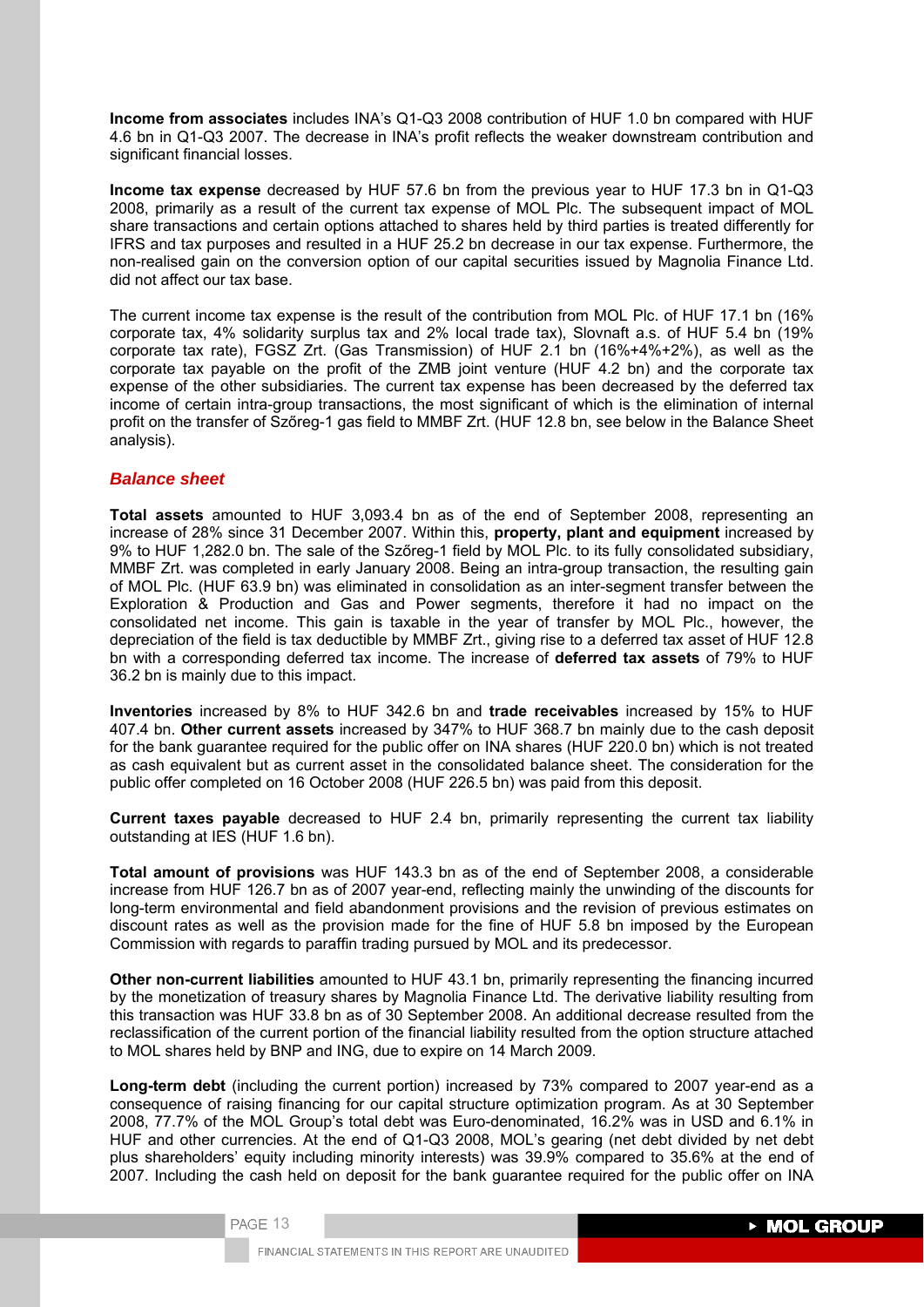**Income from associates** includes INA's Q1-Q3 2008 contribution of HUF 1.0 bn compared with HUF 4.6 bn in Q1-Q3 2007. The decrease in INA's profit reflects the weaker downstream contribution and significant financial losses.

**Income tax expense** decreased by HUF 57.6 bn from the previous year to HUF 17.3 bn in Q1-Q3 2008, primarily as a result of the current tax expense of MOL Plc. The subsequent impact of MOL share transactions and certain options attached to shares held by third parties is treated differently for IFRS and tax purposes and resulted in a HUF 25.2 bn decrease in our tax expense. Furthermore, the non-realised gain on the conversion option of our capital securities issued by Magnolia Finance Ltd. did not affect our tax base.

The current income tax expense is the result of the contribution from MOL Plc. of HUF 17.1 bn (16% corporate tax, 4% solidarity surplus tax and 2% local trade tax), Slovnaft a.s. of HUF 5.4 bn (19% corporate tax rate), FGSZ Zrt. (Gas Transmission) of HUF 2.1 bn (16%+4%+2%), as well as the corporate tax payable on the profit of the ZMB joint venture (HUF 4.2 bn) and the corporate tax expense of the other subsidiaries. The current tax expense has been decreased by the deferred tax income of certain intra-group transactions, the most significant of which is the elimination of internal profit on the transfer of Szőreg-1 gas field to MMBF Zrt. (HUF 12.8 bn, see below in the Balance Sheet analysis).

## *Balance sheet*

**Total assets** amounted to HUF 3,093.4 bn as of the end of September 2008, representing an increase of 28% since 31 December 2007. Within this, **property, plant and equipment** increased by 9% to HUF 1,282.0 bn. The sale of the Szőreg-1 field by MOL Plc. to its fully consolidated subsidiary, MMBF Zrt. was completed in early January 2008. Being an intra-group transaction, the resulting gain of MOL Plc. (HUF 63.9 bn) was eliminated in consolidation as an inter-segment transfer between the Exploration & Production and Gas and Power segments, therefore it had no impact on the consolidated net income. This gain is taxable in the year of transfer by MOL Plc., however, the depreciation of the field is tax deductible by MMBF Zrt., giving rise to a deferred tax asset of HUF 12.8 bn with a corresponding deferred tax income. The increase of **deferred tax assets** of 79% to HUF 36.2 bn is mainly due to this impact.

**Inventories** increased by 8% to HUF 342.6 bn and **trade receivables** increased by 15% to HUF 407.4 bn. **Other current assets** increased by 347% to HUF 368.7 bn mainly due to the cash deposit for the bank guarantee required for the public offer on INA shares (HUF 220.0 bn) which is not treated as cash equivalent but as current asset in the consolidated balance sheet. The consideration for the public offer completed on 16 October 2008 (HUF 226.5 bn) was paid from this deposit.

**Current taxes payable** decreased to HUF 2.4 bn, primarily representing the current tax liability outstanding at IES (HUF 1.6 bn).

**Total amount of provisions** was HUF 143.3 bn as of the end of September 2008, a considerable increase from HUF 126.7 bn as of 2007 year-end, reflecting mainly the unwinding of the discounts for long-term environmental and field abandonment provisions and the revision of previous estimates on discount rates as well as the provision made for the fine of HUF 5.8 bn imposed by the European Commission with regards to paraffin trading pursued by MOL and its predecessor.

**Other non-current liabilities** amounted to HUF 43.1 bn, primarily representing the financing incurred by the monetization of treasury shares by Magnolia Finance Ltd. The derivative liability resulting from this transaction was HUF 33.8 bn as of 30 September 2008. An additional decrease resulted from the reclassification of the current portion of the financial liability resulted from the option structure attached to MOL shares held by BNP and ING, due to expire on 14 March 2009.

**Long-term debt** (including the current portion) increased by 73% compared to 2007 year-end as a consequence of raising financing for our capital structure optimization program. As at 30 September 2008, 77.7% of the MOL Group's total debt was Euro-denominated, 16.2% was in USD and 6.1% in HUF and other currencies. At the end of Q1-Q3 2008, MOL's gearing (net debt divided by net debt plus shareholders' equity including minority interests) was 39.9% compared to 35.6% at the end of 2007. Including the cash held on deposit for the bank guarantee required for the public offer on INA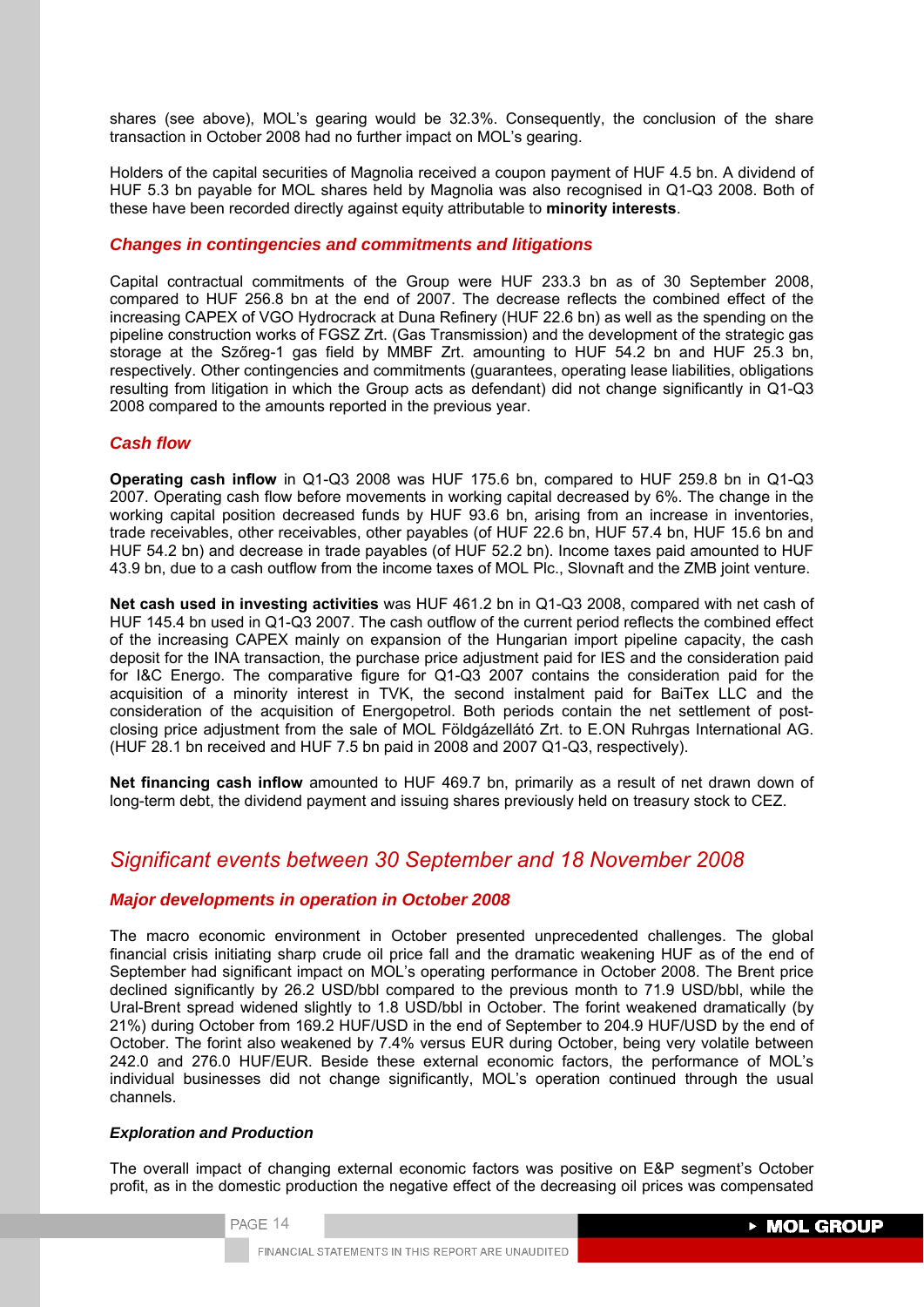shares (see above), MOL's gearing would be 32.3%. Consequently, the conclusion of the share transaction in October 2008 had no further impact on MOL's gearing.

Holders of the capital securities of Magnolia received a coupon payment of HUF 4.5 bn. A dividend of HUF 5.3 bn payable for MOL shares held by Magnolia was also recognised in Q1-Q3 2008. Both of these have been recorded directly against equity attributable to **minority interests**.

# *Changes in contingencies and commitments and litigations*

Capital contractual commitments of the Group were HUF 233.3 bn as of 30 September 2008, compared to HUF 256.8 bn at the end of 2007. The decrease reflects the combined effect of the increasing CAPEX of VGO Hydrocrack at Duna Refinery (HUF 22.6 bn) as well as the spending on the pipeline construction works of FGSZ Zrt. (Gas Transmission) and the development of the strategic gas storage at the Szőreg-1 gas field by MMBF Zrt. amounting to HUF 54.2 bn and HUF 25.3 bn, respectively. Other contingencies and commitments (guarantees, operating lease liabilities, obligations resulting from litigation in which the Group acts as defendant) did not change significantly in Q1-Q3 2008 compared to the amounts reported in the previous year.

## *Cash flow*

**Operating cash inflow** in Q1-Q3 2008 was HUF 175.6 bn, compared to HUF 259.8 bn in Q1-Q3 2007. Operating cash flow before movements in working capital decreased by 6%. The change in the working capital position decreased funds by HUF 93.6 bn, arising from an increase in inventories, trade receivables, other receivables, other payables (of HUF 22.6 bn, HUF 57.4 bn, HUF 15.6 bn and HUF 54.2 bn) and decrease in trade payables (of HUF 52.2 bn). Income taxes paid amounted to HUF 43.9 bn, due to a cash outflow from the income taxes of MOL Plc., Slovnaft and the ZMB joint venture.

**Net cash used in investing activities** was HUF 461.2 bn in Q1-Q3 2008, compared with net cash of HUF 145.4 bn used in Q1-Q3 2007. The cash outflow of the current period reflects the combined effect of the increasing CAPEX mainly on expansion of the Hungarian import pipeline capacity, the cash deposit for the INA transaction, the purchase price adjustment paid for IES and the consideration paid for I&C Energo. The comparative figure for Q1-Q3 2007 contains the consideration paid for the acquisition of a minority interest in TVK, the second instalment paid for BaiTex LLC and the consideration of the acquisition of Energopetrol. Both periods contain the net settlement of postclosing price adjustment from the sale of MOL Földgázellátó Zrt. to E.ON Ruhrgas International AG. (HUF 28.1 bn received and HUF 7.5 bn paid in 2008 and 2007 Q1-Q3, respectively).

**Net financing cash inflow** amounted to HUF 469.7 bn, primarily as a result of net drawn down of long-term debt, the dividend payment and issuing shares previously held on treasury stock to CEZ.

# *Significant events between 30 September and 18 November 2008*

# *Major developments in operation in October 2008*

The macro economic environment in October presented unprecedented challenges. The global financial crisis initiating sharp crude oil price fall and the dramatic weakening HUF as of the end of September had significant impact on MOL's operating performance in October 2008. The Brent price declined significantly by 26.2 USD/bbl compared to the previous month to 71.9 USD/bbl, while the Ural-Brent spread widened slightly to 1.8 USD/bbl in October. The forint weakened dramatically (by 21%) during October from 169.2 HUF/USD in the end of September to 204.9 HUF/USD by the end of October. The forint also weakened by 7.4% versus EUR during October, being very volatile between 242.0 and 276.0 HUF/EUR. Beside these external economic factors, the performance of MOL's individual businesses did not change significantly, MOL's operation continued through the usual channels.

## *Exploration and Production*

The overall impact of changing external economic factors was positive on E&P segment's October profit, as in the domestic production the negative effect of the decreasing oil prices was compensated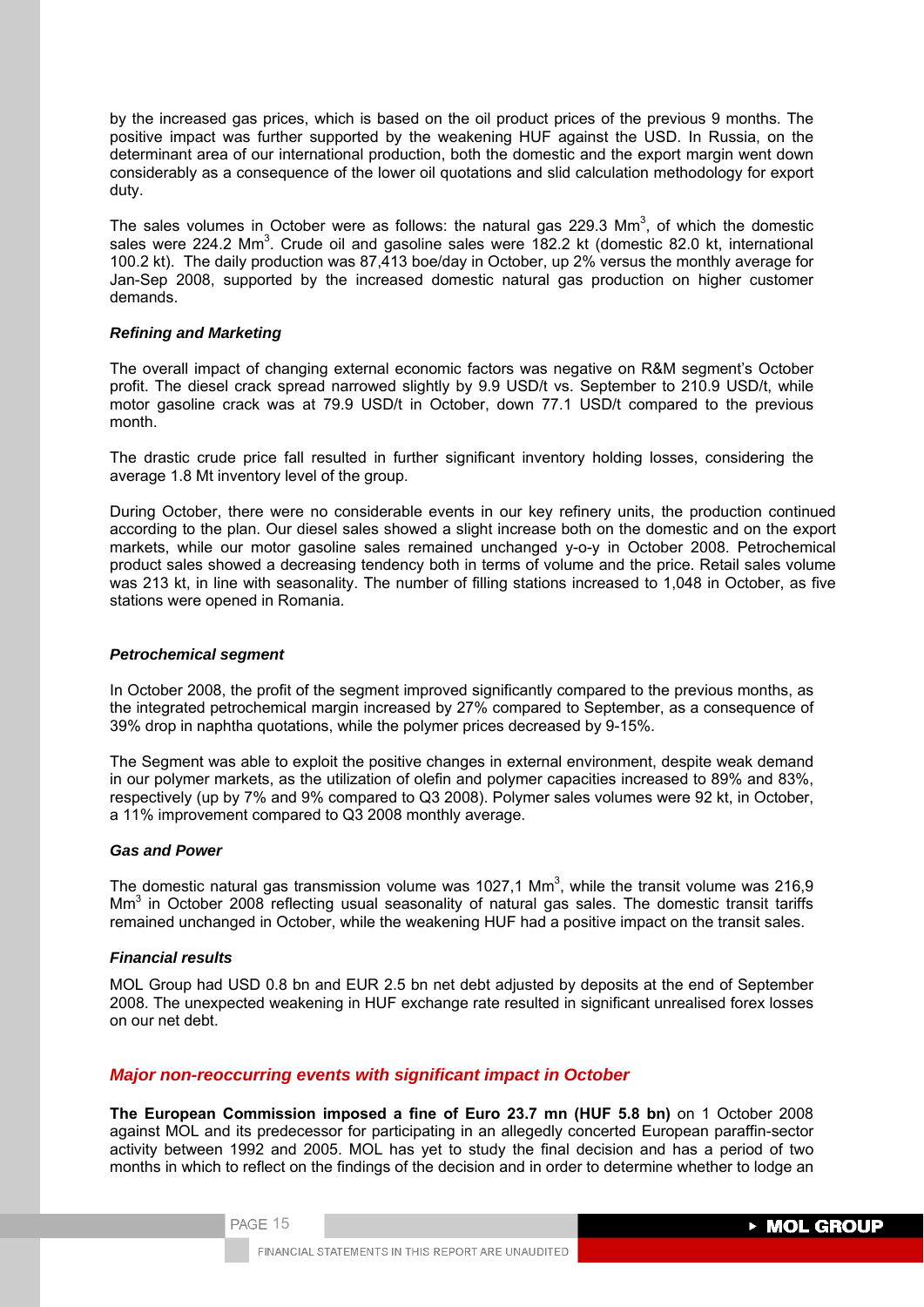by the increased gas prices, which is based on the oil product prices of the previous 9 months. The positive impact was further supported by the weakening HUF against the USD. In Russia, on the determinant area of our international production, both the domestic and the export margin went down considerably as a consequence of the lower oil quotations and slid calculation methodology for export duty.

The sales volumes in October were as follows: the natural gas 229.3 Mm<sup>3</sup>, of which the domestic sales were 224.2 Mm<sup>3</sup>. Crude oil and gasoline sales were 182.2 kt (domestic 82.0 kt, international 100.2 kt). The daily production was 87,413 boe/day in October, up 2% versus the monthly average for Jan-Sep 2008, supported by the increased domestic natural gas production on higher customer demands.

#### *Refining and Marketing*

The overall impact of changing external economic factors was negative on R&M segment's October profit. The diesel crack spread narrowed slightly by 9.9 USD/t vs. September to 210.9 USD/t, while motor gasoline crack was at 79.9 USD/t in October, down 77.1 USD/t compared to the previous month.

The drastic crude price fall resulted in further significant inventory holding losses, considering the average 1.8 Mt inventory level of the group.

During October, there were no considerable events in our key refinery units, the production continued according to the plan. Our diesel sales showed a slight increase both on the domestic and on the export markets, while our motor gasoline sales remained unchanged y-o-y in October 2008. Petrochemical product sales showed a decreasing tendency both in terms of volume and the price. Retail sales volume was 213 kt, in line with seasonality. The number of filling stations increased to 1,048 in October, as five stations were opened in Romania.

### *Petrochemical segment*

In October 2008, the profit of the segment improved significantly compared to the previous months, as the integrated petrochemical margin increased by 27% compared to September, as a consequence of 39% drop in naphtha quotations, while the polymer prices decreased by 9-15%.

The Segment was able to exploit the positive changes in external environment, despite weak demand in our polymer markets, as the utilization of olefin and polymer capacities increased to 89% and 83%, respectively (up by 7% and 9% compared to Q3 2008). Polymer sales volumes were 92 kt, in October, a 11% improvement compared to Q3 2008 monthly average.

#### *Gas and Power*

The domestic natural gas transmission volume was 1027,1 Mm<sup>3</sup>, while the transit volume was 216,9 Mm<sup>3</sup> in October 2008 reflecting usual seasonality of natural gas sales. The domestic transit tariffs remained unchanged in October, while the weakening HUF had a positive impact on the transit sales.

## *Financial results*

MOL Group had USD 0.8 bn and EUR 2.5 bn net debt adjusted by deposits at the end of September 2008. The unexpected weakening in HUF exchange rate resulted in significant unrealised forex losses on our net debt.

## *Major non-reoccurring events with significant impact in October*

**The European Commission imposed a fine of Euro 23.7 mn (HUF 5.8 bn)** on 1 October 2008 against MOL and its predecessor for participating in an allegedly concerted European paraffin-sector activity between 1992 and 2005. MOL has yet to study the final decision and has a period of two months in which to reflect on the findings of the decision and in order to determine whether to lodge an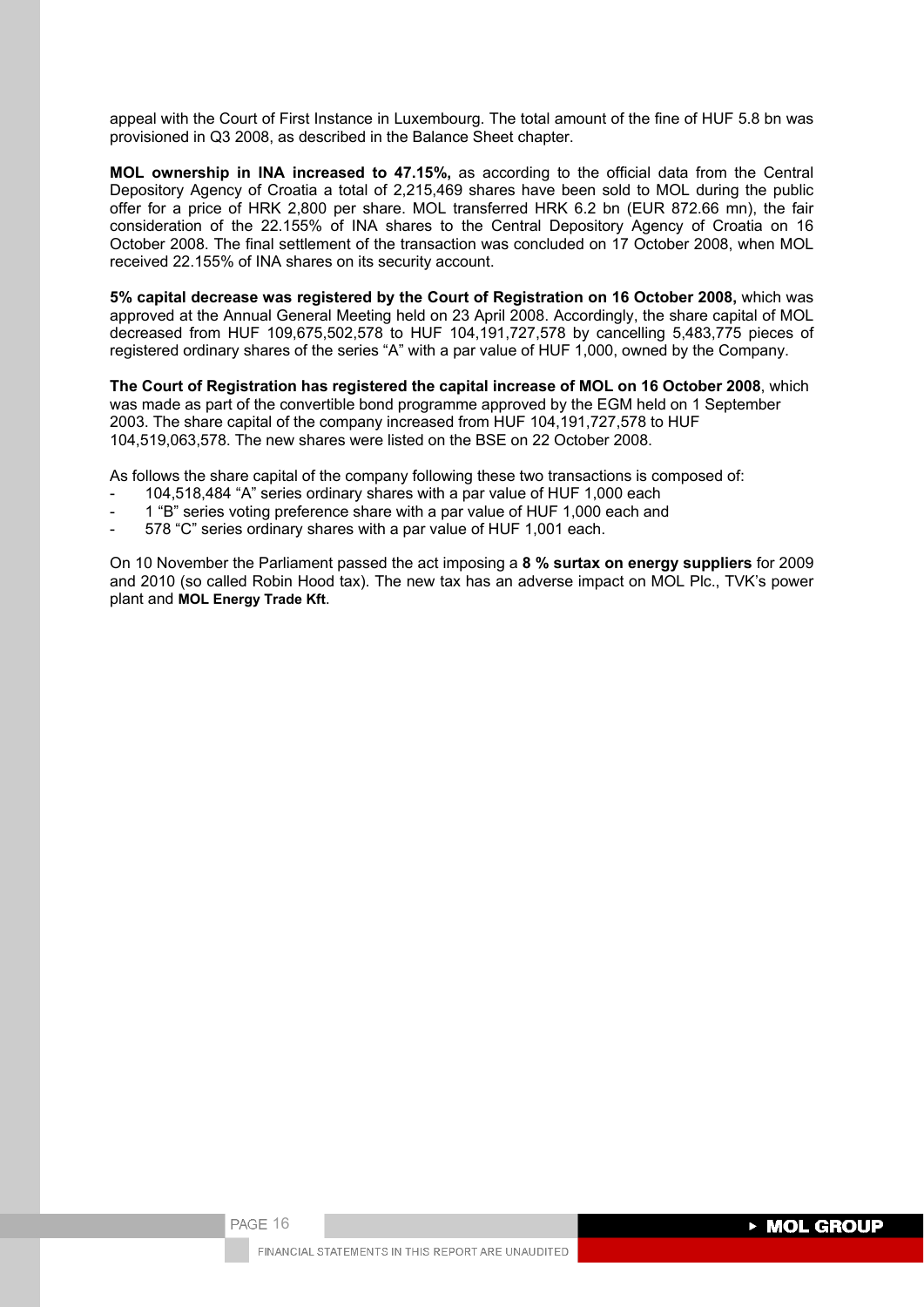appeal with the Court of First Instance in Luxembourg. The total amount of the fine of HUF 5.8 bn was provisioned in Q3 2008, as described in the Balance Sheet chapter.

**MOL ownership in INA increased to 47.15%,** as according to the official data from the Central Depository Agency of Croatia a total of 2,215,469 shares have been sold to MOL during the public offer for a price of HRK 2,800 per share. MOL transferred HRK 6.2 bn (EUR 872.66 mn), the fair consideration of the 22.155% of INA shares to the Central Depository Agency of Croatia on 16 October 2008. The final settlement of the transaction was concluded on 17 October 2008, when MOL received 22.155% of INA shares on its security account.

**5% capital decrease was registered by the Court of Registration on 16 October 2008,** which was approved at the Annual General Meeting held on 23 April 2008. Accordingly, the share capital of MOL decreased from HUF 109,675,502,578 to HUF 104,191,727,578 by cancelling 5,483,775 pieces of registered ordinary shares of the series "A" with a par value of HUF 1,000, owned by the Company.

**The Court of Registration has registered the capital increase of MOL on 16 October 2008**, which was made as part of the convertible bond programme approved by the EGM held on 1 September 2003. The share capital of the company increased from HUF 104,191,727,578 to HUF 104,519,063,578. The new shares were listed on the BSE on 22 October 2008.

As follows the share capital of the company following these two transactions is composed of:

- 104,518,484 "A" series ordinary shares with a par value of HUF 1,000 each
- 1 "B" series voting preference share with a par value of HUF 1,000 each and
- 578 "C" series ordinary shares with a par value of HUF 1,001 each.

On 10 November the Parliament passed the act imposing a **8 % surtax on energy suppliers** for 2009 and 2010 (so called Robin Hood tax). The new tax has an adverse impact on MOL Plc., TVK's power plant and **MOL Energy Trade Kft**.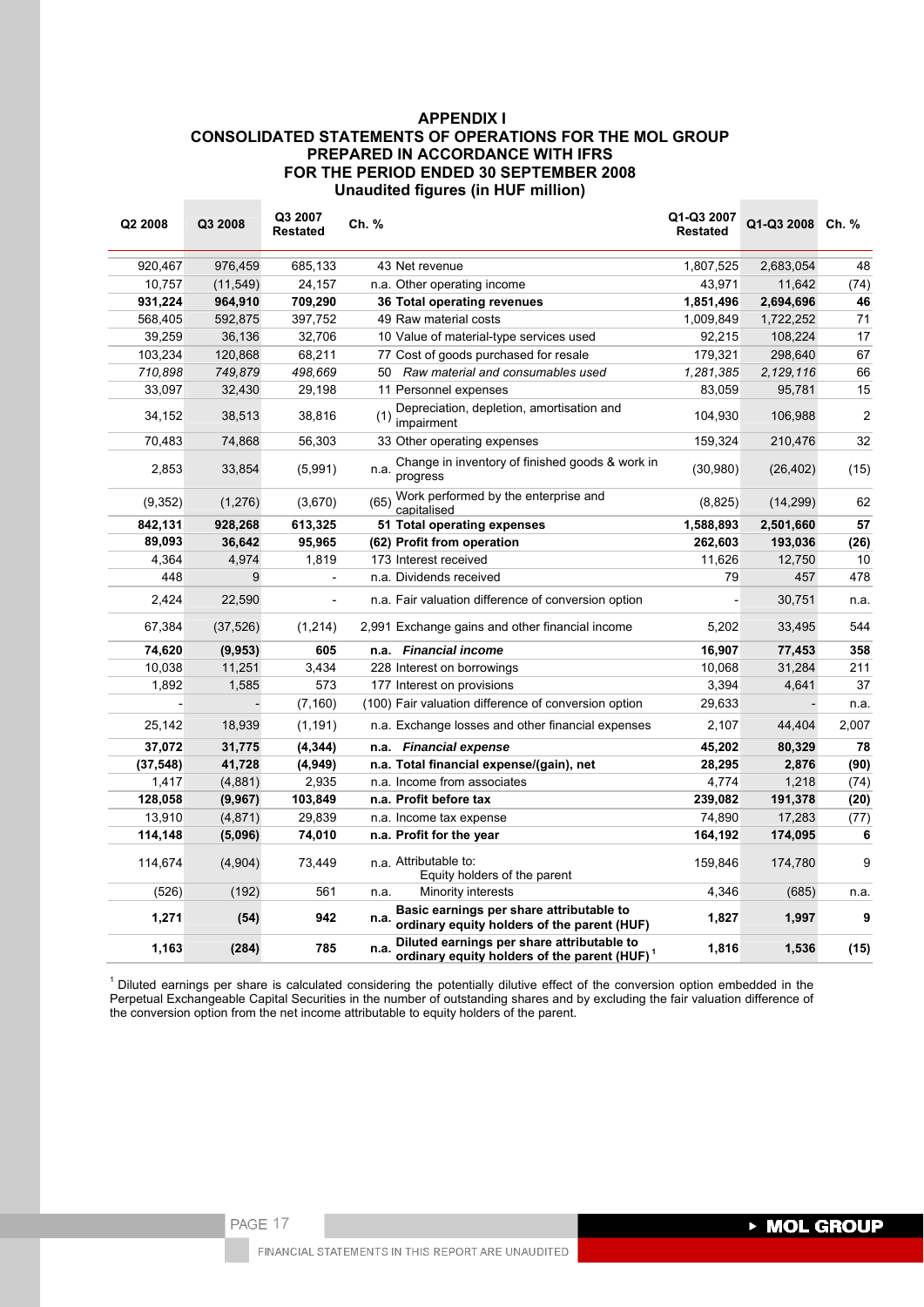# **APPENDIX I CONSOLIDATED STATEMENTS OF OPERATIONS FOR THE MOL GROUP PREPARED IN ACCORDANCE WITH IFRS FOR THE PERIOD ENDED 30 SEPTEMBER 2008 Unaudited figures (in HUF million)**

| Q2 2008   | Q3 2008   | Q3 2007<br><b>Restated</b> | Ch. % |                                                                                                        | Q1-Q3 2007<br><b>Restated</b> | Q1-Q3 2008 | Ch. %          |
|-----------|-----------|----------------------------|-------|--------------------------------------------------------------------------------------------------------|-------------------------------|------------|----------------|
| 920,467   | 976,459   | 685,133                    |       | 43 Net revenue                                                                                         | 1,807,525                     | 2,683,054  | 48             |
| 10,757    | (11, 549) | 24,157                     |       | n.a. Other operating income                                                                            | 43,971                        | 11,642     | (74)           |
| 931,224   | 964,910   | 709,290                    |       | 36 Total operating revenues                                                                            | 1,851,496                     | 2,694,696  | 46             |
| 568,405   | 592,875   | 397,752                    |       | 49 Raw material costs                                                                                  | 1,009,849                     | 1,722,252  | 71             |
| 39,259    | 36,136    | 32,706                     |       | 10 Value of material-type services used                                                                | 92,215                        | 108,224    | 17             |
| 103,234   | 120,868   | 68,211                     |       | 77 Cost of goods purchased for resale                                                                  | 179,321                       | 298,640    | 67             |
| 710,898   | 749,879   | 498,669                    |       | 50 Raw material and consumables used                                                                   | 1,281,385                     | 2,129,116  | 66             |
| 33,097    | 32,430    | 29,198                     |       | 11 Personnel expenses                                                                                  | 83,059                        | 95,781     | 15             |
| 34,152    | 38,513    | 38,816                     |       | Depreciation, depletion, amortisation and<br>$(1)$ impairment                                          | 104,930                       | 106,988    | $\overline{2}$ |
| 70,483    | 74,868    | 56,303                     |       | 33 Other operating expenses                                                                            | 159,324                       | 210,476    | 32             |
| 2,853     | 33,854    | (5,991)                    | n.a.  | Change in inventory of finished goods & work in<br>progress                                            | (30,980)                      | (26, 402)  | (15)           |
| (9,352)   | (1,276)   | (3,670)                    | (65)  | Work performed by the enterprise and<br>capitalised                                                    | (8,825)                       | (14, 299)  | 62             |
| 842,131   | 928,268   | 613,325                    |       | 51 Total operating expenses                                                                            | 1,588,893                     | 2,501,660  | 57             |
| 89,093    | 36,642    | 95,965                     |       | (62) Profit from operation                                                                             | 262,603                       | 193,036    | (26)           |
| 4,364     | 4,974     | 1,819                      |       | 173 Interest received                                                                                  | 11,626                        | 12,750     | 10             |
| 448       | 9         |                            |       | n.a. Dividends received                                                                                | 79                            | 457        | 478            |
| 2,424     | 22,590    |                            |       | n.a. Fair valuation difference of conversion option                                                    |                               | 30,751     | n.a.           |
| 67,384    | (37, 526) | (1,214)                    |       | 2,991 Exchange gains and other financial income                                                        | 5,202                         | 33,495     | 544            |
| 74,620    | (9, 953)  | 605                        |       | n.a. Financial income                                                                                  | 16,907                        | 77,453     | 358            |
| 10,038    | 11,251    | 3,434                      |       | 228 Interest on borrowings                                                                             | 10,068                        | 31,284     | 211            |
| 1,892     | 1,585     | 573                        |       | 177 Interest on provisions                                                                             | 3,394                         | 4,641      | 37             |
|           |           | (7, 160)                   |       | (100) Fair valuation difference of conversion option                                                   | 29,633                        |            | n.a.           |
| 25,142    | 18,939    | (1, 191)                   |       | n.a. Exchange losses and other financial expenses                                                      | 2,107                         | 44,404     | 2,007          |
| 37,072    | 31,775    | (4, 344)                   | n.a.  | <b>Financial expense</b>                                                                               | 45,202                        | 80,329     | 78             |
| (37, 548) | 41,728    | (4, 949)                   |       | n.a. Total financial expense/(gain), net                                                               | 28,295                        | 2,876      | (90)           |
| 1,417     | (4,881)   | 2,935                      |       | n.a. Income from associates                                                                            | 4,774                         | 1,218      | (74)           |
| 128,058   | (9,967)   | 103,849                    |       | n.a. Profit before tax                                                                                 | 239,082                       | 191,378    | (20)           |
| 13,910    | (4, 871)  | 29,839                     |       | n.a. Income tax expense                                                                                | 74,890                        | 17,283     | (77)           |
| 114,148   | (5,096)   | 74,010                     |       | n.a. Profit for the year                                                                               | 164,192                       | 174,095    | 6              |
| 114,674   | (4,904)   | 73,449                     |       | n.a. Attributable to:<br>Equity holders of the parent                                                  | 159,846                       | 174,780    | 9              |
| (526)     | (192)     | 561                        | n.a.  | Minority interests                                                                                     | 4,346                         | (685)      | n.a.           |
| 1,271     | (54)      | 942                        | n.a.  | Basic earnings per share attributable to<br>ordinary equity holders of the parent (HUF)                | 1,827                         | 1,997      | 9              |
| 1,163     | (284)     | 785                        | n.a.  | Diluted earnings per share attributable to<br>ordinary equity holders of the parent (HUF) <sup>1</sup> | 1,816                         | 1,536      | (15)           |

 $1$  Diluted earnings per share is calculated considering the potentially dilutive effect of the conversion option embedded in the Perpetual Exchangeable Capital Securities in the number of outstanding shares and by excluding the fair valuation difference of the conversion option from the net income attributable to equity holders of the parent.

FINANCIAL STATEMENTS IN THIS REPORT ARE UNAUDITED

**MOL GROUP**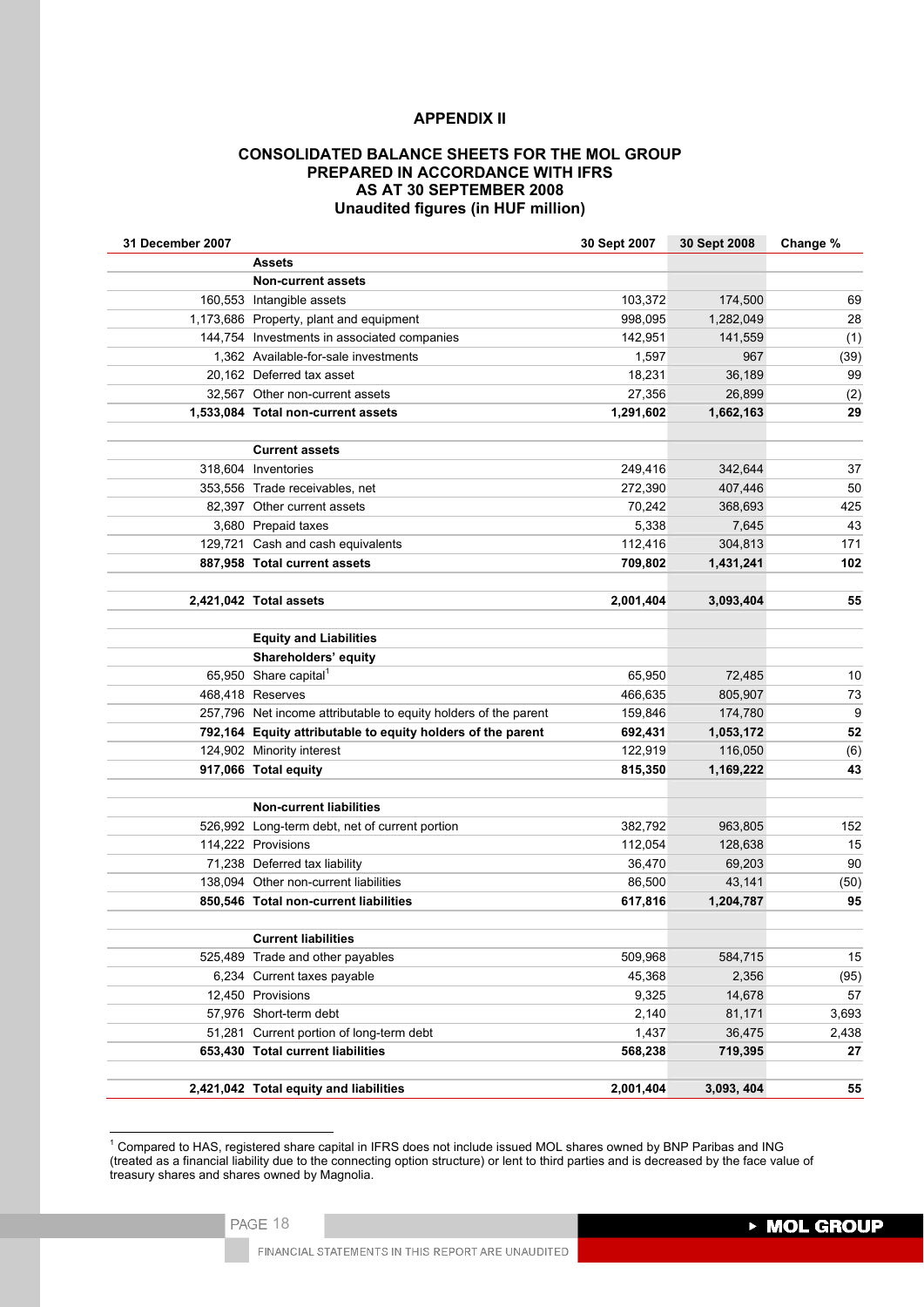### **APPENDIX II**

## **CONSOLIDATED BALANCE SHEETS FOR THE MOL GROUP PREPARED IN ACCORDANCE WITH IFRS AS AT 30 SEPTEMBER 2008 Unaudited figures (in HUF million)**

| 31 December 2007 |                                                                 | 30 Sept 2007 | 30 Sept 2008 | Change % |
|------------------|-----------------------------------------------------------------|--------------|--------------|----------|
|                  | <b>Assets</b>                                                   |              |              |          |
|                  | <b>Non-current assets</b>                                       |              |              |          |
|                  | 160,553 Intangible assets                                       | 103,372      | 174,500      | 69       |
|                  | 1,173,686 Property, plant and equipment                         | 998,095      | 1,282,049    | 28       |
|                  | 144,754 Investments in associated companies                     | 142.951      | 141,559      | (1)      |
|                  | 1,362 Available-for-sale investments                            | 1,597        | 967          | (39)     |
|                  | 20,162 Deferred tax asset                                       | 18,231       | 36,189       | 99       |
|                  | 32,567 Other non-current assets                                 | 27,356       | 26,899       | (2)      |
|                  | 1,533,084 Total non-current assets                              | 1,291,602    | 1,662,163    | 29       |
|                  | <b>Current assets</b>                                           |              |              |          |
|                  | 318,604 Inventories                                             | 249,416      | 342,644      | 37       |
|                  | 353,556 Trade receivables, net                                  | 272,390      | 407,446      | 50       |
|                  | 82,397 Other current assets                                     | 70,242       | 368,693      | 425      |
|                  | 3,680 Prepaid taxes                                             | 5,338        | 7,645        | 43       |
|                  | 129,721 Cash and cash equivalents                               | 112,416      | 304,813      | 171      |
|                  | 887,958 Total current assets                                    | 709,802      | 1,431,241    | 102      |
|                  | 2,421,042 Total assets                                          | 2,001,404    | 3,093,404    | 55       |
|                  |                                                                 |              |              |          |
|                  | <b>Equity and Liabilities</b>                                   |              |              |          |
|                  | Shareholders' equity                                            |              |              |          |
|                  | 65,950 Share capital <sup>1</sup>                               | 65,950       | 72.485       | 10       |
|                  | 468,418 Reserves                                                | 466,635      | 805,907      | 73       |
|                  | 257,796 Net income attributable to equity holders of the parent | 159,846      | 174,780      | 9        |
|                  | 792,164 Equity attributable to equity holders of the parent     | 692,431      | 1,053,172    | 52       |
|                  | 124,902 Minority interest                                       | 122,919      | 116,050      | (6)      |
|                  | 917,066 Total equity                                            | 815,350      | 1,169,222    | 43       |
|                  | <b>Non-current liabilities</b>                                  |              |              |          |
|                  | 526,992 Long-term debt, net of current portion                  | 382,792      | 963,805      | 152      |
|                  | 114,222 Provisions                                              | 112,054      | 128,638      | 15       |
|                  | 71,238 Deferred tax liability                                   | 36,470       | 69,203       | 90       |
|                  | 138,094 Other non-current liabilities                           | 86,500       | 43,141       | (50)     |
|                  | 850,546 Total non-current liabilities                           | 617,816      | 1,204,787    | 95       |
|                  | <b>Current liabilities</b>                                      |              |              |          |
|                  | 525,489 Trade and other payables                                | 509,968      | 584,715      | 15       |
|                  | 6,234 Current taxes payable                                     | 45,368       | 2,356        | (95)     |
|                  | 12,450 Provisions                                               | 9,325        | 14,678       | 57       |
|                  | 57,976 Short-term debt                                          | 2,140        | 81,171       | 3,693    |
|                  | 51,281 Current portion of long-term debt                        | 1,437        | 36,475       | 2,438    |
|                  | 653,430 Total current liabilities                               | 568,238      | 719,395      | 27       |
|                  |                                                                 |              |              |          |

 1 Compared to HAS, registered share capital in IFRS does not include issued MOL shares owned by BNP Paribas and ING (treated as a financial liability due to the connecting option structure) or lent to third parties and is decreased by the face value of treasury shares and shares owned by Magnolia.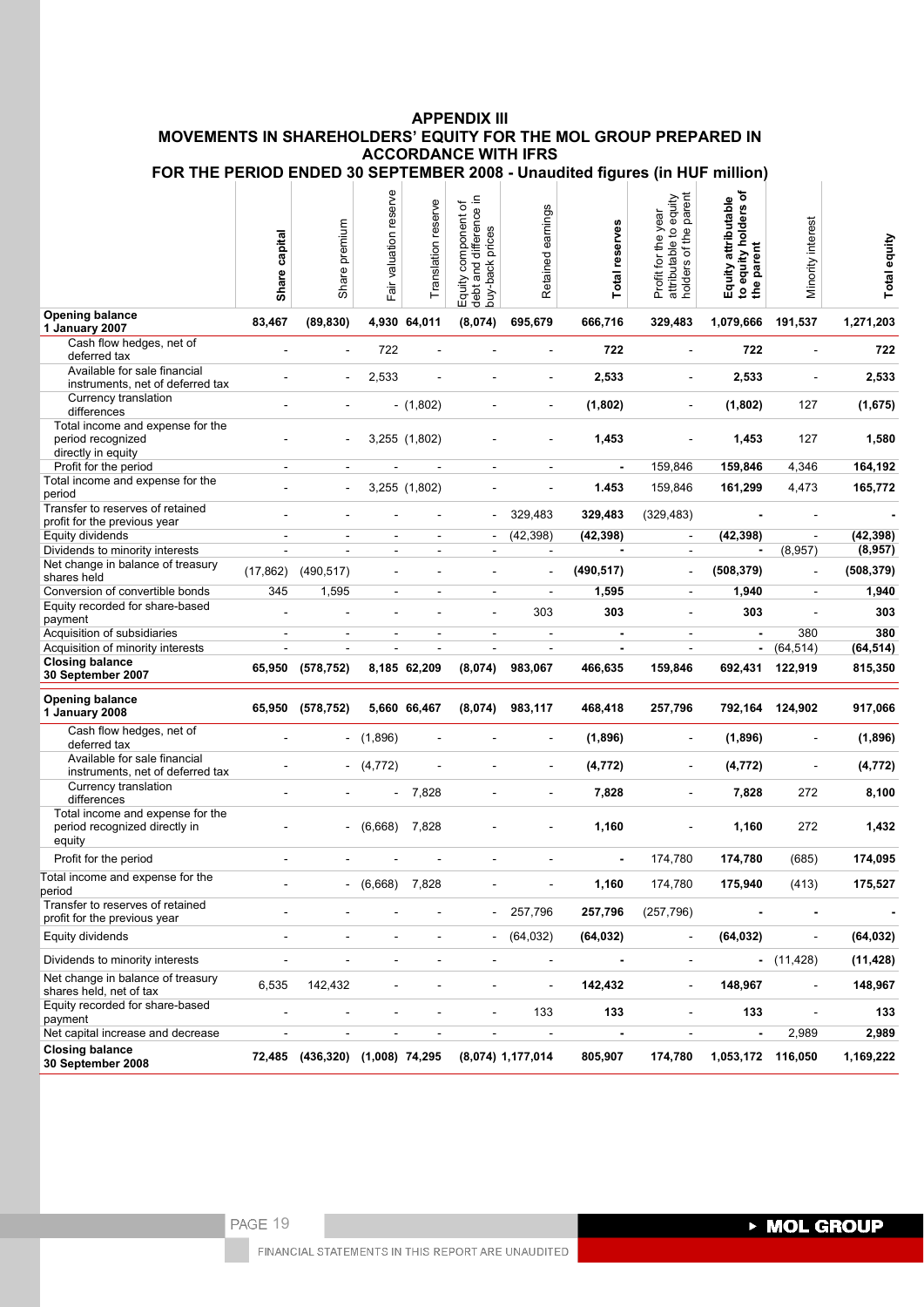# **APPENDIX III MOVEMENTS IN SHAREHOLDERS' EQUITY FOR THE MOL GROUP PREPARED IN ACCORDANCE WITH IFRS**

| FOR THE PERIOD ENDED 30 SEPTEMBER 2008 - Unaudited figures (in HUF million) |  |  |  |  |  |
|-----------------------------------------------------------------------------|--|--|--|--|--|
|                                                                             |  |  |  |  |  |

|                                                                             | Share capital            | Share premium                   | Fair valuation reserve   | Translation reserve      | difference in<br>৳<br>component<br>Equity componer<br>debt and differen<br>buy-back prices | Retained earnings        | Total reserves           | attributable to equity<br>holders of the parent<br>Profit for the year | ৳<br>Equity attributable<br>to equity holders<br>the parent | Minority interest        | Total equity |
|-----------------------------------------------------------------------------|--------------------------|---------------------------------|--------------------------|--------------------------|--------------------------------------------------------------------------------------------|--------------------------|--------------------------|------------------------------------------------------------------------|-------------------------------------------------------------|--------------------------|--------------|
| <b>Opening balance</b><br>1 January 2007                                    | 83,467                   | (89, 830)                       |                          | 4,930 64,011             | (8,074)                                                                                    | 695,679                  | 666,716                  | 329,483                                                                | 1,079,666                                                   | 191,537                  | 1,271,203    |
| Cash flow hedges, net of<br>deferred tax                                    | $\overline{a}$           |                                 | 722                      |                          |                                                                                            | $\sim$                   | 722                      | $\sim$                                                                 | 722                                                         |                          | 722          |
| Available for sale financial<br>instruments, net of deferred tax            |                          |                                 | 2,533                    |                          |                                                                                            | $\sim$                   | 2,533                    | $\overline{\phantom{a}}$                                               | 2,533                                                       | ÷                        | 2,533        |
| Currency translation<br>differences                                         |                          |                                 |                          | $- (1,802)$              |                                                                                            |                          | (1,802)                  | $\overline{\phantom{a}}$                                               | (1,802)                                                     | 127                      | (1,675)      |
| Total income and expense for the                                            |                          |                                 |                          |                          |                                                                                            |                          |                          |                                                                        |                                                             |                          |              |
| period recognized<br>directly in equity                                     |                          |                                 |                          | 3,255 (1,802)            |                                                                                            |                          | 1,453                    |                                                                        | 1,453                                                       | 127                      | 1,580        |
| Profit for the period                                                       | $\blacksquare$           |                                 |                          |                          | $\overline{\phantom{a}}$                                                                   | $\overline{\phantom{a}}$ | $\blacksquare$           | 159,846                                                                | 159,846                                                     | 4,346                    | 164,192      |
| Total income and expense for the<br>period                                  |                          |                                 |                          | 3,255 (1,802)            |                                                                                            |                          | 1.453                    | 159,846                                                                | 161,299                                                     | 4,473                    | 165,772      |
| Transfer to reserves of retained<br>profit for the previous year            |                          |                                 |                          |                          |                                                                                            | 329,483                  | 329,483                  | (329, 483)                                                             |                                                             |                          |              |
| Equity dividends                                                            | $\sim$                   | $\blacksquare$                  | $\overline{\phantom{a}}$ | $\blacksquare$           | $\blacksquare$                                                                             | (42, 398)                | (42, 398)                | $\blacksquare$                                                         | (42, 398)                                                   | $\blacksquare$           | (42, 398)    |
| Dividends to minority interests                                             |                          |                                 | $\blacksquare$           | $\overline{\phantom{a}}$ | $\blacksquare$                                                                             | $\overline{\phantom{a}}$ |                          | $\overline{\phantom{a}}$                                               |                                                             | (8,957)                  | (8,957)      |
| Net change in balance of treasury<br>shares held                            | (17, 862)                | (490, 517)                      | $\overline{\phantom{m}}$ |                          | $\overline{\phantom{0}}$                                                                   | $\overline{\phantom{a}}$ | (490, 517)               | $\overline{\phantom{a}}$                                               | (508, 379)                                                  | $\overline{\phantom{a}}$ | (508, 379)   |
| Conversion of convertible bonds                                             | 345                      | 1,595                           | $\blacksquare$           | $\overline{\phantom{a}}$ | $\blacksquare$                                                                             | $\overline{\phantom{a}}$ | 1,595                    | $\blacksquare$                                                         | 1,940                                                       | $\blacksquare$           | 1,940        |
| Equity recorded for share-based<br>payment                                  |                          |                                 |                          |                          |                                                                                            | 303                      | 303                      | $\bar{a}$                                                              | 303                                                         | ÷,                       | 303          |
| Acquisition of subsidiaries                                                 | $\overline{\phantom{a}}$ | $\blacksquare$                  | $\sim$                   | $\sim$                   | $\blacksquare$                                                                             | $\overline{a}$           | $\blacksquare$           | $\overline{\phantom{a}}$                                               | $\blacksquare$                                              | 380                      | 380          |
| Acquisition of minority interests                                           | L.                       | $\blacksquare$                  | $\blacksquare$           | $\blacksquare$           | $\blacksquare$                                                                             | $\overline{\phantom{a}}$ | $\overline{\phantom{a}}$ | $\sim$                                                                 | $\blacksquare$                                              | (64, 514)                | (64, 514)    |
| <b>Closing balance</b><br>30 September 2007                                 |                          | 65,950 (578,752)                |                          | 8,185 62,209             | (8,074)                                                                                    | 983,067                  | 466,635                  | 159,846                                                                | 692,431                                                     | 122,919                  | 815,350      |
| <b>Opening balance</b><br>1 January 2008                                    |                          | 65,950 (578,752)                |                          | 5,660 66,467             | (8,074)                                                                                    | 983,117                  | 468,418                  | 257,796                                                                |                                                             | 792,164 124,902          | 917,066      |
| Cash flow hedges, net of<br>deferred tax                                    |                          |                                 | $-$ (1,896)              |                          |                                                                                            |                          | (1,896)                  | $\blacksquare$                                                         | (1,896)                                                     |                          | (1,896)      |
| Available for sale financial<br>instruments, net of deferred tax            |                          |                                 | $-$ (4,772)              |                          |                                                                                            |                          | (4, 772)                 | ÷,                                                                     | (4, 772)                                                    |                          | (4, 772)     |
| Currency translation<br>differences                                         |                          |                                 | $\overline{\phantom{a}}$ | 7,828                    |                                                                                            |                          | 7,828                    |                                                                        | 7,828                                                       | 272                      | 8,100        |
| Total income and expense for the<br>period recognized directly in<br>equity |                          |                                 | (6,668)                  | 7,828                    |                                                                                            |                          | 1,160                    |                                                                        | 1,160                                                       | 272                      | 1,432        |
| Profit for the period                                                       |                          |                                 |                          |                          |                                                                                            |                          |                          | 174,780                                                                | 174,780                                                     | (685)                    | 174,095      |
| Total income and expense for the<br>period                                  |                          |                                 | (6,668)                  | 7,828                    |                                                                                            |                          | 1,160                    | 174,780                                                                | 175,940                                                     | (413)                    | 175,527      |
| Transfer to reserves of retained<br>profit for the previous year            |                          |                                 |                          |                          | $\blacksquare$                                                                             | 257,796                  | 257,796                  | (257, 796)                                                             |                                                             |                          |              |
| Equity dividends                                                            |                          |                                 |                          |                          |                                                                                            | (64, 032)                | (64, 032)                |                                                                        | (64, 032)                                                   | ÷,                       | (64, 032)    |
| Dividends to minority interests                                             |                          |                                 |                          |                          |                                                                                            | $\overline{\phantom{a}}$ |                          | ÷                                                                      |                                                             | $-$ (11,428)             | (11, 428)    |
| Net change in balance of treasury<br>shares held, net of tax                | 6,535                    | 142,432                         |                          |                          | ۳                                                                                          | $\blacksquare$           | 142,432                  | $\overline{\phantom{a}}$                                               | 148,967                                                     | $\overline{\phantom{a}}$ | 148,967      |
| Equity recorded for share-based<br>payment                                  |                          |                                 |                          |                          | L,                                                                                         | 133                      | 133                      | $\sim$                                                                 | 133                                                         |                          | 133          |
| Net capital increase and decrease                                           | $\overline{\phantom{a}}$ | $\overline{\phantom{a}}$        | $\overline{\phantom{a}}$ | $\overline{\phantom{a}}$ | ÷,                                                                                         | $\overline{\phantom{a}}$ | $\blacksquare$           | $\overline{\phantom{a}}$                                               | $\blacksquare$                                              | 2,989                    | 2,989        |
| <b>Closing balance</b><br>30 September 2008                                 |                          | 72,485 (436,320) (1,008) 74,295 |                          |                          |                                                                                            | $(8,074)$ 1,177,014      | 805,907                  | 174,780                                                                | 1,053,172 116,050                                           |                          | 1,169,222    |

and the control of the control of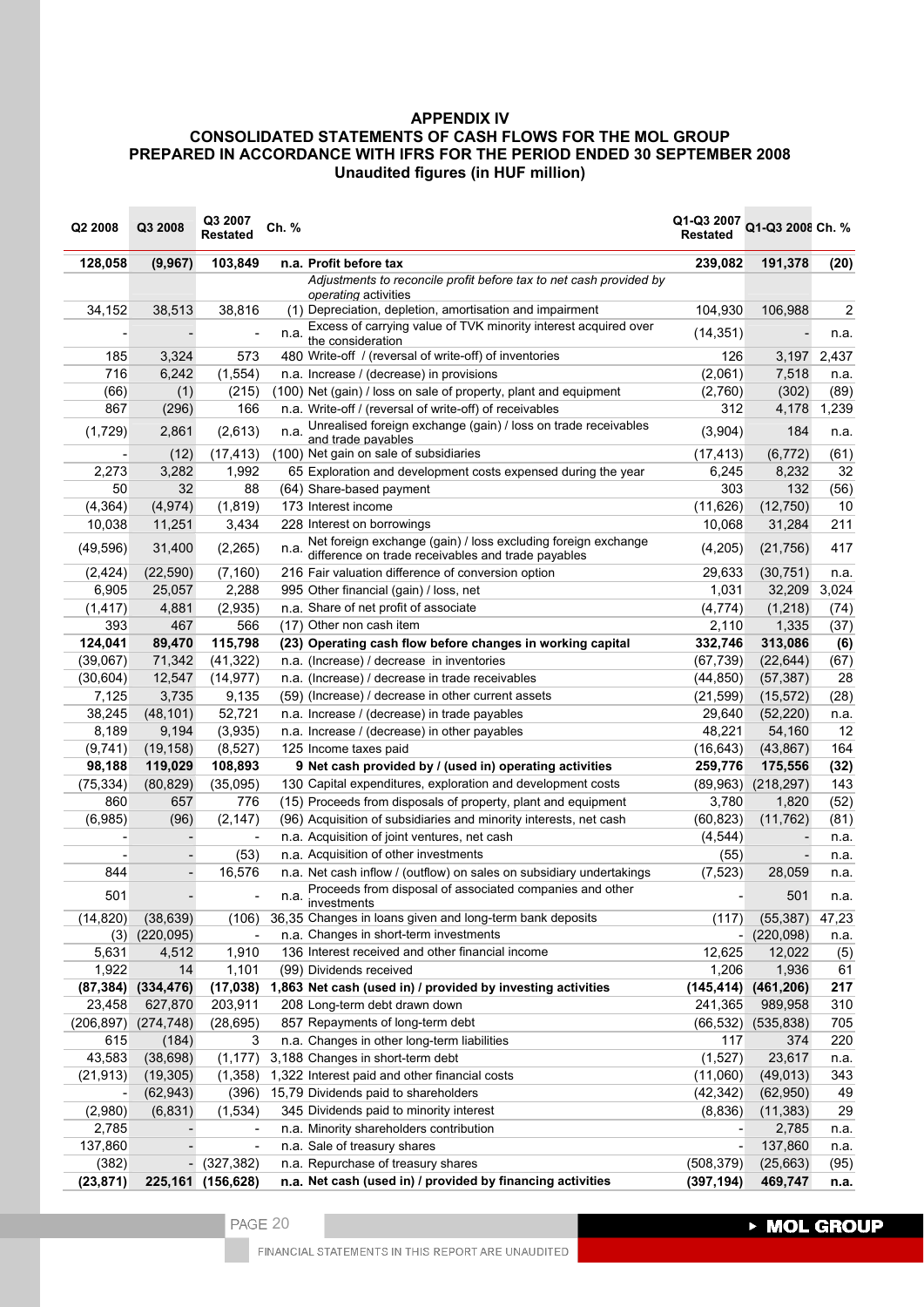# **APPENDIX IV**

# **CONSOLIDATED STATEMENTS OF CASH FLOWS FOR THE MOL GROUP PREPARED IN ACCORDANCE WITH IFRS FOR THE PERIOD ENDED 30 SEPTEMBER 2008 Unaudited figures (in HUF million)**

| 103,849<br>128,058<br>(9, 967)<br>n.a. Profit before tax<br>239,082<br>191,378<br>(20)<br>Adjustments to reconcile profit before tax to net cash provided by<br>operating activities<br>38,816<br>(1) Depreciation, depletion, amortisation and impairment<br>104,930<br>106,988<br>$\overline{c}$<br>34,152<br>38,513<br>Excess of carrying value of TVK minority interest acquired over<br>(14, 351)<br>n.a.<br>n.a.<br>the consideration<br>573<br>185<br>3,324<br>480 Write-off / (reversal of write-off) of inventories<br>126<br>3,197 2,437<br>716<br>(1, 554)<br>(2,061)<br>6,242<br>7,518<br>n.a. Increase / (decrease) in provisions<br>n.a.<br>(2,760)<br>(302)<br>(66)<br>(1)<br>(215)<br>(100) Net (gain) / loss on sale of property, plant and equipment<br>(89)<br>n.a. Write-off / (reversal of write-off) of receivables<br>867<br>(296)<br>166<br>312<br>4,178<br>1,239<br>Unrealised foreign exchange (gain) / loss on trade receivables<br>(1,729)<br>184<br>2,861<br>(2,613)<br>(3,904)<br>n.a.<br>n.a.<br>and trade pavables<br>(61)<br>(12)<br>(17, 413)<br>(100) Net gain on sale of subsidiaries<br>(17, 413)<br>(6,772)<br>32<br>2,273<br>3,282<br>1,992<br>65 Exploration and development costs expensed during the year<br>6,245<br>8,232<br>50<br>32<br>88<br>303<br>132<br>(56)<br>(64) Share-based payment<br>173 Interest income<br>10<br>(4, 364)<br>(4, 974)<br>(1, 819)<br>(11, 626)<br>(12,750)<br>3,434<br>211<br>10,038<br>11,251<br>228 Interest on borrowings<br>10,068<br>31,284<br>Net foreign exchange (gain) / loss excluding foreign exchange<br>(49, 596)<br>31,400<br>(2, 265)<br>(4,205)<br>(21, 756)<br>417<br>n.a.<br>difference on trade receivables and trade payables<br>(2, 424)<br>(22, 590)<br>(7, 160)<br>216 Fair valuation difference of conversion option<br>29,633<br>(30, 751)<br>n.a.<br>3,024<br>6,905<br>25,057<br>2,288<br>1,031<br>32,209<br>995 Other financial (gain) / loss, net<br>n.a. Share of net profit of associate<br>(1, 417)<br>4,881<br>(2,935)<br>(4, 774)<br>(1,218)<br>(74)<br>393<br>467<br>566<br>(17) Other non cash item<br>2,110<br>1,335<br>(37)<br>124,041<br>115,798<br>313,086<br>(6)<br>89,470<br>(23) Operating cash flow before changes in working capital<br>332,746<br>(39,067)<br>(67, 739)<br>(22, 644)<br>71,342<br>(41, 322)<br>n.a. (Increase) / decrease in inventories<br>(67)<br>(30, 604)<br>n.a. (Increase) / decrease in trade receivables<br>28<br>12,547<br>(14, 977)<br>(44, 850)<br>(57, 387)<br>(28)<br>7,125<br>3,735<br>9,135<br>(59) (Increase) / decrease in other current assets<br>(21, 599)<br>(15, 572)<br>38,245<br>(48, 101)<br>52,721<br>29,640<br>(52, 220)<br>n.a. Increase / (decrease) in trade payables<br>n.a.<br>12<br>8,189<br>48,221<br>9,194<br>(3,935)<br>n.a. Increase / (decrease) in other payables<br>54,160<br>164<br>(9,741)<br>(19, 158)<br>(8, 527)<br>125 Income taxes paid<br>(16, 643)<br>(43, 867)<br>98,188<br>119,029<br>108,893<br>9 Net cash provided by / (used in) operating activities<br>(32)<br>259,776<br>175,556<br>143<br>(75, 334)<br>(80, 829)<br>(35,095)<br>130 Capital expenditures, exploration and development costs<br>(218, 297)<br>(89, 963)<br>657<br>(15) Proceeds from disposals of property, plant and equipment<br>(52)<br>860<br>776<br>3,780<br>1,820<br>(6,985)<br>(96)<br>(96) Acquisition of subsidiaries and minority interests, net cash<br>(2, 147)<br>(60, 823)<br>(11, 762)<br>(81)<br>n.a. Acquisition of joint ventures, net cash<br>(4, 544)<br>n.a.<br>(53)<br>n.a. Acquisition of other investments<br>(55)<br>$\overline{\phantom{a}}$<br>$\overline{a}$<br>n.a.<br>n.a. Net cash inflow / (outflow) on sales on subsidiary undertakings<br>844<br>16,576<br>(7,523)<br>28,059<br>$\qquad \qquad -$<br>n.a.<br>Proceeds from disposal of associated companies and other<br>501<br>501<br>n.a.<br>n.a.<br>investments<br>36,35 Changes in loans given and long-term bank deposits<br>(14, 820)<br>(38, 639)<br>(106)<br>(117)<br>(55, 387)<br>47,23<br>(220, 095)<br>n.a. Changes in short-term investments<br>(220,098)<br>(3)<br>n.a.<br>5,631<br>4,512<br>1,910<br>136 Interest received and other financial income<br>12,625<br>12,022<br>(5)<br>1,922<br>14<br>1,206<br>61<br>1,101<br>(99) Dividends received<br>1,936<br>(461, 206)<br>217<br>(87, 384)<br>(334, 476)<br>(17, 038)<br>1,863 Net cash (used in) / provided by investing activities<br>(145, 414)<br>23,458<br>627,870<br>203,911<br>208 Long-term debt drawn down<br>241,365<br>989,958<br>310<br>(206, 897)<br>(274, 748)<br>(28, 695)<br>857 Repayments of long-term debt<br>(535, 838)<br>705<br>(66, 532)<br>n.a. Changes in other long-term liabilities<br>220<br>615<br>(184)<br>3<br>117<br>374<br>43,583<br>(38, 698)<br>(1, 177)<br>(1,527)<br>23,617<br>3,188 Changes in short-term debt<br>n.a.<br>(21, 913)<br>(19, 305)<br>(1,358)<br>1,322 Interest paid and other financial costs<br>(49, 013)<br>343<br>(11,060)<br>(62, 943)<br>(396)<br>15,79 Dividends paid to shareholders<br>(42, 342)<br>(62,950)<br>49<br>$\overline{\phantom{a}}$<br>29<br>(2,980)<br>(6, 831)<br>(1,534)<br>345 Dividends paid to minority interest<br>(8,836)<br>(11, 383)<br>2,785<br>n.a. Minority shareholders contribution<br>2,785<br>n.a.<br>-<br>137,860<br>137,860<br>n.a. Sale of treasury shares<br>n.a.<br>$\overline{\phantom{a}}$<br>(508, 379)<br>(382)<br>$-(327,382)$<br>n.a. Repurchase of treasury shares<br>(25,663)<br>(95) | Q2 2008   | Q3 2008 | Q3 2007<br>Restated | Ch. % |                                                            | Q1-Q3 2007 Q1-Q3 2008 Ch. %<br><b>Restated</b> |         |      |
|--------------------------------------------------------------------------------------------------------------------------------------------------------------------------------------------------------------------------------------------------------------------------------------------------------------------------------------------------------------------------------------------------------------------------------------------------------------------------------------------------------------------------------------------------------------------------------------------------------------------------------------------------------------------------------------------------------------------------------------------------------------------------------------------------------------------------------------------------------------------------------------------------------------------------------------------------------------------------------------------------------------------------------------------------------------------------------------------------------------------------------------------------------------------------------------------------------------------------------------------------------------------------------------------------------------------------------------------------------------------------------------------------------------------------------------------------------------------------------------------------------------------------------------------------------------------------------------------------------------------------------------------------------------------------------------------------------------------------------------------------------------------------------------------------------------------------------------------------------------------------------------------------------------------------------------------------------------------------------------------------------------------------------------------------------------------------------------------------------------------------------------------------------------------------------------------------------------------------------------------------------------------------------------------------------------------------------------------------------------------------------------------------------------------------------------------------------------------------------------------------------------------------------------------------------------------------------------------------------------------------------------------------------------------------------------------------------------------------------------------------------------------------------------------------------------------------------------------------------------------------------------------------------------------------------------------------------------------------------------------------------------------------------------------------------------------------------------------------------------------------------------------------------------------------------------------------------------------------------------------------------------------------------------------------------------------------------------------------------------------------------------------------------------------------------------------------------------------------------------------------------------------------------------------------------------------------------------------------------------------------------------------------------------------------------------------------------------------------------------------------------------------------------------------------------------------------------------------------------------------------------------------------------------------------------------------------------------------------------------------------------------------------------------------------------------------------------------------------------------------------------------------------------------------------------------------------------------------------------------------------------------------------------------------------------------------------------------------------------------------------------------------------------------------------------------------------------------------------------------------------------------------------------------------------------------------------------------------------------------------------------------------------------------------------------------------------------------------------------------------------------------------------------------------------------------------------------------------------------------------------------------------------------------------------------------------------------------------------------------------------------------------------------------------------------------------------------------------------------------------------------------------------------------------------------------------------------------------------------------------------------------------------------------------------------------------------------------------------------------------------------------------------------------------------------------------------------------------------------------------------------------|-----------|---------|---------------------|-------|------------------------------------------------------------|------------------------------------------------|---------|------|
|                                                                                                                                                                                                                                                                                                                                                                                                                                                                                                                                                                                                                                                                                                                                                                                                                                                                                                                                                                                                                                                                                                                                                                                                                                                                                                                                                                                                                                                                                                                                                                                                                                                                                                                                                                                                                                                                                                                                                                                                                                                                                                                                                                                                                                                                                                                                                                                                                                                                                                                                                                                                                                                                                                                                                                                                                                                                                                                                                                                                                                                                                                                                                                                                                                                                                                                                                                                                                                                                                                                                                                                                                                                                                                                                                                                                                                                                                                                                                                                                                                                                                                                                                                                                                                                                                                                                                                                                                                                                                                                                                                                                                                                                                                                                                                                                                                                                                                                                                                                                                                                                                                                                                                                                                                                                                                                                                                                                                                                                                                              |           |         |                     |       |                                                            |                                                |         |      |
|                                                                                                                                                                                                                                                                                                                                                                                                                                                                                                                                                                                                                                                                                                                                                                                                                                                                                                                                                                                                                                                                                                                                                                                                                                                                                                                                                                                                                                                                                                                                                                                                                                                                                                                                                                                                                                                                                                                                                                                                                                                                                                                                                                                                                                                                                                                                                                                                                                                                                                                                                                                                                                                                                                                                                                                                                                                                                                                                                                                                                                                                                                                                                                                                                                                                                                                                                                                                                                                                                                                                                                                                                                                                                                                                                                                                                                                                                                                                                                                                                                                                                                                                                                                                                                                                                                                                                                                                                                                                                                                                                                                                                                                                                                                                                                                                                                                                                                                                                                                                                                                                                                                                                                                                                                                                                                                                                                                                                                                                                                              |           |         |                     |       |                                                            |                                                |         |      |
|                                                                                                                                                                                                                                                                                                                                                                                                                                                                                                                                                                                                                                                                                                                                                                                                                                                                                                                                                                                                                                                                                                                                                                                                                                                                                                                                                                                                                                                                                                                                                                                                                                                                                                                                                                                                                                                                                                                                                                                                                                                                                                                                                                                                                                                                                                                                                                                                                                                                                                                                                                                                                                                                                                                                                                                                                                                                                                                                                                                                                                                                                                                                                                                                                                                                                                                                                                                                                                                                                                                                                                                                                                                                                                                                                                                                                                                                                                                                                                                                                                                                                                                                                                                                                                                                                                                                                                                                                                                                                                                                                                                                                                                                                                                                                                                                                                                                                                                                                                                                                                                                                                                                                                                                                                                                                                                                                                                                                                                                                                              |           |         |                     |       |                                                            |                                                |         |      |
|                                                                                                                                                                                                                                                                                                                                                                                                                                                                                                                                                                                                                                                                                                                                                                                                                                                                                                                                                                                                                                                                                                                                                                                                                                                                                                                                                                                                                                                                                                                                                                                                                                                                                                                                                                                                                                                                                                                                                                                                                                                                                                                                                                                                                                                                                                                                                                                                                                                                                                                                                                                                                                                                                                                                                                                                                                                                                                                                                                                                                                                                                                                                                                                                                                                                                                                                                                                                                                                                                                                                                                                                                                                                                                                                                                                                                                                                                                                                                                                                                                                                                                                                                                                                                                                                                                                                                                                                                                                                                                                                                                                                                                                                                                                                                                                                                                                                                                                                                                                                                                                                                                                                                                                                                                                                                                                                                                                                                                                                                                              |           |         |                     |       |                                                            |                                                |         |      |
|                                                                                                                                                                                                                                                                                                                                                                                                                                                                                                                                                                                                                                                                                                                                                                                                                                                                                                                                                                                                                                                                                                                                                                                                                                                                                                                                                                                                                                                                                                                                                                                                                                                                                                                                                                                                                                                                                                                                                                                                                                                                                                                                                                                                                                                                                                                                                                                                                                                                                                                                                                                                                                                                                                                                                                                                                                                                                                                                                                                                                                                                                                                                                                                                                                                                                                                                                                                                                                                                                                                                                                                                                                                                                                                                                                                                                                                                                                                                                                                                                                                                                                                                                                                                                                                                                                                                                                                                                                                                                                                                                                                                                                                                                                                                                                                                                                                                                                                                                                                                                                                                                                                                                                                                                                                                                                                                                                                                                                                                                                              |           |         |                     |       |                                                            |                                                |         |      |
|                                                                                                                                                                                                                                                                                                                                                                                                                                                                                                                                                                                                                                                                                                                                                                                                                                                                                                                                                                                                                                                                                                                                                                                                                                                                                                                                                                                                                                                                                                                                                                                                                                                                                                                                                                                                                                                                                                                                                                                                                                                                                                                                                                                                                                                                                                                                                                                                                                                                                                                                                                                                                                                                                                                                                                                                                                                                                                                                                                                                                                                                                                                                                                                                                                                                                                                                                                                                                                                                                                                                                                                                                                                                                                                                                                                                                                                                                                                                                                                                                                                                                                                                                                                                                                                                                                                                                                                                                                                                                                                                                                                                                                                                                                                                                                                                                                                                                                                                                                                                                                                                                                                                                                                                                                                                                                                                                                                                                                                                                                              |           |         |                     |       |                                                            |                                                |         |      |
|                                                                                                                                                                                                                                                                                                                                                                                                                                                                                                                                                                                                                                                                                                                                                                                                                                                                                                                                                                                                                                                                                                                                                                                                                                                                                                                                                                                                                                                                                                                                                                                                                                                                                                                                                                                                                                                                                                                                                                                                                                                                                                                                                                                                                                                                                                                                                                                                                                                                                                                                                                                                                                                                                                                                                                                                                                                                                                                                                                                                                                                                                                                                                                                                                                                                                                                                                                                                                                                                                                                                                                                                                                                                                                                                                                                                                                                                                                                                                                                                                                                                                                                                                                                                                                                                                                                                                                                                                                                                                                                                                                                                                                                                                                                                                                                                                                                                                                                                                                                                                                                                                                                                                                                                                                                                                                                                                                                                                                                                                                              |           |         |                     |       |                                                            |                                                |         |      |
|                                                                                                                                                                                                                                                                                                                                                                                                                                                                                                                                                                                                                                                                                                                                                                                                                                                                                                                                                                                                                                                                                                                                                                                                                                                                                                                                                                                                                                                                                                                                                                                                                                                                                                                                                                                                                                                                                                                                                                                                                                                                                                                                                                                                                                                                                                                                                                                                                                                                                                                                                                                                                                                                                                                                                                                                                                                                                                                                                                                                                                                                                                                                                                                                                                                                                                                                                                                                                                                                                                                                                                                                                                                                                                                                                                                                                                                                                                                                                                                                                                                                                                                                                                                                                                                                                                                                                                                                                                                                                                                                                                                                                                                                                                                                                                                                                                                                                                                                                                                                                                                                                                                                                                                                                                                                                                                                                                                                                                                                                                              |           |         |                     |       |                                                            |                                                |         |      |
|                                                                                                                                                                                                                                                                                                                                                                                                                                                                                                                                                                                                                                                                                                                                                                                                                                                                                                                                                                                                                                                                                                                                                                                                                                                                                                                                                                                                                                                                                                                                                                                                                                                                                                                                                                                                                                                                                                                                                                                                                                                                                                                                                                                                                                                                                                                                                                                                                                                                                                                                                                                                                                                                                                                                                                                                                                                                                                                                                                                                                                                                                                                                                                                                                                                                                                                                                                                                                                                                                                                                                                                                                                                                                                                                                                                                                                                                                                                                                                                                                                                                                                                                                                                                                                                                                                                                                                                                                                                                                                                                                                                                                                                                                                                                                                                                                                                                                                                                                                                                                                                                                                                                                                                                                                                                                                                                                                                                                                                                                                              |           |         |                     |       |                                                            |                                                |         |      |
|                                                                                                                                                                                                                                                                                                                                                                                                                                                                                                                                                                                                                                                                                                                                                                                                                                                                                                                                                                                                                                                                                                                                                                                                                                                                                                                                                                                                                                                                                                                                                                                                                                                                                                                                                                                                                                                                                                                                                                                                                                                                                                                                                                                                                                                                                                                                                                                                                                                                                                                                                                                                                                                                                                                                                                                                                                                                                                                                                                                                                                                                                                                                                                                                                                                                                                                                                                                                                                                                                                                                                                                                                                                                                                                                                                                                                                                                                                                                                                                                                                                                                                                                                                                                                                                                                                                                                                                                                                                                                                                                                                                                                                                                                                                                                                                                                                                                                                                                                                                                                                                                                                                                                                                                                                                                                                                                                                                                                                                                                                              |           |         |                     |       |                                                            |                                                |         |      |
|                                                                                                                                                                                                                                                                                                                                                                                                                                                                                                                                                                                                                                                                                                                                                                                                                                                                                                                                                                                                                                                                                                                                                                                                                                                                                                                                                                                                                                                                                                                                                                                                                                                                                                                                                                                                                                                                                                                                                                                                                                                                                                                                                                                                                                                                                                                                                                                                                                                                                                                                                                                                                                                                                                                                                                                                                                                                                                                                                                                                                                                                                                                                                                                                                                                                                                                                                                                                                                                                                                                                                                                                                                                                                                                                                                                                                                                                                                                                                                                                                                                                                                                                                                                                                                                                                                                                                                                                                                                                                                                                                                                                                                                                                                                                                                                                                                                                                                                                                                                                                                                                                                                                                                                                                                                                                                                                                                                                                                                                                                              |           |         |                     |       |                                                            |                                                |         |      |
|                                                                                                                                                                                                                                                                                                                                                                                                                                                                                                                                                                                                                                                                                                                                                                                                                                                                                                                                                                                                                                                                                                                                                                                                                                                                                                                                                                                                                                                                                                                                                                                                                                                                                                                                                                                                                                                                                                                                                                                                                                                                                                                                                                                                                                                                                                                                                                                                                                                                                                                                                                                                                                                                                                                                                                                                                                                                                                                                                                                                                                                                                                                                                                                                                                                                                                                                                                                                                                                                                                                                                                                                                                                                                                                                                                                                                                                                                                                                                                                                                                                                                                                                                                                                                                                                                                                                                                                                                                                                                                                                                                                                                                                                                                                                                                                                                                                                                                                                                                                                                                                                                                                                                                                                                                                                                                                                                                                                                                                                                                              |           |         |                     |       |                                                            |                                                |         |      |
|                                                                                                                                                                                                                                                                                                                                                                                                                                                                                                                                                                                                                                                                                                                                                                                                                                                                                                                                                                                                                                                                                                                                                                                                                                                                                                                                                                                                                                                                                                                                                                                                                                                                                                                                                                                                                                                                                                                                                                                                                                                                                                                                                                                                                                                                                                                                                                                                                                                                                                                                                                                                                                                                                                                                                                                                                                                                                                                                                                                                                                                                                                                                                                                                                                                                                                                                                                                                                                                                                                                                                                                                                                                                                                                                                                                                                                                                                                                                                                                                                                                                                                                                                                                                                                                                                                                                                                                                                                                                                                                                                                                                                                                                                                                                                                                                                                                                                                                                                                                                                                                                                                                                                                                                                                                                                                                                                                                                                                                                                                              |           |         |                     |       |                                                            |                                                |         |      |
|                                                                                                                                                                                                                                                                                                                                                                                                                                                                                                                                                                                                                                                                                                                                                                                                                                                                                                                                                                                                                                                                                                                                                                                                                                                                                                                                                                                                                                                                                                                                                                                                                                                                                                                                                                                                                                                                                                                                                                                                                                                                                                                                                                                                                                                                                                                                                                                                                                                                                                                                                                                                                                                                                                                                                                                                                                                                                                                                                                                                                                                                                                                                                                                                                                                                                                                                                                                                                                                                                                                                                                                                                                                                                                                                                                                                                                                                                                                                                                                                                                                                                                                                                                                                                                                                                                                                                                                                                                                                                                                                                                                                                                                                                                                                                                                                                                                                                                                                                                                                                                                                                                                                                                                                                                                                                                                                                                                                                                                                                                              |           |         |                     |       |                                                            |                                                |         |      |
|                                                                                                                                                                                                                                                                                                                                                                                                                                                                                                                                                                                                                                                                                                                                                                                                                                                                                                                                                                                                                                                                                                                                                                                                                                                                                                                                                                                                                                                                                                                                                                                                                                                                                                                                                                                                                                                                                                                                                                                                                                                                                                                                                                                                                                                                                                                                                                                                                                                                                                                                                                                                                                                                                                                                                                                                                                                                                                                                                                                                                                                                                                                                                                                                                                                                                                                                                                                                                                                                                                                                                                                                                                                                                                                                                                                                                                                                                                                                                                                                                                                                                                                                                                                                                                                                                                                                                                                                                                                                                                                                                                                                                                                                                                                                                                                                                                                                                                                                                                                                                                                                                                                                                                                                                                                                                                                                                                                                                                                                                                              |           |         |                     |       |                                                            |                                                |         |      |
|                                                                                                                                                                                                                                                                                                                                                                                                                                                                                                                                                                                                                                                                                                                                                                                                                                                                                                                                                                                                                                                                                                                                                                                                                                                                                                                                                                                                                                                                                                                                                                                                                                                                                                                                                                                                                                                                                                                                                                                                                                                                                                                                                                                                                                                                                                                                                                                                                                                                                                                                                                                                                                                                                                                                                                                                                                                                                                                                                                                                                                                                                                                                                                                                                                                                                                                                                                                                                                                                                                                                                                                                                                                                                                                                                                                                                                                                                                                                                                                                                                                                                                                                                                                                                                                                                                                                                                                                                                                                                                                                                                                                                                                                                                                                                                                                                                                                                                                                                                                                                                                                                                                                                                                                                                                                                                                                                                                                                                                                                                              |           |         |                     |       |                                                            |                                                |         |      |
|                                                                                                                                                                                                                                                                                                                                                                                                                                                                                                                                                                                                                                                                                                                                                                                                                                                                                                                                                                                                                                                                                                                                                                                                                                                                                                                                                                                                                                                                                                                                                                                                                                                                                                                                                                                                                                                                                                                                                                                                                                                                                                                                                                                                                                                                                                                                                                                                                                                                                                                                                                                                                                                                                                                                                                                                                                                                                                                                                                                                                                                                                                                                                                                                                                                                                                                                                                                                                                                                                                                                                                                                                                                                                                                                                                                                                                                                                                                                                                                                                                                                                                                                                                                                                                                                                                                                                                                                                                                                                                                                                                                                                                                                                                                                                                                                                                                                                                                                                                                                                                                                                                                                                                                                                                                                                                                                                                                                                                                                                                              |           |         |                     |       |                                                            |                                                |         |      |
|                                                                                                                                                                                                                                                                                                                                                                                                                                                                                                                                                                                                                                                                                                                                                                                                                                                                                                                                                                                                                                                                                                                                                                                                                                                                                                                                                                                                                                                                                                                                                                                                                                                                                                                                                                                                                                                                                                                                                                                                                                                                                                                                                                                                                                                                                                                                                                                                                                                                                                                                                                                                                                                                                                                                                                                                                                                                                                                                                                                                                                                                                                                                                                                                                                                                                                                                                                                                                                                                                                                                                                                                                                                                                                                                                                                                                                                                                                                                                                                                                                                                                                                                                                                                                                                                                                                                                                                                                                                                                                                                                                                                                                                                                                                                                                                                                                                                                                                                                                                                                                                                                                                                                                                                                                                                                                                                                                                                                                                                                                              |           |         |                     |       |                                                            |                                                |         |      |
|                                                                                                                                                                                                                                                                                                                                                                                                                                                                                                                                                                                                                                                                                                                                                                                                                                                                                                                                                                                                                                                                                                                                                                                                                                                                                                                                                                                                                                                                                                                                                                                                                                                                                                                                                                                                                                                                                                                                                                                                                                                                                                                                                                                                                                                                                                                                                                                                                                                                                                                                                                                                                                                                                                                                                                                                                                                                                                                                                                                                                                                                                                                                                                                                                                                                                                                                                                                                                                                                                                                                                                                                                                                                                                                                                                                                                                                                                                                                                                                                                                                                                                                                                                                                                                                                                                                                                                                                                                                                                                                                                                                                                                                                                                                                                                                                                                                                                                                                                                                                                                                                                                                                                                                                                                                                                                                                                                                                                                                                                                              |           |         |                     |       |                                                            |                                                |         |      |
|                                                                                                                                                                                                                                                                                                                                                                                                                                                                                                                                                                                                                                                                                                                                                                                                                                                                                                                                                                                                                                                                                                                                                                                                                                                                                                                                                                                                                                                                                                                                                                                                                                                                                                                                                                                                                                                                                                                                                                                                                                                                                                                                                                                                                                                                                                                                                                                                                                                                                                                                                                                                                                                                                                                                                                                                                                                                                                                                                                                                                                                                                                                                                                                                                                                                                                                                                                                                                                                                                                                                                                                                                                                                                                                                                                                                                                                                                                                                                                                                                                                                                                                                                                                                                                                                                                                                                                                                                                                                                                                                                                                                                                                                                                                                                                                                                                                                                                                                                                                                                                                                                                                                                                                                                                                                                                                                                                                                                                                                                                              |           |         |                     |       |                                                            |                                                |         |      |
|                                                                                                                                                                                                                                                                                                                                                                                                                                                                                                                                                                                                                                                                                                                                                                                                                                                                                                                                                                                                                                                                                                                                                                                                                                                                                                                                                                                                                                                                                                                                                                                                                                                                                                                                                                                                                                                                                                                                                                                                                                                                                                                                                                                                                                                                                                                                                                                                                                                                                                                                                                                                                                                                                                                                                                                                                                                                                                                                                                                                                                                                                                                                                                                                                                                                                                                                                                                                                                                                                                                                                                                                                                                                                                                                                                                                                                                                                                                                                                                                                                                                                                                                                                                                                                                                                                                                                                                                                                                                                                                                                                                                                                                                                                                                                                                                                                                                                                                                                                                                                                                                                                                                                                                                                                                                                                                                                                                                                                                                                                              |           |         |                     |       |                                                            |                                                |         |      |
|                                                                                                                                                                                                                                                                                                                                                                                                                                                                                                                                                                                                                                                                                                                                                                                                                                                                                                                                                                                                                                                                                                                                                                                                                                                                                                                                                                                                                                                                                                                                                                                                                                                                                                                                                                                                                                                                                                                                                                                                                                                                                                                                                                                                                                                                                                                                                                                                                                                                                                                                                                                                                                                                                                                                                                                                                                                                                                                                                                                                                                                                                                                                                                                                                                                                                                                                                                                                                                                                                                                                                                                                                                                                                                                                                                                                                                                                                                                                                                                                                                                                                                                                                                                                                                                                                                                                                                                                                                                                                                                                                                                                                                                                                                                                                                                                                                                                                                                                                                                                                                                                                                                                                                                                                                                                                                                                                                                                                                                                                                              |           |         |                     |       |                                                            |                                                |         |      |
|                                                                                                                                                                                                                                                                                                                                                                                                                                                                                                                                                                                                                                                                                                                                                                                                                                                                                                                                                                                                                                                                                                                                                                                                                                                                                                                                                                                                                                                                                                                                                                                                                                                                                                                                                                                                                                                                                                                                                                                                                                                                                                                                                                                                                                                                                                                                                                                                                                                                                                                                                                                                                                                                                                                                                                                                                                                                                                                                                                                                                                                                                                                                                                                                                                                                                                                                                                                                                                                                                                                                                                                                                                                                                                                                                                                                                                                                                                                                                                                                                                                                                                                                                                                                                                                                                                                                                                                                                                                                                                                                                                                                                                                                                                                                                                                                                                                                                                                                                                                                                                                                                                                                                                                                                                                                                                                                                                                                                                                                                                              |           |         |                     |       |                                                            |                                                |         |      |
|                                                                                                                                                                                                                                                                                                                                                                                                                                                                                                                                                                                                                                                                                                                                                                                                                                                                                                                                                                                                                                                                                                                                                                                                                                                                                                                                                                                                                                                                                                                                                                                                                                                                                                                                                                                                                                                                                                                                                                                                                                                                                                                                                                                                                                                                                                                                                                                                                                                                                                                                                                                                                                                                                                                                                                                                                                                                                                                                                                                                                                                                                                                                                                                                                                                                                                                                                                                                                                                                                                                                                                                                                                                                                                                                                                                                                                                                                                                                                                                                                                                                                                                                                                                                                                                                                                                                                                                                                                                                                                                                                                                                                                                                                                                                                                                                                                                                                                                                                                                                                                                                                                                                                                                                                                                                                                                                                                                                                                                                                                              |           |         |                     |       |                                                            |                                                |         |      |
|                                                                                                                                                                                                                                                                                                                                                                                                                                                                                                                                                                                                                                                                                                                                                                                                                                                                                                                                                                                                                                                                                                                                                                                                                                                                                                                                                                                                                                                                                                                                                                                                                                                                                                                                                                                                                                                                                                                                                                                                                                                                                                                                                                                                                                                                                                                                                                                                                                                                                                                                                                                                                                                                                                                                                                                                                                                                                                                                                                                                                                                                                                                                                                                                                                                                                                                                                                                                                                                                                                                                                                                                                                                                                                                                                                                                                                                                                                                                                                                                                                                                                                                                                                                                                                                                                                                                                                                                                                                                                                                                                                                                                                                                                                                                                                                                                                                                                                                                                                                                                                                                                                                                                                                                                                                                                                                                                                                                                                                                                                              |           |         |                     |       |                                                            |                                                |         |      |
|                                                                                                                                                                                                                                                                                                                                                                                                                                                                                                                                                                                                                                                                                                                                                                                                                                                                                                                                                                                                                                                                                                                                                                                                                                                                                                                                                                                                                                                                                                                                                                                                                                                                                                                                                                                                                                                                                                                                                                                                                                                                                                                                                                                                                                                                                                                                                                                                                                                                                                                                                                                                                                                                                                                                                                                                                                                                                                                                                                                                                                                                                                                                                                                                                                                                                                                                                                                                                                                                                                                                                                                                                                                                                                                                                                                                                                                                                                                                                                                                                                                                                                                                                                                                                                                                                                                                                                                                                                                                                                                                                                                                                                                                                                                                                                                                                                                                                                                                                                                                                                                                                                                                                                                                                                                                                                                                                                                                                                                                                                              |           |         |                     |       |                                                            |                                                |         |      |
|                                                                                                                                                                                                                                                                                                                                                                                                                                                                                                                                                                                                                                                                                                                                                                                                                                                                                                                                                                                                                                                                                                                                                                                                                                                                                                                                                                                                                                                                                                                                                                                                                                                                                                                                                                                                                                                                                                                                                                                                                                                                                                                                                                                                                                                                                                                                                                                                                                                                                                                                                                                                                                                                                                                                                                                                                                                                                                                                                                                                                                                                                                                                                                                                                                                                                                                                                                                                                                                                                                                                                                                                                                                                                                                                                                                                                                                                                                                                                                                                                                                                                                                                                                                                                                                                                                                                                                                                                                                                                                                                                                                                                                                                                                                                                                                                                                                                                                                                                                                                                                                                                                                                                                                                                                                                                                                                                                                                                                                                                                              |           |         |                     |       |                                                            |                                                |         |      |
|                                                                                                                                                                                                                                                                                                                                                                                                                                                                                                                                                                                                                                                                                                                                                                                                                                                                                                                                                                                                                                                                                                                                                                                                                                                                                                                                                                                                                                                                                                                                                                                                                                                                                                                                                                                                                                                                                                                                                                                                                                                                                                                                                                                                                                                                                                                                                                                                                                                                                                                                                                                                                                                                                                                                                                                                                                                                                                                                                                                                                                                                                                                                                                                                                                                                                                                                                                                                                                                                                                                                                                                                                                                                                                                                                                                                                                                                                                                                                                                                                                                                                                                                                                                                                                                                                                                                                                                                                                                                                                                                                                                                                                                                                                                                                                                                                                                                                                                                                                                                                                                                                                                                                                                                                                                                                                                                                                                                                                                                                                              |           |         |                     |       |                                                            |                                                |         |      |
|                                                                                                                                                                                                                                                                                                                                                                                                                                                                                                                                                                                                                                                                                                                                                                                                                                                                                                                                                                                                                                                                                                                                                                                                                                                                                                                                                                                                                                                                                                                                                                                                                                                                                                                                                                                                                                                                                                                                                                                                                                                                                                                                                                                                                                                                                                                                                                                                                                                                                                                                                                                                                                                                                                                                                                                                                                                                                                                                                                                                                                                                                                                                                                                                                                                                                                                                                                                                                                                                                                                                                                                                                                                                                                                                                                                                                                                                                                                                                                                                                                                                                                                                                                                                                                                                                                                                                                                                                                                                                                                                                                                                                                                                                                                                                                                                                                                                                                                                                                                                                                                                                                                                                                                                                                                                                                                                                                                                                                                                                                              |           |         |                     |       |                                                            |                                                |         |      |
|                                                                                                                                                                                                                                                                                                                                                                                                                                                                                                                                                                                                                                                                                                                                                                                                                                                                                                                                                                                                                                                                                                                                                                                                                                                                                                                                                                                                                                                                                                                                                                                                                                                                                                                                                                                                                                                                                                                                                                                                                                                                                                                                                                                                                                                                                                                                                                                                                                                                                                                                                                                                                                                                                                                                                                                                                                                                                                                                                                                                                                                                                                                                                                                                                                                                                                                                                                                                                                                                                                                                                                                                                                                                                                                                                                                                                                                                                                                                                                                                                                                                                                                                                                                                                                                                                                                                                                                                                                                                                                                                                                                                                                                                                                                                                                                                                                                                                                                                                                                                                                                                                                                                                                                                                                                                                                                                                                                                                                                                                                              |           |         |                     |       |                                                            |                                                |         |      |
|                                                                                                                                                                                                                                                                                                                                                                                                                                                                                                                                                                                                                                                                                                                                                                                                                                                                                                                                                                                                                                                                                                                                                                                                                                                                                                                                                                                                                                                                                                                                                                                                                                                                                                                                                                                                                                                                                                                                                                                                                                                                                                                                                                                                                                                                                                                                                                                                                                                                                                                                                                                                                                                                                                                                                                                                                                                                                                                                                                                                                                                                                                                                                                                                                                                                                                                                                                                                                                                                                                                                                                                                                                                                                                                                                                                                                                                                                                                                                                                                                                                                                                                                                                                                                                                                                                                                                                                                                                                                                                                                                                                                                                                                                                                                                                                                                                                                                                                                                                                                                                                                                                                                                                                                                                                                                                                                                                                                                                                                                                              |           |         |                     |       |                                                            |                                                |         |      |
|                                                                                                                                                                                                                                                                                                                                                                                                                                                                                                                                                                                                                                                                                                                                                                                                                                                                                                                                                                                                                                                                                                                                                                                                                                                                                                                                                                                                                                                                                                                                                                                                                                                                                                                                                                                                                                                                                                                                                                                                                                                                                                                                                                                                                                                                                                                                                                                                                                                                                                                                                                                                                                                                                                                                                                                                                                                                                                                                                                                                                                                                                                                                                                                                                                                                                                                                                                                                                                                                                                                                                                                                                                                                                                                                                                                                                                                                                                                                                                                                                                                                                                                                                                                                                                                                                                                                                                                                                                                                                                                                                                                                                                                                                                                                                                                                                                                                                                                                                                                                                                                                                                                                                                                                                                                                                                                                                                                                                                                                                                              |           |         |                     |       |                                                            |                                                |         |      |
|                                                                                                                                                                                                                                                                                                                                                                                                                                                                                                                                                                                                                                                                                                                                                                                                                                                                                                                                                                                                                                                                                                                                                                                                                                                                                                                                                                                                                                                                                                                                                                                                                                                                                                                                                                                                                                                                                                                                                                                                                                                                                                                                                                                                                                                                                                                                                                                                                                                                                                                                                                                                                                                                                                                                                                                                                                                                                                                                                                                                                                                                                                                                                                                                                                                                                                                                                                                                                                                                                                                                                                                                                                                                                                                                                                                                                                                                                                                                                                                                                                                                                                                                                                                                                                                                                                                                                                                                                                                                                                                                                                                                                                                                                                                                                                                                                                                                                                                                                                                                                                                                                                                                                                                                                                                                                                                                                                                                                                                                                                              |           |         |                     |       |                                                            |                                                |         |      |
|                                                                                                                                                                                                                                                                                                                                                                                                                                                                                                                                                                                                                                                                                                                                                                                                                                                                                                                                                                                                                                                                                                                                                                                                                                                                                                                                                                                                                                                                                                                                                                                                                                                                                                                                                                                                                                                                                                                                                                                                                                                                                                                                                                                                                                                                                                                                                                                                                                                                                                                                                                                                                                                                                                                                                                                                                                                                                                                                                                                                                                                                                                                                                                                                                                                                                                                                                                                                                                                                                                                                                                                                                                                                                                                                                                                                                                                                                                                                                                                                                                                                                                                                                                                                                                                                                                                                                                                                                                                                                                                                                                                                                                                                                                                                                                                                                                                                                                                                                                                                                                                                                                                                                                                                                                                                                                                                                                                                                                                                                                              |           |         |                     |       |                                                            |                                                |         |      |
|                                                                                                                                                                                                                                                                                                                                                                                                                                                                                                                                                                                                                                                                                                                                                                                                                                                                                                                                                                                                                                                                                                                                                                                                                                                                                                                                                                                                                                                                                                                                                                                                                                                                                                                                                                                                                                                                                                                                                                                                                                                                                                                                                                                                                                                                                                                                                                                                                                                                                                                                                                                                                                                                                                                                                                                                                                                                                                                                                                                                                                                                                                                                                                                                                                                                                                                                                                                                                                                                                                                                                                                                                                                                                                                                                                                                                                                                                                                                                                                                                                                                                                                                                                                                                                                                                                                                                                                                                                                                                                                                                                                                                                                                                                                                                                                                                                                                                                                                                                                                                                                                                                                                                                                                                                                                                                                                                                                                                                                                                                              |           |         |                     |       |                                                            |                                                |         |      |
|                                                                                                                                                                                                                                                                                                                                                                                                                                                                                                                                                                                                                                                                                                                                                                                                                                                                                                                                                                                                                                                                                                                                                                                                                                                                                                                                                                                                                                                                                                                                                                                                                                                                                                                                                                                                                                                                                                                                                                                                                                                                                                                                                                                                                                                                                                                                                                                                                                                                                                                                                                                                                                                                                                                                                                                                                                                                                                                                                                                                                                                                                                                                                                                                                                                                                                                                                                                                                                                                                                                                                                                                                                                                                                                                                                                                                                                                                                                                                                                                                                                                                                                                                                                                                                                                                                                                                                                                                                                                                                                                                                                                                                                                                                                                                                                                                                                                                                                                                                                                                                                                                                                                                                                                                                                                                                                                                                                                                                                                                                              |           |         |                     |       |                                                            |                                                |         |      |
|                                                                                                                                                                                                                                                                                                                                                                                                                                                                                                                                                                                                                                                                                                                                                                                                                                                                                                                                                                                                                                                                                                                                                                                                                                                                                                                                                                                                                                                                                                                                                                                                                                                                                                                                                                                                                                                                                                                                                                                                                                                                                                                                                                                                                                                                                                                                                                                                                                                                                                                                                                                                                                                                                                                                                                                                                                                                                                                                                                                                                                                                                                                                                                                                                                                                                                                                                                                                                                                                                                                                                                                                                                                                                                                                                                                                                                                                                                                                                                                                                                                                                                                                                                                                                                                                                                                                                                                                                                                                                                                                                                                                                                                                                                                                                                                                                                                                                                                                                                                                                                                                                                                                                                                                                                                                                                                                                                                                                                                                                                              |           |         |                     |       |                                                            |                                                |         |      |
|                                                                                                                                                                                                                                                                                                                                                                                                                                                                                                                                                                                                                                                                                                                                                                                                                                                                                                                                                                                                                                                                                                                                                                                                                                                                                                                                                                                                                                                                                                                                                                                                                                                                                                                                                                                                                                                                                                                                                                                                                                                                                                                                                                                                                                                                                                                                                                                                                                                                                                                                                                                                                                                                                                                                                                                                                                                                                                                                                                                                                                                                                                                                                                                                                                                                                                                                                                                                                                                                                                                                                                                                                                                                                                                                                                                                                                                                                                                                                                                                                                                                                                                                                                                                                                                                                                                                                                                                                                                                                                                                                                                                                                                                                                                                                                                                                                                                                                                                                                                                                                                                                                                                                                                                                                                                                                                                                                                                                                                                                                              |           |         |                     |       |                                                            |                                                |         |      |
|                                                                                                                                                                                                                                                                                                                                                                                                                                                                                                                                                                                                                                                                                                                                                                                                                                                                                                                                                                                                                                                                                                                                                                                                                                                                                                                                                                                                                                                                                                                                                                                                                                                                                                                                                                                                                                                                                                                                                                                                                                                                                                                                                                                                                                                                                                                                                                                                                                                                                                                                                                                                                                                                                                                                                                                                                                                                                                                                                                                                                                                                                                                                                                                                                                                                                                                                                                                                                                                                                                                                                                                                                                                                                                                                                                                                                                                                                                                                                                                                                                                                                                                                                                                                                                                                                                                                                                                                                                                                                                                                                                                                                                                                                                                                                                                                                                                                                                                                                                                                                                                                                                                                                                                                                                                                                                                                                                                                                                                                                                              |           |         |                     |       |                                                            |                                                |         |      |
|                                                                                                                                                                                                                                                                                                                                                                                                                                                                                                                                                                                                                                                                                                                                                                                                                                                                                                                                                                                                                                                                                                                                                                                                                                                                                                                                                                                                                                                                                                                                                                                                                                                                                                                                                                                                                                                                                                                                                                                                                                                                                                                                                                                                                                                                                                                                                                                                                                                                                                                                                                                                                                                                                                                                                                                                                                                                                                                                                                                                                                                                                                                                                                                                                                                                                                                                                                                                                                                                                                                                                                                                                                                                                                                                                                                                                                                                                                                                                                                                                                                                                                                                                                                                                                                                                                                                                                                                                                                                                                                                                                                                                                                                                                                                                                                                                                                                                                                                                                                                                                                                                                                                                                                                                                                                                                                                                                                                                                                                                                              |           |         |                     |       |                                                            |                                                |         |      |
|                                                                                                                                                                                                                                                                                                                                                                                                                                                                                                                                                                                                                                                                                                                                                                                                                                                                                                                                                                                                                                                                                                                                                                                                                                                                                                                                                                                                                                                                                                                                                                                                                                                                                                                                                                                                                                                                                                                                                                                                                                                                                                                                                                                                                                                                                                                                                                                                                                                                                                                                                                                                                                                                                                                                                                                                                                                                                                                                                                                                                                                                                                                                                                                                                                                                                                                                                                                                                                                                                                                                                                                                                                                                                                                                                                                                                                                                                                                                                                                                                                                                                                                                                                                                                                                                                                                                                                                                                                                                                                                                                                                                                                                                                                                                                                                                                                                                                                                                                                                                                                                                                                                                                                                                                                                                                                                                                                                                                                                                                                              |           |         |                     |       |                                                            |                                                |         |      |
|                                                                                                                                                                                                                                                                                                                                                                                                                                                                                                                                                                                                                                                                                                                                                                                                                                                                                                                                                                                                                                                                                                                                                                                                                                                                                                                                                                                                                                                                                                                                                                                                                                                                                                                                                                                                                                                                                                                                                                                                                                                                                                                                                                                                                                                                                                                                                                                                                                                                                                                                                                                                                                                                                                                                                                                                                                                                                                                                                                                                                                                                                                                                                                                                                                                                                                                                                                                                                                                                                                                                                                                                                                                                                                                                                                                                                                                                                                                                                                                                                                                                                                                                                                                                                                                                                                                                                                                                                                                                                                                                                                                                                                                                                                                                                                                                                                                                                                                                                                                                                                                                                                                                                                                                                                                                                                                                                                                                                                                                                                              |           |         |                     |       |                                                            |                                                |         |      |
|                                                                                                                                                                                                                                                                                                                                                                                                                                                                                                                                                                                                                                                                                                                                                                                                                                                                                                                                                                                                                                                                                                                                                                                                                                                                                                                                                                                                                                                                                                                                                                                                                                                                                                                                                                                                                                                                                                                                                                                                                                                                                                                                                                                                                                                                                                                                                                                                                                                                                                                                                                                                                                                                                                                                                                                                                                                                                                                                                                                                                                                                                                                                                                                                                                                                                                                                                                                                                                                                                                                                                                                                                                                                                                                                                                                                                                                                                                                                                                                                                                                                                                                                                                                                                                                                                                                                                                                                                                                                                                                                                                                                                                                                                                                                                                                                                                                                                                                                                                                                                                                                                                                                                                                                                                                                                                                                                                                                                                                                                                              |           |         |                     |       |                                                            |                                                |         |      |
|                                                                                                                                                                                                                                                                                                                                                                                                                                                                                                                                                                                                                                                                                                                                                                                                                                                                                                                                                                                                                                                                                                                                                                                                                                                                                                                                                                                                                                                                                                                                                                                                                                                                                                                                                                                                                                                                                                                                                                                                                                                                                                                                                                                                                                                                                                                                                                                                                                                                                                                                                                                                                                                                                                                                                                                                                                                                                                                                                                                                                                                                                                                                                                                                                                                                                                                                                                                                                                                                                                                                                                                                                                                                                                                                                                                                                                                                                                                                                                                                                                                                                                                                                                                                                                                                                                                                                                                                                                                                                                                                                                                                                                                                                                                                                                                                                                                                                                                                                                                                                                                                                                                                                                                                                                                                                                                                                                                                                                                                                                              |           |         |                     |       |                                                            |                                                |         |      |
|                                                                                                                                                                                                                                                                                                                                                                                                                                                                                                                                                                                                                                                                                                                                                                                                                                                                                                                                                                                                                                                                                                                                                                                                                                                                                                                                                                                                                                                                                                                                                                                                                                                                                                                                                                                                                                                                                                                                                                                                                                                                                                                                                                                                                                                                                                                                                                                                                                                                                                                                                                                                                                                                                                                                                                                                                                                                                                                                                                                                                                                                                                                                                                                                                                                                                                                                                                                                                                                                                                                                                                                                                                                                                                                                                                                                                                                                                                                                                                                                                                                                                                                                                                                                                                                                                                                                                                                                                                                                                                                                                                                                                                                                                                                                                                                                                                                                                                                                                                                                                                                                                                                                                                                                                                                                                                                                                                                                                                                                                                              |           |         |                     |       |                                                            |                                                |         |      |
|                                                                                                                                                                                                                                                                                                                                                                                                                                                                                                                                                                                                                                                                                                                                                                                                                                                                                                                                                                                                                                                                                                                                                                                                                                                                                                                                                                                                                                                                                                                                                                                                                                                                                                                                                                                                                                                                                                                                                                                                                                                                                                                                                                                                                                                                                                                                                                                                                                                                                                                                                                                                                                                                                                                                                                                                                                                                                                                                                                                                                                                                                                                                                                                                                                                                                                                                                                                                                                                                                                                                                                                                                                                                                                                                                                                                                                                                                                                                                                                                                                                                                                                                                                                                                                                                                                                                                                                                                                                                                                                                                                                                                                                                                                                                                                                                                                                                                                                                                                                                                                                                                                                                                                                                                                                                                                                                                                                                                                                                                                              |           |         |                     |       |                                                            |                                                |         |      |
|                                                                                                                                                                                                                                                                                                                                                                                                                                                                                                                                                                                                                                                                                                                                                                                                                                                                                                                                                                                                                                                                                                                                                                                                                                                                                                                                                                                                                                                                                                                                                                                                                                                                                                                                                                                                                                                                                                                                                                                                                                                                                                                                                                                                                                                                                                                                                                                                                                                                                                                                                                                                                                                                                                                                                                                                                                                                                                                                                                                                                                                                                                                                                                                                                                                                                                                                                                                                                                                                                                                                                                                                                                                                                                                                                                                                                                                                                                                                                                                                                                                                                                                                                                                                                                                                                                                                                                                                                                                                                                                                                                                                                                                                                                                                                                                                                                                                                                                                                                                                                                                                                                                                                                                                                                                                                                                                                                                                                                                                                                              |           |         |                     |       |                                                            |                                                |         |      |
|                                                                                                                                                                                                                                                                                                                                                                                                                                                                                                                                                                                                                                                                                                                                                                                                                                                                                                                                                                                                                                                                                                                                                                                                                                                                                                                                                                                                                                                                                                                                                                                                                                                                                                                                                                                                                                                                                                                                                                                                                                                                                                                                                                                                                                                                                                                                                                                                                                                                                                                                                                                                                                                                                                                                                                                                                                                                                                                                                                                                                                                                                                                                                                                                                                                                                                                                                                                                                                                                                                                                                                                                                                                                                                                                                                                                                                                                                                                                                                                                                                                                                                                                                                                                                                                                                                                                                                                                                                                                                                                                                                                                                                                                                                                                                                                                                                                                                                                                                                                                                                                                                                                                                                                                                                                                                                                                                                                                                                                                                                              |           |         |                     |       |                                                            |                                                |         |      |
| 225,161 (156,628)                                                                                                                                                                                                                                                                                                                                                                                                                                                                                                                                                                                                                                                                                                                                                                                                                                                                                                                                                                                                                                                                                                                                                                                                                                                                                                                                                                                                                                                                                                                                                                                                                                                                                                                                                                                                                                                                                                                                                                                                                                                                                                                                                                                                                                                                                                                                                                                                                                                                                                                                                                                                                                                                                                                                                                                                                                                                                                                                                                                                                                                                                                                                                                                                                                                                                                                                                                                                                                                                                                                                                                                                                                                                                                                                                                                                                                                                                                                                                                                                                                                                                                                                                                                                                                                                                                                                                                                                                                                                                                                                                                                                                                                                                                                                                                                                                                                                                                                                                                                                                                                                                                                                                                                                                                                                                                                                                                                                                                                                                            | (23, 871) |         |                     |       | n.a. Net cash (used in) / provided by financing activities | (397, 194)                                     | 469,747 | n.a. |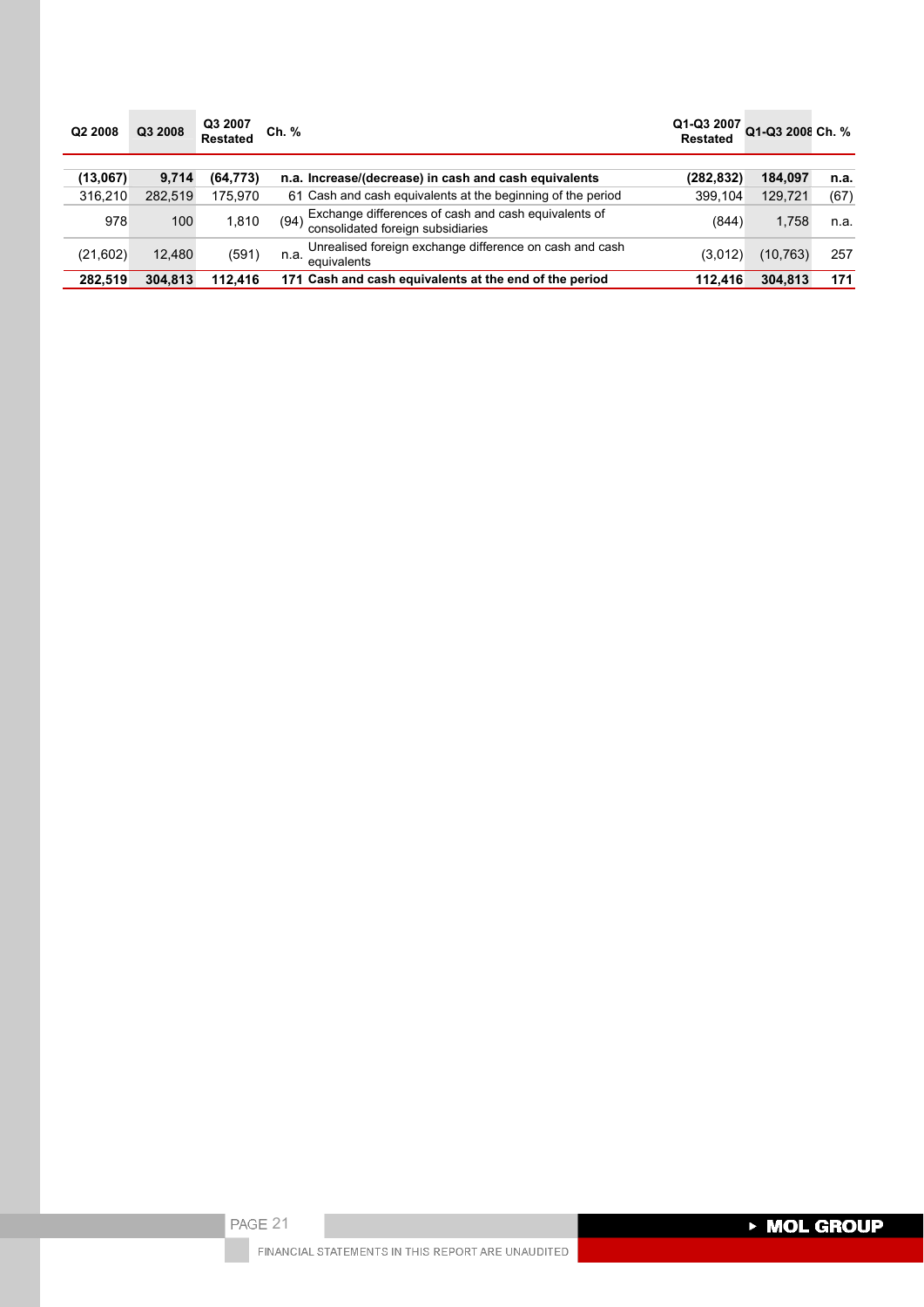| Q2 2008  | Q3 2008 | Q3 2007<br><b>Restated</b> | Ch. %                                                                                             | Q1-Q3 2007<br><b>Restated</b> | Q1-Q3 2008 Ch. % |      |
|----------|---------|----------------------------|---------------------------------------------------------------------------------------------------|-------------------------------|------------------|------|
| (13.067) | 9,714   | (64, 773)                  | n.a. Increase/(decrease) in cash and cash equivalents                                             | (282,832)                     | 184,097          | n.a. |
| 316.210  | 282.519 | 175.970                    | 61 Cash and cash equivalents at the beginning of the period                                       | 399.104                       | 129,721          | (67) |
| 978      | 100     | 1.810                      | Exchange differences of cash and cash equivalents of<br>(94)<br>consolidated foreign subsidiaries | (844)                         | 1,758            | n.a. |
| (21,602) | 12.480  | (591)                      | Unrealised foreign exchange difference on cash and cash<br>n.a.<br>equivalents                    | (3,012)                       | (10,763)         | 257  |
| 282,519  | 304.813 | 112.416                    | 171 Cash and cash equivalents at the end of the period                                            | 112.416                       | 304,813          | 171  |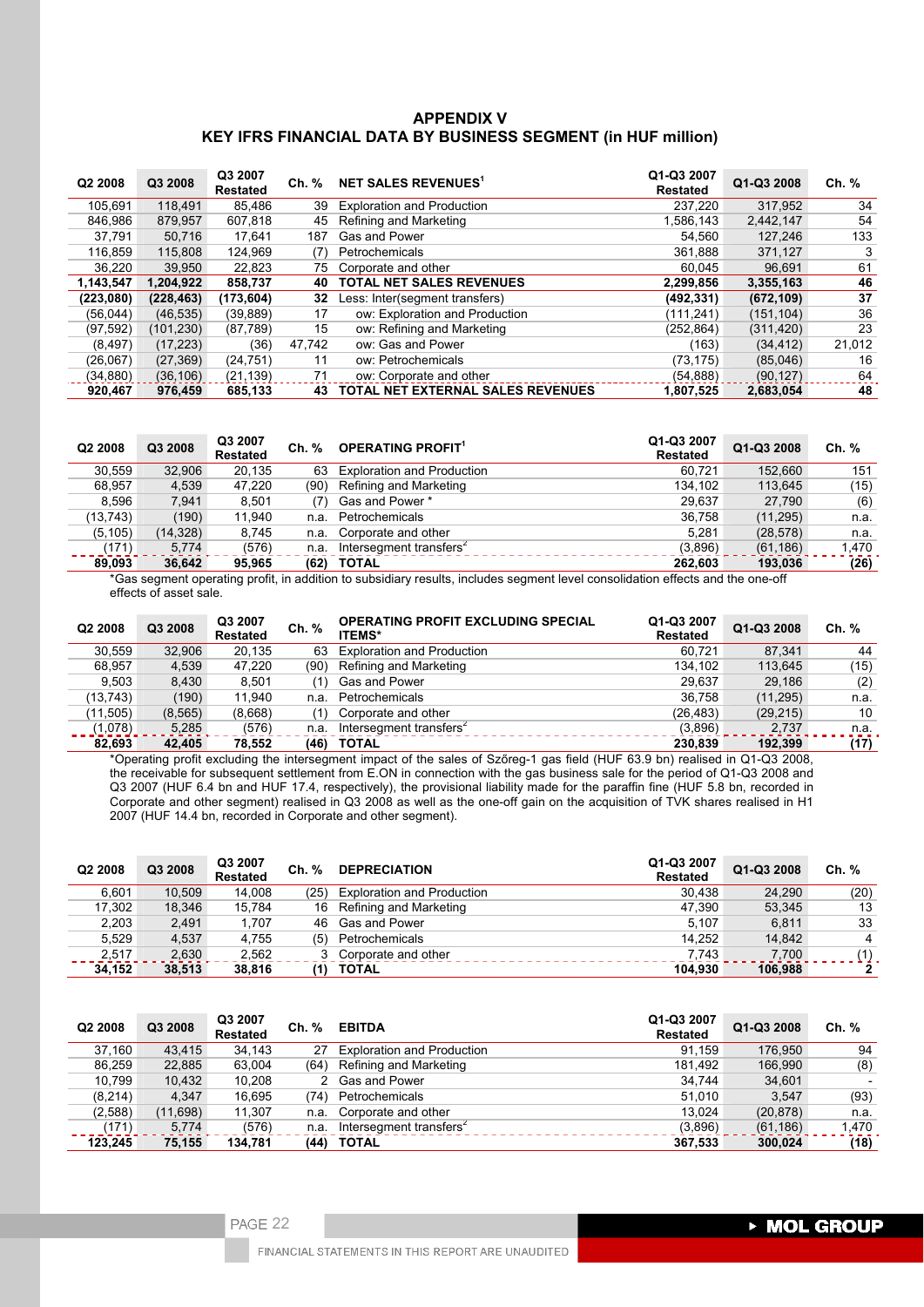# **APPENDIX V KEY IFRS FINANCIAL DATA BY BUSINESS SEGMENT (in HUF million)**

| Q <sub>2</sub> 2008 | Q3 2008    | Q3 2007<br><b>Restated</b> | Ch. %  | NET SALES REVENUES <sup>1</sup>   | Q1-Q3 2007<br><b>Restated</b> | Q1-Q3 2008 | Ch. %  |
|---------------------|------------|----------------------------|--------|-----------------------------------|-------------------------------|------------|--------|
| 105,691             | 118.491    | 85.486                     | 39     | <b>Exploration and Production</b> | 237.220                       | 317,952    | 34     |
| 846.986             | 879.957    | 607.818                    | 45     | Refining and Marketing            | 1.586.143                     | 2.442.147  | 54     |
| 37,791              | 50.716     | 17.641                     | 187    | Gas and Power                     | 54.560                        | 127.246    | 133    |
| 116.859             | 115,808    | 124.969                    | (7)    | Petrochemicals                    | 361.888                       | 371.127    | 3      |
| 36,220              | 39.950     | 22,823                     | 75     | Corporate and other               | 60.045                        | 96,691     | 61     |
| 1.143.547           | 1.204.922  | 858,737                    | 40     | <b>TOTAL NET SALES REVENUES</b>   | 2.299.856                     | 3,355,163  | 46     |
| (223,080)           | (228, 463) | (173, 604)                 | 32     | Less: Inter(segment transfers)    | (492, 331)                    | (672, 109) | 37     |
| (56,044)            | (46, 535)  | (39, 889)                  | 17     | ow: Exploration and Production    | (111, 241)                    | (151, 104) | 36     |
| (97, 592)           | (101,230)  | (87,789)                   | 15     | ow: Refining and Marketing        | (252, 864)                    | (311, 420) | 23     |
| (8, 497)            | (17, 223)  | (36)                       | 47,742 | ow: Gas and Power                 | (163)                         | (34, 412)  | 21,012 |
| (26,067)            | (27, 369)  | (24, 751)                  | 11     | ow: Petrochemicals                | (73, 175)                     | (85,046)   | 16     |
| (34, 880)           | (36, 106)  | (21, 139)                  | 71     | ow: Corporate and other           | (54, 888)                     | (90, 127)  | 64     |
| 920,467             | 976,459    | 685,133                    | 43     | TOTAL NET EXTERNAL SALES REVENUES | 1,807,525                     | 2,683,054  | 48     |

| Q <sub>2</sub> 2008 | Q3 2008  | Q3 2007<br><b>Restated</b> | Ch. % | <b>OPERATING PROFIT1</b>            | Q1-Q3 2007<br><b>Restated</b> | Q1-Q3 2008 | Ch. % |
|---------------------|----------|----------------------------|-------|-------------------------------------|-------------------------------|------------|-------|
| 30.559              | 32.906   | 20.135                     | 63    | <b>Exploration and Production</b>   | 60.721                        | 152.660    | 151   |
| 68.957              | 4,539    | 47,220                     | (90)  | Refining and Marketing              | 134.102                       | 113,645    | (15)  |
| 8.596               | 7.941    | 8.501                      | (7)   | Gas and Power *                     | 29.637                        | 27.790     | (6)   |
| (13, 743)           | (190)    | 11.940                     | n.a.  | Petrochemicals                      | 36.758                        | (11, 295)  | n.a.  |
| (5, 105)            | (14,328) | 8.745                      | n.a.  | Corporate and other                 | 5.281                         | (28, 578)  | n.a.  |
| (171)               | 5.774    | (576)                      | n.a.  | Intersegment transfers <sup>2</sup> | (3,896)                       | (61, 186)  | 1.470 |
| 89,093              | 36.642   | 95.965                     | (62)  | <b>TOTAL</b>                        | 262.603                       | 193,036    | (26)  |

\*Gas segment operating profit, in addition to subsidiary results, includes segment level consolidation effects and the one-off effects of asset sale.

| Q <sub>2</sub> 2008 | Q3 2008  | Q3 2007<br><b>Restated</b> | Ch. % | <b>OPERATING PROFIT EXCLUDING SPECIAL</b><br><b>ITEMS*</b> | Q1-Q3 2007<br><b>Restated</b> | Q1-Q3 2008 | Ch. % |
|---------------------|----------|----------------------------|-------|------------------------------------------------------------|-------------------------------|------------|-------|
| 30.559              | 32.906   | 20.135                     | 63    | <b>Exploration and Production</b>                          | 60.721                        | 87.341     | 44    |
| 68.957              | 4.539    | 47.220                     | (90)  | Refining and Marketing                                     | 134.102                       | 113.645    | (15)  |
| 9.503               | 8.430    | 8.501                      | (1)   | Gas and Power                                              | 29.637                        | 29.186     | (2)   |
| (13, 743)           | (190)    | 11.940                     | n.a.  | Petrochemicals                                             | 36.758                        | (11, 295)  | n.a.  |
| (11, 505)           | (8, 565) | (8,668)                    | (1)   | Corporate and other                                        | (26, 483)                     | (29, 215)  | 10    |
| (1,078)             | 5,285    | (576)                      | n.a.  | Intersegment transfers <sup>2</sup>                        | (3,896)                       | 2.737      | n.a.  |
| 82.693              | 42.405   | 78.552                     | (46)  | <b>TOTAL</b>                                               | 230.839                       | 192.399    | (17)  |

\*Operating profit excluding the intersegment impact of the sales of Szőreg-1 gas field (HUF 63.9 bn) realised in Q1-Q3 2008, the receivable for subsequent settlement from E.ON in connection with the gas business sale for the period of Q1-Q3 2008 and Q3 2007 (HUF 6.4 bn and HUF 17.4, respectively), the provisional liability made for the paraffin fine (HUF 5.8 bn, recorded in Corporate and other segment) realised in Q3 2008 as well as the one-off gain on the acquisition of TVK shares realised in H1 2007 (HUF 14.4 bn, recorded in Corporate and other segment).

| Q <sub>2</sub> 2008 | Q3 2008 | Q3 2007<br><b>Restated</b> | Ch. % | <b>DEPRECIATION</b>               | Q1-Q3 2007<br><b>Restated</b> | Q1-Q3 2008 | Ch. %          |
|---------------------|---------|----------------------------|-------|-----------------------------------|-------------------------------|------------|----------------|
| 6.601               | 10.509  | 14.008                     | (25)  | <b>Exploration and Production</b> | 30.438                        | 24,290     | (20)           |
| 17.302              | 18.346  | 15.784                     |       | 16 Refining and Marketing         | 47.390                        | 53.345     | 13             |
| 2,203               | 2.491   | 1.707                      |       | 46 Gas and Power                  | 5.107                         | 6.811      | 33             |
| 5.529               | 4.537   | 4.755                      | (5)   | Petrochemicals                    | 14.252                        | 14.842     | $\overline{4}$ |
| 2.517               | 2,630   | 2.562                      |       | 3 Corporate and other             | 7.743                         | 7.700      | (1)            |
| 34.152              | 38.513  | 38.816                     | '1)   | <b>TOTAL</b>                      | 104.930                       | 106.988    | 2              |

| Q <sub>2</sub> 2008 | Q3 2008  | Q3 2007<br><b>Restated</b> | Ch. % | <b>EBITDA</b>                       | Q1-Q3 2007<br><b>Restated</b> | Q1-Q3 2008 | Ch. % |
|---------------------|----------|----------------------------|-------|-------------------------------------|-------------------------------|------------|-------|
| 37.160              | 43.415   | 34.143                     | 27    | <b>Exploration and Production</b>   | 91.159                        | 176.950    | 94    |
| 86.259              | 22,885   | 63,004                     | (64)  | Refining and Marketing              | 181.492                       | 166,990    | (8)   |
| 10.799              | 10,432   | 10.208                     |       | 2 Gas and Power                     | 34.744                        | 34,601     |       |
| (8, 214)            | 4.347    | 16.695                     | (74)  | Petrochemicals                      | 51.010                        | 3.547      | (93)  |
| (2,588)             | (11,698) | 11,307                     | n.a.  | Corporate and other                 | 13.024                        | (20, 878)  | n.a.  |
| (171)               | 5.774    | (576)                      | n.a.  | Intersegment transfers <sup>2</sup> | (3,896)                       | (61, 186)  | 1,470 |
| 123.245             | 75,155   | 134,781                    | (44)  | <b>TOTAL</b>                        | 367,533                       | 300,024    | (18)  |

FINANCIAL STATEMENTS IN THIS REPORT ARE UNAUDITED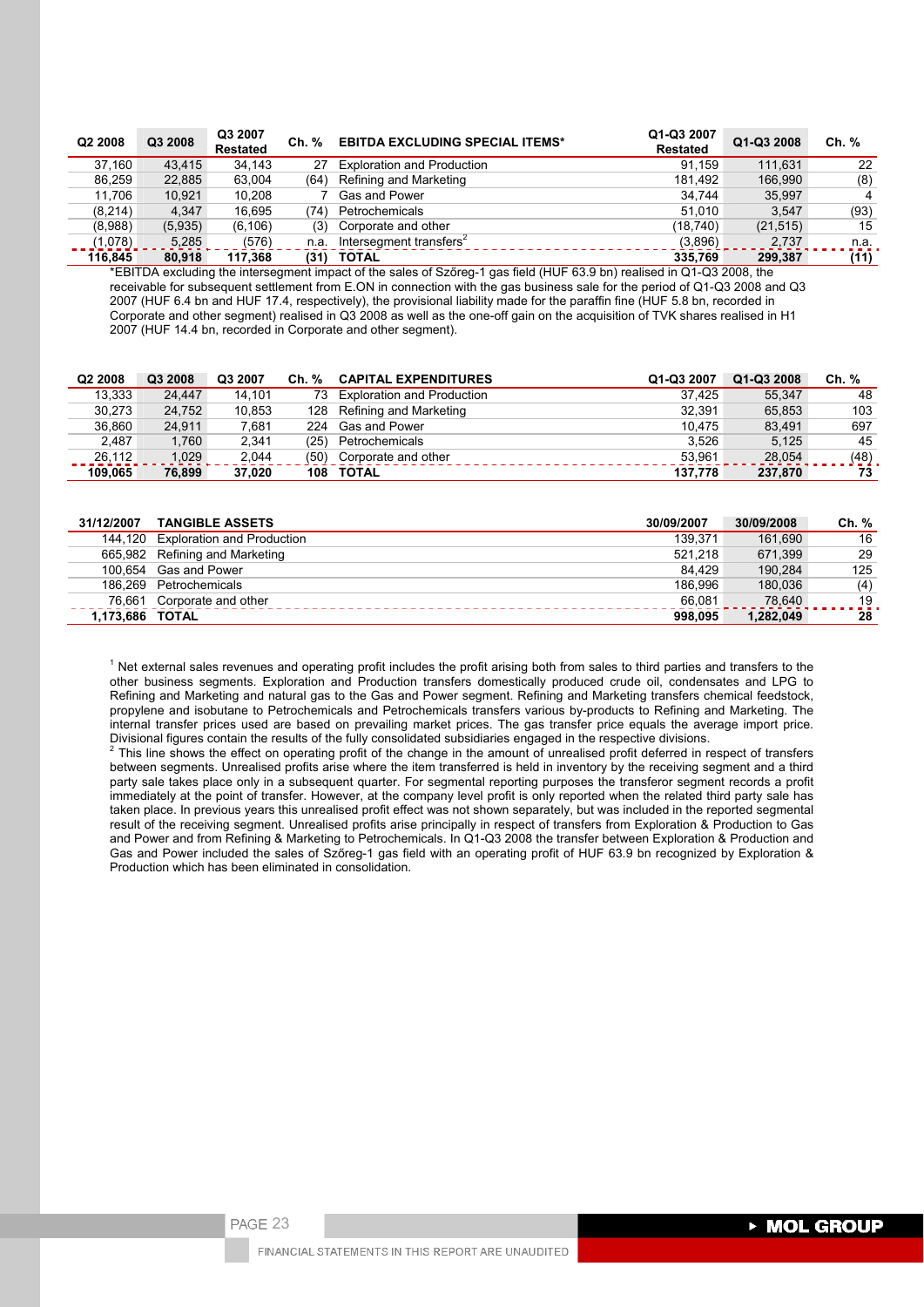| Q <sub>2</sub> 2008 | Q3 2008 | Q3 2007<br><b>Restated</b> | Ch. % | <b>EBITDA EXCLUDING SPECIAL ITEMS*</b> | Q1-Q3 2007<br><b>Restated</b> | Q1-Q3 2008 | Ch. % |
|---------------------|---------|----------------------------|-------|----------------------------------------|-------------------------------|------------|-------|
| 37.160              | 43.415  | 34.143                     | 27    | <b>Exploration and Production</b>      | 91.159                        | 111.631    | 22    |
| 86.259              | 22.885  | 63.004                     | (64)  | Refining and Marketing                 | 181.492                       | 166.990    | (8)   |
| 11.706              | 10.921  | 10.208                     |       | ' Gas and Power                        | 34.744                        | 35.997     | 4     |
| (8,214)             | 4.347   | 16.695                     | 74)   | Petrochemicals                         | 51.010                        | 3.547      | (93)  |
| (8,988)             | (5,935) | (6, 106)                   | (3)   | Corporate and other                    | (18, 740)                     | (21, 515)  | 15    |
| (1,078)             | 5,285   | (576)                      | n.a.  | Intersegment transfers <sup>2</sup>    | (3,896)                       | 2.737      | n.a.  |
| 116.845             | 80.918  | 117.368                    |       | (31) TOTAL                             | 335,769                       | 299.387    | (11)  |

\*EBITDA excluding the intersegment impact of the sales of Szőreg-1 gas field (HUF 63.9 bn) realised in Q1-Q3 2008, the receivable for subsequent settlement from E.ON in connection with the gas business sale for the period of Q1-Q3 2008 and Q3 2007 (HUF 6.4 bn and HUF 17.4, respectively), the provisional liability made for the paraffin fine (HUF 5.8 bn, recorded in Corporate and other segment) realised in Q3 2008 as well as the one-off gain on the acquisition of TVK shares realised in H1 2007 (HUF 14.4 bn, recorded in Corporate and other segment).

| Q <sub>2</sub> 2008 | Q3 2008 | Q3 2007 | Ch. % | <b>CAPITAL EXPENDITURES</b>   | Q1-Q3 2007 | Q1-Q3 2008 | Ch. % |
|---------------------|---------|---------|-------|-------------------------------|------------|------------|-------|
| 13.333              | 24.447  | 14.101  |       | 73 Exploration and Production | 37.425     | 55.347     | 48    |
| 30.273              | 24.752  | 10,853  |       | 128 Refining and Marketing    | 32.391     | 65.853     | 103   |
| 36.860              | 24.911  | 7.681   |       | 224 Gas and Power             | 10.475     | 83.491     | 697   |
| 2.487               | 1.760   | 2.341   | (25)  | Petrochemicals                | 3.526      | 5.125      | 45    |
| 26.112              | 1.029   | 2.044   | (50)  | Corporate and other           | 53.961     | 28.054     | (48)  |
| 109.065             | 76.899  | 37.020  | 108   | TOTAL                         | 137.778    | 237,870    | 73    |

| 31/12/2007      | <b>TANGIBLE ASSETS</b>             | 30/09/2007 | 30/09/2008 | Ch. % |
|-----------------|------------------------------------|------------|------------|-------|
|                 | 144,120 Exploration and Production | 139.371    | 161.690    | 16    |
|                 | 665,982 Refining and Marketing     | 521.218    | 671.399    | 29    |
|                 | 100.654 Gas and Power              | 84.429     | 190.284    | 125   |
|                 | 186.269 Petrochemicals             | 186.996    | 180.036    | (4)   |
| 76.661          | Corporate and other                | 66.081     | 78.640     | 19    |
| 1.173.686 TOTAL |                                    | 998.095    | 1.282.049  | 28    |

 $1$  Net external sales revenues and operating profit includes the profit arising both from sales to third parties and transfers to the other business segments. Exploration and Production transfers domestically produced crude oil, condensates and LPG to Refining and Marketing and natural gas to the Gas and Power segment. Refining and Marketing transfers chemical feedstock, propylene and isobutane to Petrochemicals and Petrochemicals transfers various by-products to Refining and Marketing. The internal transfer prices used are based on prevailing market prices. The gas transfer price equals the average import price. Divisional figures contain the results of the fully consolidated subsidiaries engaged in the respective divisions. 2

 This line shows the effect on operating profit of the change in the amount of unrealised profit deferred in respect of transfers between segments. Unrealised profits arise where the item transferred is held in inventory by the receiving segment and a third party sale takes place only in a subsequent quarter. For segmental reporting purposes the transferor segment records a profit immediately at the point of transfer. However, at the company level profit is only reported when the related third party sale has taken place. In previous years this unrealised profit effect was not shown separately, but was included in the reported segmental result of the receiving segment. Unrealised profits arise principally in respect of transfers from Exploration & Production to Gas and Power and from Refining & Marketing to Petrochemicals. In Q1-Q3 2008 the transfer between Exploration & Production and Gas and Power included the sales of Szőreg-1 gas field with an operating profit of HUF 63.9 bn recognized by Exploration & Production which has been eliminated in consolidation.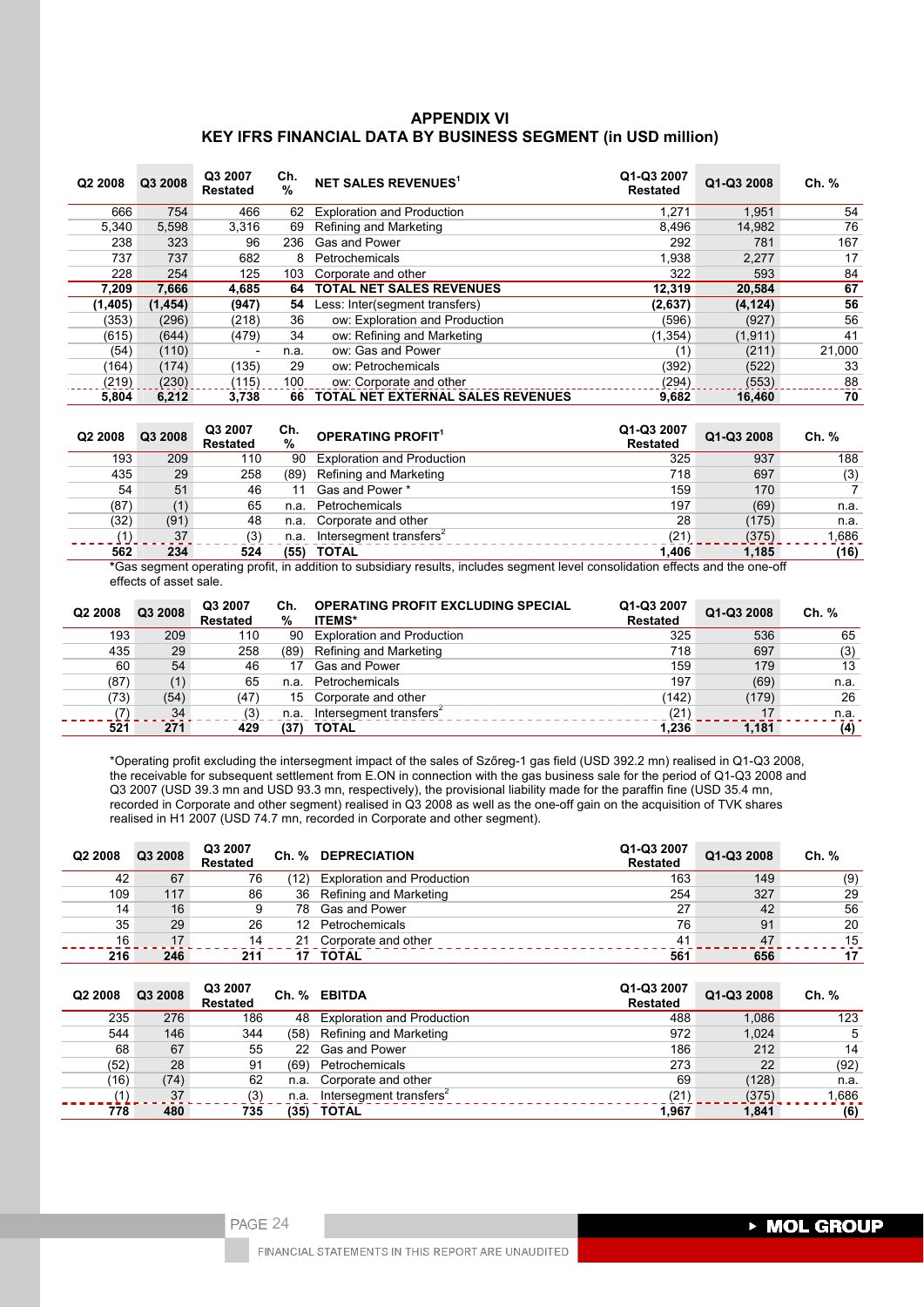# **APPENDIX VI KEY IFRS FINANCIAL DATA BY BUSINESS SEGMENT (in USD million)**

| Q2 2008  | Q3 2008  | Q3 2007<br><b>Restated</b> | Ch.<br>% | NET SALES REVENUES <sup>1</sup>          | Q1-Q3 2007<br><b>Restated</b> | Q1-Q3 2008 | Ch. %  |
|----------|----------|----------------------------|----------|------------------------------------------|-------------------------------|------------|--------|
| 666      | 754      | 466                        | 62       | <b>Exploration and Production</b>        | 1,271                         | 1,951      | 54     |
| 5.340    | 5,598    | 3.316                      | 69       | Refining and Marketing                   | 8,496                         | 14,982     | 76     |
| 238      | 323      | 96                         | 236      | Gas and Power                            | 292                           | 781        | 167    |
| 737      | 737      | 682                        | 8        | Petrochemicals                           | 1,938                         | 2,277      | 17     |
| 228      | 254      | 125                        | 103      | Corporate and other                      | 322                           | 593        | 84     |
| 7,209    | 7,666    | 4,685                      | 64       | <b>TOTAL NET SALES REVENUES</b>          | 12,319                        | 20,584     | 67     |
| (1, 405) | (1, 454) | (947)                      | 54       | Less: Inter(segment transfers)           | (2,637)                       | (4, 124)   | 56     |
| (353)    | (296)    | (218)                      | 36       | ow: Exploration and Production           | (596)                         | (927)      | 56     |
| (615)    | (644)    | (479)                      | 34       | ow: Refining and Marketing               | (1, 354)                      | (1, 911)   | 41     |
| (54)     | (110)    | -                          | n.a.     | ow: Gas and Power                        | (1)                           | (211)      | 21,000 |
| (164)    | (174)    | (135)                      | 29       | ow: Petrochemicals                       | (392)                         | (522)      | 33     |
| (219)    | (230)    | (115)                      | 100      | ow: Corporate and other                  | (294)                         | (553)      | 88     |
| 5.804    | 6.212    | 3.738                      | 66       | <b>TOTAL NET EXTERNAL SALES REVENUES</b> | 9,682                         | 16.460     | 70     |

| Q <sub>2</sub> 2008 | Q3 2008 | Q3 2007<br><b>Restated</b> | Ch.<br>% | <b>OPERATING PROFIT<sup>1</sup></b>                                                                                           | Q1-Q3 2007<br><b>Restated</b> | Q1-Q3 2008 | Ch. % |
|---------------------|---------|----------------------------|----------|-------------------------------------------------------------------------------------------------------------------------------|-------------------------------|------------|-------|
| 193                 | 209     | 110                        | 90       | <b>Exploration and Production</b>                                                                                             | 325                           | 937        | 188   |
| 435                 | 29      | 258                        | (89)     | Refining and Marketing                                                                                                        | 718                           | 697        | (3)   |
| 54                  | 51      | 46                         | 11       | Gas and Power *                                                                                                               | 159                           | 170        |       |
| (87)                | (1)     | 65                         | n.a.     | Petrochemicals                                                                                                                | 197                           | (69)       | n.a.  |
| (32)                | (91)    | 48                         | n.a.     | Corporate and other                                                                                                           | 28                            | (175)      | n.a.  |
|                     | 37      | (3)                        | n.a.     | Intersegment transfers <sup>2</sup>                                                                                           | (21)                          | (375)      | 1,686 |
| 562                 | 234     | 524                        | (55)     | <b>TOTAL</b>                                                                                                                  | 1.406                         | 1.185      | (16)  |
|                     |         |                            |          | $*Co$ e samant sporsting profit in addition to suboidian requite includes segment level sepectidation offects and the ope off |                               |            |       |

**\***Gas segment operating profit, in addition to subsidiary results, includes segment level consolidation effects and the one-off effects of asset sale.

| Q2 2008 | Q3 2008 | Q3 2007<br><b>Restated</b> | Ch.<br>% | <b>OPERATING PROFIT EXCLUDING SPECIAL</b><br><b>ITEMS*</b> | Q1-Q3 2007<br><b>Restated</b> | Q1-Q3 2008 | Ch. % |
|---------|---------|----------------------------|----------|------------------------------------------------------------|-------------------------------|------------|-------|
| 193     | 209     | 110                        | 90       | <b>Exploration and Production</b>                          | 325                           | 536        | 65    |
| 435     | 29      | 258                        | (89)     | Refining and Marketing                                     | 718                           | 697        | (3)   |
| 60      | 54      | 46                         | 17       | <b>Gas and Power</b>                                       | 159                           | 179        | 13    |
| (87)    | (1)     | 65                         | n.a.     | Petrochemicals                                             | 197                           | (69)       | n.a.  |
| (73)    | (54)    | (47)                       |          | 15 Corporate and other                                     | (142)                         | (179)      | 26    |
|         | 34      | (3)                        | n.a.     | Intersegment transfers <sup>2</sup>                        | (21)                          | 17         | n.a.  |
| 521     | 271     | 429                        | (37)     | <b>TOTAL</b>                                               | 1.236                         | 1.181      | (4)   |

\*Operating profit excluding the intersegment impact of the sales of Szőreg-1 gas field (USD 392.2 mn) realised in Q1-Q3 2008, the receivable for subsequent settlement from E.ON in connection with the gas business sale for the period of Q1-Q3 2008 and Q3 2007 (USD 39.3 mn and USD 93.3 mn, respectively), the provisional liability made for the paraffin fine (USD 35.4 mn, recorded in Corporate and other segment) realised in Q3 2008 as well as the one-off gain on the acquisition of TVK shares realised in H1 2007 (USD 74.7 mn, recorded in Corporate and other segment).

| Q2 2008 | Q3 2008 | Q3 2007<br><b>Restated</b> |      | Ch. % DEPRECIATION                | Q1-Q3 2007<br><b>Restated</b> | Q1-Q3 2008 | Ch. % |
|---------|---------|----------------------------|------|-----------------------------------|-------------------------------|------------|-------|
| 42      | 67      | 76                         | '12) | <b>Exploration and Production</b> | 163                           | 149        | (9)   |
| 109     | 117     | 86                         | 36   | Refining and Marketing            | 254                           | 327        | 29    |
| 14      | 16      | 9                          | 78   | Gas and Power                     | 27                            | 42         | 56    |
| 35      | 29      | 26                         | 12   | Petrochemicals                    | 76                            | 91         | 20    |
| 16      | 17      | 14                         | 21   | Corporate and other               | 41                            | 47         | 15    |
| 216     | 246     | 211                        |      | TOTAL                             | 561                           | 656        | 17    |

| Q2 2008 | Q3 2008 | Q3 2007<br><b>Restated</b> |      | Ch. % EBITDA                        | Q1-Q3 2007<br><b>Restated</b> | Q1-Q3 2008 | Ch. %  |
|---------|---------|----------------------------|------|-------------------------------------|-------------------------------|------------|--------|
| 235     | 276     | 186                        | 48   | <b>Exploration and Production</b>   | 488                           | 1.086      | 123    |
| 544     | 146     | 344                        | (58) | Refining and Marketing              | 972                           | 1,024      | 5      |
| 68      | 67      | 55                         | 22   | Gas and Power                       | 186                           | 212        | 14     |
| (52)    | 28      | 91                         | (69) | Petrochemicals                      | 273                           | 22         | (92)   |
| (16)    | (74)    | 62                         | n.a. | Corporate and other                 | 69                            | (128)      | n.a.   |
|         | 37      | (3)                        | n.a. | Intersegment transfers <sup>2</sup> | (21)                          | (375)      | 686. ا |
| 778     | 480     | 735                        | (35) | <b>TOTAL</b>                        | 1.967                         | 1,841      | (6)    |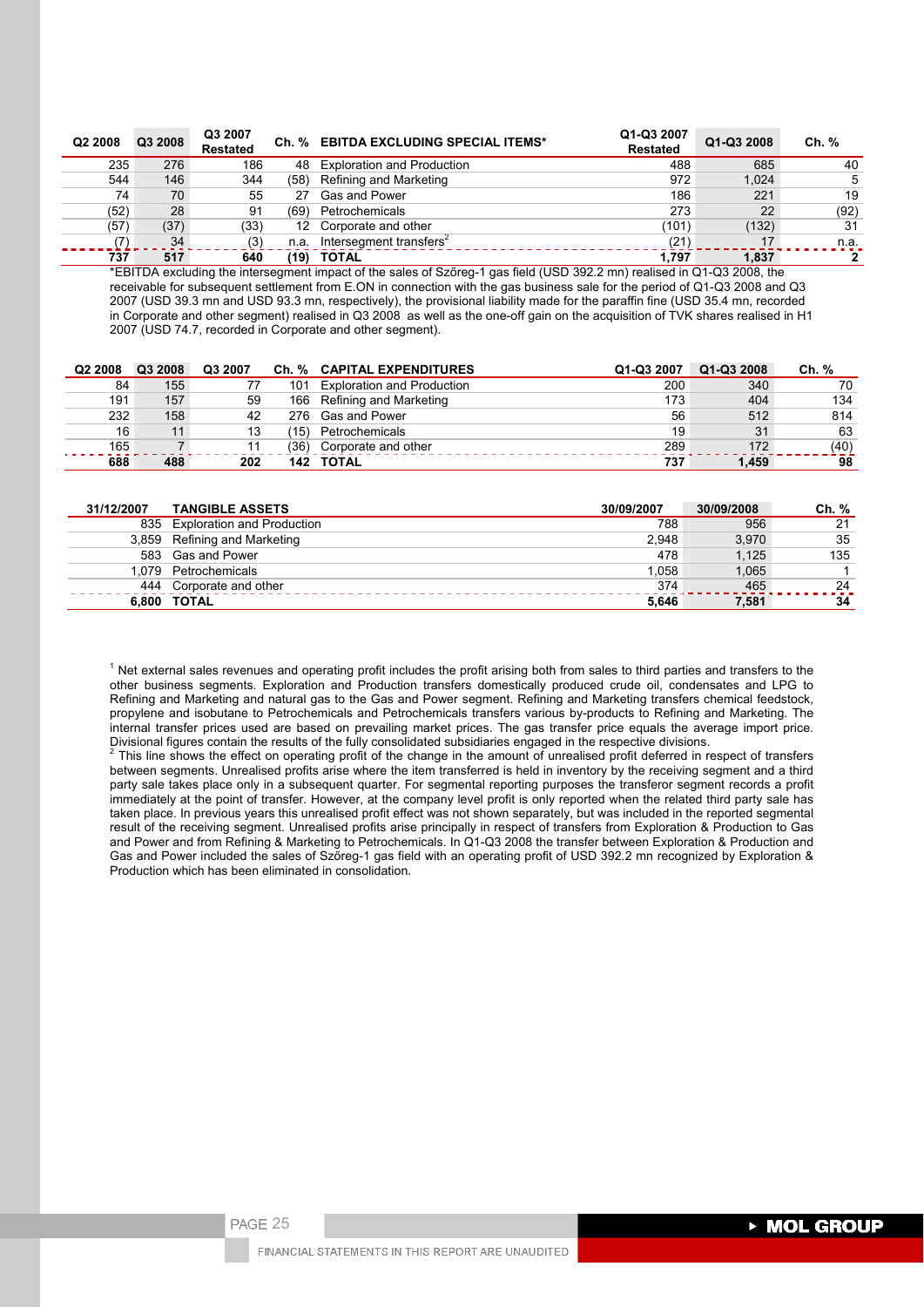| Q2 2008 | Q3 2008 | Q3 2007<br><b>Restated</b> |      | Ch. % EBITDA EXCLUDING SPECIAL ITEMS* | Q1-Q3 2007<br><b>Restated</b> | Q1-Q3 2008 | Ch. % |
|---------|---------|----------------------------|------|---------------------------------------|-------------------------------|------------|-------|
| 235     | 276     | 186                        | 48   | <b>Exploration and Production</b>     | 488                           | 685        | 40    |
| 544     | 146     | 344                        | (58) | Refining and Marketing                | 972                           | 1,024      | 5     |
| 74      | 70      | 55                         | 27   | Gas and Power                         | 186                           | 221        | 19    |
| (52)    | 28      | 91                         | (69) | Petrochemicals                        | 273                           | 22         | (92)  |
| (57)    | (37)    | (33)                       |      | 12 Corporate and other                | (101)                         | (132)      | 31    |
|         | 34      | (3)                        | n.a. | Intersegment transfers <sup>2</sup>   | (21)                          | 17         | n.a.  |
| 737     | 517     | 640                        | (19) | <b>TOTAL</b>                          | 1.797                         | 1.837      | 2     |

\*EBITDA excluding the intersegment impact of the sales of Szőreg-1 gas field (USD 392.2 mn) realised in Q1-Q3 2008, the receivable for subsequent settlement from E.ON in connection with the gas business sale for the period of Q1-Q3 2008 and Q3 2007 (USD 39.3 mn and USD 93.3 mn, respectively), the provisional liability made for the paraffin fine (USD 35.4 mn, recorded in Corporate and other segment) realised in Q3 2008 as well as the one-off gain on the acquisition of TVK shares realised in H1 2007 (USD 74.7, recorded in Corporate and other segment).

| Q <sub>2</sub> 2008 | Q3 2008 | Q3 2007 |      | Ch. % CAPITAL EXPENDITURES        | Q1-Q3 2007 | Q1-Q3 2008 | Ch. % |
|---------------------|---------|---------|------|-----------------------------------|------------|------------|-------|
| 84                  | 155     |         | 101  | <b>Exploration and Production</b> | 200        | 340        | 70    |
| 191                 | 157     | 59      | 166  | Refining and Marketing            | 173        | 404        | 134   |
| 232                 | 158     | 42      | 276. | Gas and Power                     | 56         | 512        | 814   |
| 16                  | 11      | 13      | '15) | Petrochemicals                    | 19         | 31         | 63    |
| 165                 |         |         | (36) | Corporate and other               | 289        | 172        | (40)  |
| 688                 | 488     | 202     |      | 142 TOTAL                         | 737        | 1.459      | 98    |

| 31/12/2007 | <b>TANGIBLE ASSETS</b>         | 30/09/2007 | 30/09/2008 | Ch. % |
|------------|--------------------------------|------------|------------|-------|
|            | 835 Exploration and Production | 788        | 956        | 21    |
|            | 3,859 Refining and Marketing   | 2.948      | 3.970      | 35    |
|            | 583 Gas and Power              | 478        | 1.125      | 135   |
|            | 1.079 Petrochemicals           | 1.058      | 1.065      |       |
|            | 444 Corporate and other        | 374        | 465        | 24    |
|            | 6.800 TOTAL                    | 5.646      | 7,581      | 34    |

 $1$  Net external sales revenues and operating profit includes the profit arising both from sales to third parties and transfers to the other business segments. Exploration and Production transfers domestically produced crude oil, condensates and LPG to Refining and Marketing and natural gas to the Gas and Power segment. Refining and Marketing transfers chemical feedstock, propylene and isobutane to Petrochemicals and Petrochemicals transfers various by-products to Refining and Marketing. The internal transfer prices used are based on prevailing market prices. The gas transfer price equals the average import price. Divisional figures contain the results of the fully consolidated subsidiaries engaged in the respective divisions. 2

This line shows the effect on operating profit of the change in the amount of unrealised profit deferred in respect of transfers between segments. Unrealised profits arise where the item transferred is held in inventory by the receiving segment and a third party sale takes place only in a subsequent quarter. For segmental reporting purposes the transferor segment records a profit immediately at the point of transfer. However, at the company level profit is only reported when the related third party sale has taken place. In previous years this unrealised profit effect was not shown separately, but was included in the reported segmental result of the receiving segment. Unrealised profits arise principally in respect of transfers from Exploration & Production to Gas and Power and from Refining & Marketing to Petrochemicals. In Q1-Q3 2008 the transfer between Exploration & Production and Gas and Power included the sales of Szőreg-1 gas field with an operating profit of USD 392.2 mn recognized by Exploration & Production which has been eliminated in consolidation.

PAGE 25

**MOL GROUP** 

FINANCIAL STATEMENTS IN THIS REPORT ARE UNAUDITED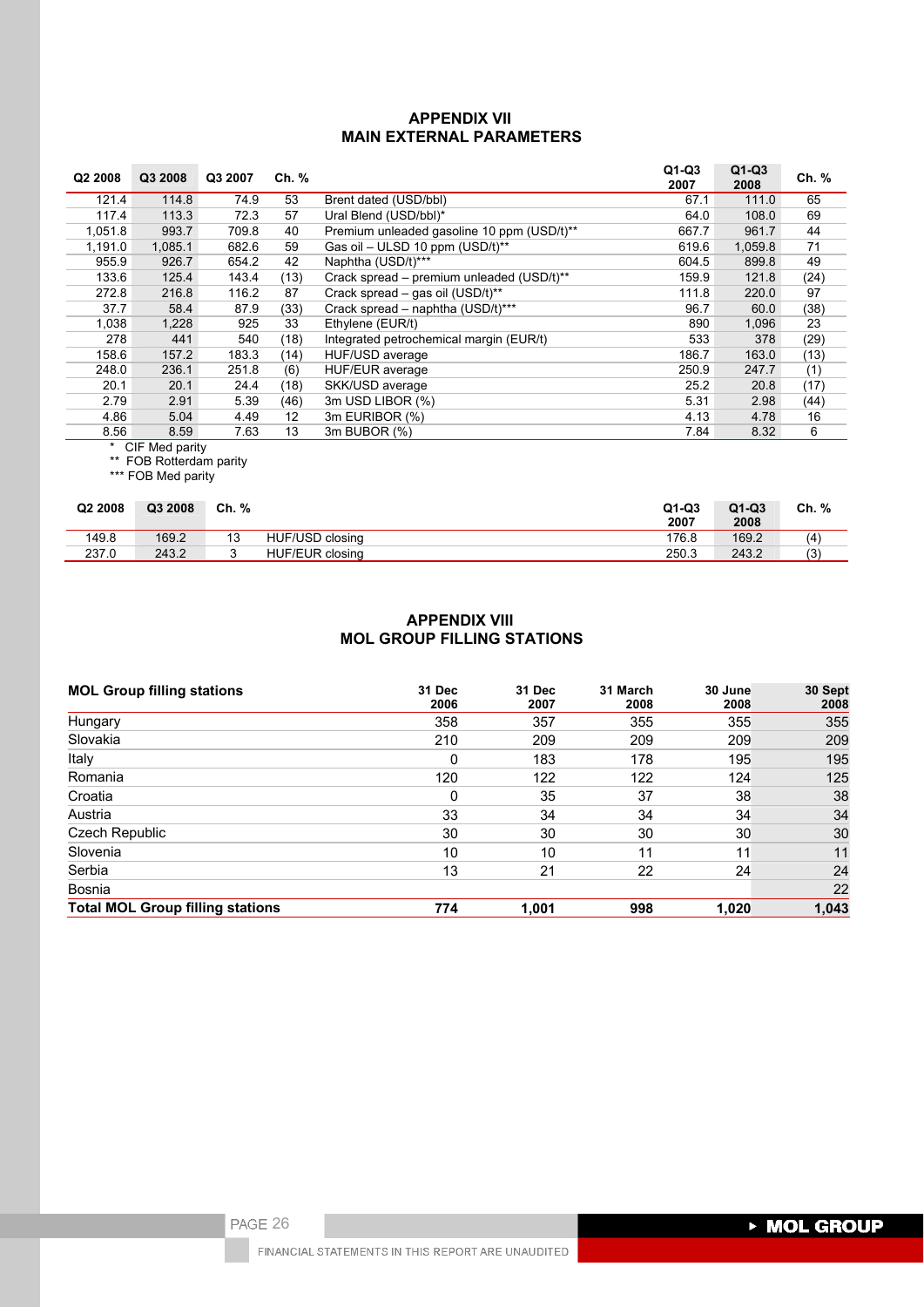## **APPENDIX VII MAIN EXTERNAL PARAMETERS**

| Q <sub>2</sub> 2008 | Q3 2008 | Q3 2007 | Ch. % |                                            | $Q1-Q3$<br>2007 | $Q1-Q3$<br>2008 | Ch. % |
|---------------------|---------|---------|-------|--------------------------------------------|-----------------|-----------------|-------|
| 121.4               | 114.8   | 74.9    | 53    | Brent dated (USD/bbl)                      | 67.1            | 111.0           | 65    |
| 117.4               | 113.3   | 72.3    | 57    | Ural Blend (USD/bbl)*                      | 64.0            | 108.0           | 69    |
| 1,051.8             | 993.7   | 709.8   | 40    | Premium unleaded gasoline 10 ppm (USD/t)** | 667.7           | 961.7           | 44    |
| 1,191.0             | 1,085.1 | 682.6   | 59    | Gas oil - ULSD 10 ppm (USD/t)**            | 619.6           | 1,059.8         | 71    |
| 955.9               | 926.7   | 654.2   | 42    | Naphtha (USD/t)***                         | 604.5           | 899.8           | 49    |
| 133.6               | 125.4   | 143.4   | (13)  | Crack spread – premium unleaded (USD/t)**  | 159.9           | 121.8           | (24)  |
| 272.8               | 216.8   | 116.2   | 87    | Crack spread - gas oil (USD/t)**           | 111.8           | 220.0           | 97    |
| 37.7                | 58.4    | 87.9    | (33)  | Crack spread – naphtha (USD/t)***          | 96.7            | 60.0            | (38)  |
| 1,038               | 1,228   | 925     | 33    | Ethylene (EUR/t)                           | 890             | 1,096           | 23    |
| 278                 | 441     | 540     | (18)  | Integrated petrochemical margin (EUR/t)    | 533             | 378             | (29)  |
| 158.6               | 157.2   | 183.3   | (14)  | HUF/USD average                            | 186.7           | 163.0           | (13)  |
| 248.0               | 236.1   | 251.8   | (6)   | HUF/EUR average                            | 250.9           | 247.7           | (1)   |
| 20.1                | 20.1    | 24.4    | (18)  | SKK/USD average                            | 25.2            | 20.8            | (17)  |
| 2.79                | 2.91    | 5.39    | (46)  | 3m USD LIBOR (%)                           | 5.31            | 2.98            | (44)  |
| 4.86                | 5.04    | 4.49    | 12    | 3m EURIBOR (%)                             | 4.13            | 4.78            | 16    |
| 8.56                | 8.59    | 7.63    | 13    | 3m BUBOR (%)                               | 7.84            | 8.32            | 6     |

\* CIF Med parity

\*\* FOB Rotterdam parity

\*\*\* FOB Med parity

| Q <sub>2</sub> 2008 | Q3 2008 | Ch. % |                        | $Q1-Q3$<br>2007 | $Q1-Q3$<br>2008 | Ch. % |
|---------------------|---------|-------|------------------------|-----------------|-----------------|-------|
| 149.8               | 169.2   | ں ا   | HUF/USD closing        | 176.8           | 169.2           | (4)   |
| 237.0               | 243.2   | ັ     | <b>HUF/EUR closing</b> | 250.3           | 243.2           | (3)   |

# **APPENDIX VIII MOL GROUP FILLING STATIONS**

| <b>MOL Group filling stations</b>       | 31 Dec<br>2006 | 31 Dec<br>2007 | 31 March<br>2008 | 30 June<br>2008 | 30 Sept<br>2008 |
|-----------------------------------------|----------------|----------------|------------------|-----------------|-----------------|
| Hungary                                 | 358            | 357            | 355              | 355             | 355             |
| Slovakia                                | 210            | 209            | 209              | 209             | 209             |
| Italy                                   | 0              | 183            | 178              | 195             | 195             |
| Romania                                 | 120            | 122            | 122              | 124             | 125             |
| Croatia                                 | 0              | 35             | 37               | 38              | 38              |
| Austria                                 | 33             | 34             | 34               | 34              | 34              |
| Czech Republic                          | 30             | 30             | 30               | 30              | 30              |
| Slovenia                                | 10             | 10             | 11               | 11              | 11              |
| Serbia                                  | 13             | 21             | 22               | 24              | 24              |
| Bosnia                                  |                |                |                  |                 | 22              |
| <b>Total MOL Group filling stations</b> | 774            | 1,001          | 998              | 1.020           | 1,043           |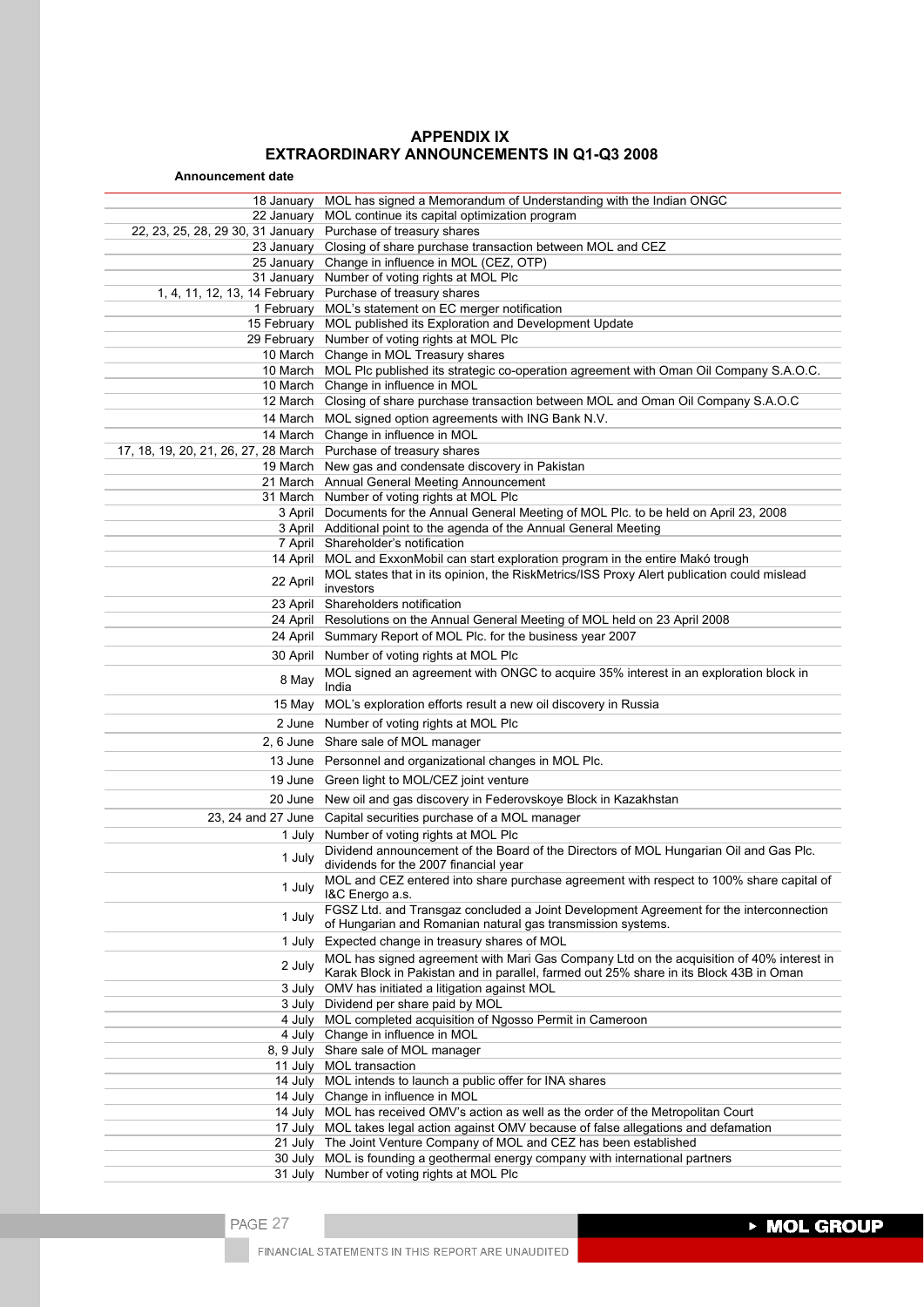# **APPENDIX IX EXTRAORDINARY ANNOUNCEMENTS IN Q1-Q3 2008**

| <b>Announcement date</b>                                         |                                                                                                            |
|------------------------------------------------------------------|------------------------------------------------------------------------------------------------------------|
| 18 January                                                       | MOL has signed a Memorandum of Understanding with the Indian ONGC                                          |
| 22 January                                                       | MOL continue its capital optimization program                                                              |
| 22, 23, 25, 28, 29 30, 31 January Purchase of treasury shares    |                                                                                                            |
|                                                                  | 23 January Closing of share purchase transaction between MOL and CEZ                                       |
|                                                                  | 25 January Change in influence in MOL (CEZ, OTP)                                                           |
|                                                                  | 31 January Number of voting rights at MOL Plc                                                              |
| 1, 4, 11, 12, 13, 14 February Purchase of treasury shares        |                                                                                                            |
| 1 February                                                       | MOL's statement on EC merger notification                                                                  |
|                                                                  | 15 February MOL published its Exploration and Development Update                                           |
|                                                                  | 29 February Number of voting rights at MOL Plc                                                             |
|                                                                  | 10 March Change in MOL Treasury shares                                                                     |
|                                                                  | 10 March MOL Plc published its strategic co-operation agreement with Oman Oil Company S.A.O.C.             |
|                                                                  | 10 March Change in influence in MOL                                                                        |
|                                                                  | 12 March Closing of share purchase transaction between MOL and Oman Oil Company S.A.O.C                    |
|                                                                  | 14 March MOL signed option agreements with ING Bank N.V.                                                   |
| 17, 18, 19, 20, 21, 26, 27, 28 March Purchase of treasury shares | 14 March Change in influence in MOL                                                                        |
|                                                                  | 19 March New gas and condensate discovery in Pakistan                                                      |
|                                                                  | 21 March Annual General Meeting Announcement                                                               |
|                                                                  | 31 March Number of voting rights at MOL Plc                                                                |
|                                                                  | 3 April Documents for the Annual General Meeting of MOL Plc. to be held on April 23, 2008                  |
|                                                                  | 3 April Additional point to the agenda of the Annual General Meeting                                       |
|                                                                  | 7 April Shareholder's notification                                                                         |
|                                                                  | 14 April MOL and ExxonMobil can start exploration program in the entire Makó trough                        |
| 22 April                                                         | MOL states that in its opinion, the RiskMetrics/ISS Proxy Alert publication could mislead                  |
|                                                                  | investors                                                                                                  |
| 23 April                                                         | Shareholders notification                                                                                  |
|                                                                  | 24 April Resolutions on the Annual General Meeting of MOL held on 23 April 2008                            |
|                                                                  | 24 April Summary Report of MOL Plc. for the business year 2007                                             |
| 30 April                                                         | Number of voting rights at MOL Plc                                                                         |
| 8 May                                                            | MOL signed an agreement with ONGC to acquire 35% interest in an exploration block in                       |
|                                                                  | India                                                                                                      |
| 15 May                                                           | MOL's exploration efforts result a new oil discovery in Russia                                             |
|                                                                  | 2 June Number of voting rights at MOL Plc                                                                  |
|                                                                  | 2, 6 June Share sale of MOL manager                                                                        |
|                                                                  | 13 June Personnel and organizational changes in MOL Plc.                                                   |
|                                                                  | 19 June Green light to MOL/CEZ joint venture                                                               |
|                                                                  | 20 June New oil and gas discovery in Federovskoye Block in Kazakhstan                                      |
|                                                                  | 23, 24 and 27 June Capital securities purchase of a MOL manager                                            |
| 1 July                                                           | Number of voting rights at MOL Plc                                                                         |
| 1 July                                                           | Dividend announcement of the Board of the Directors of MOL Hungarian Oil and Gas Plc.                      |
|                                                                  | dividends for the 2007 financial year                                                                      |
| 1 July                                                           | MOL and CEZ entered into share purchase agreement with respect to 100% share capital of<br>I&C Energo a.s. |
|                                                                  | FGSZ Ltd. and Transgaz concluded a Joint Development Agreement for the interconnection                     |
| 1 July                                                           | of Hungarian and Romanian natural gas transmission systems.                                                |
| 1 July                                                           | Expected change in treasury shares of MOL                                                                  |
| 2 July                                                           | MOL has signed agreement with Mari Gas Company Ltd on the acquisition of 40% interest in                   |
|                                                                  | Karak Block in Pakistan and in parallel, farmed out 25% share in its Block 43B in Oman                     |
| 3 July                                                           | OMV has initiated a litigation against MOL                                                                 |
|                                                                  | 3 July Dividend per share paid by MOL                                                                      |
| 4 July                                                           | MOL completed acquisition of Ngosso Permit in Cameroon                                                     |
|                                                                  | 4 July Change in influence in MOL<br>8, 9 July Share sale of MOL manager                                   |
| 11 July                                                          | MOL transaction                                                                                            |
|                                                                  | 14 July MOL intends to launch a public offer for INA shares                                                |
|                                                                  | 14 July Change in influence in MOL                                                                         |
|                                                                  | 14 July MOL has received OMV's action as well as the order of the Metropolitan Court                       |
|                                                                  | 17 July MOL takes legal action against OMV because of false allegations and defamation                     |
|                                                                  | 21 July The Joint Venture Company of MOL and CEZ has been established                                      |
| 30 July                                                          | MOL is founding a geothermal energy company with international partners                                    |
|                                                                  | 31 July Number of voting rights at MOL Plc                                                                 |

▶ MOL GROUP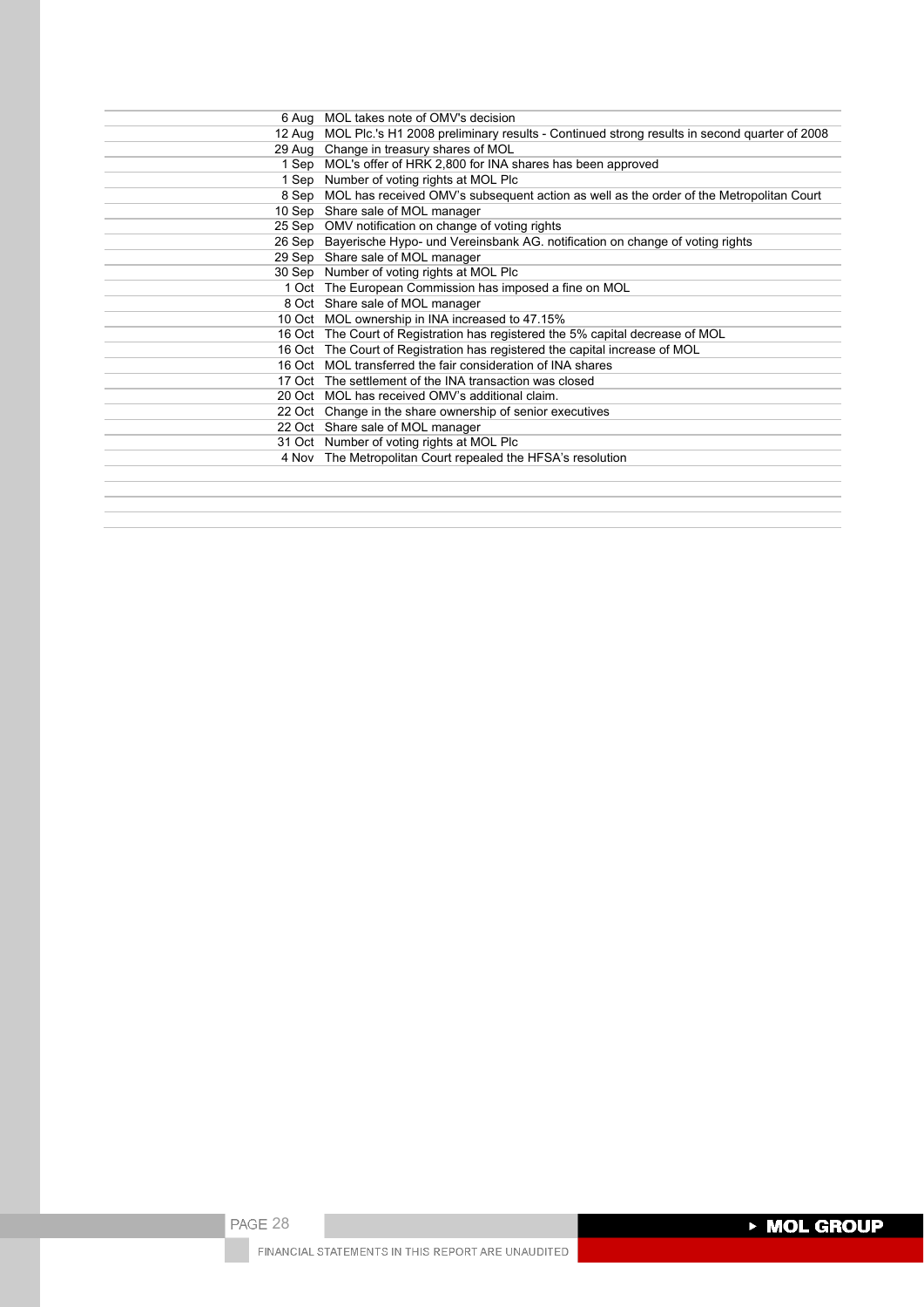| 6 Aug MOL takes note of OMV's decision                                                             |
|----------------------------------------------------------------------------------------------------|
| 12 Aug MOL Plc.'s H1 2008 preliminary results - Continued strong results in second quarter of 2008 |
| 29 Aug Change in treasury shares of MOL                                                            |
| 1 Sep MOL's offer of HRK 2,800 for INA shares has been approved                                    |
| 1 Sep Number of voting rights at MOL Plc                                                           |
| 8 Sep MOL has received OMV's subsequent action as well as the order of the Metropolitan Court      |
| 10 Sep Share sale of MOL manager                                                                   |
| 25 Sep OMV notification on change of voting rights                                                 |
| 26 Sep Bayerische Hypo- und Vereinsbank AG. notification on change of voting rights                |
| 29 Sep Share sale of MOL manager                                                                   |
| 30 Sep Number of voting rights at MOL Plc                                                          |
| 1 Oct The European Commission has imposed a fine on MOL                                            |
| 8 Oct Share sale of MOL manager                                                                    |
| 10 Oct MOL ownership in INA increased to 47.15%                                                    |
| 16 Oct The Court of Registration has registered the 5% capital decrease of MOL                     |
| 16 Oct The Court of Registration has registered the capital increase of MOL                        |
| 16 Oct MOL transferred the fair consideration of INA shares                                        |
| 17 Oct The settlement of the INA transaction was closed                                            |
| 20 Oct MOL has received OMV's additional claim.                                                    |
| 22 Oct Change in the share ownership of senior executives                                          |
| 22 Oct Share sale of MOL manager                                                                   |
| 31 Oct Number of voting rights at MOL Plc                                                          |
| 4 Nov The Metropolitan Court repealed the HFSA's resolution                                        |
|                                                                                                    |
|                                                                                                    |
|                                                                                                    |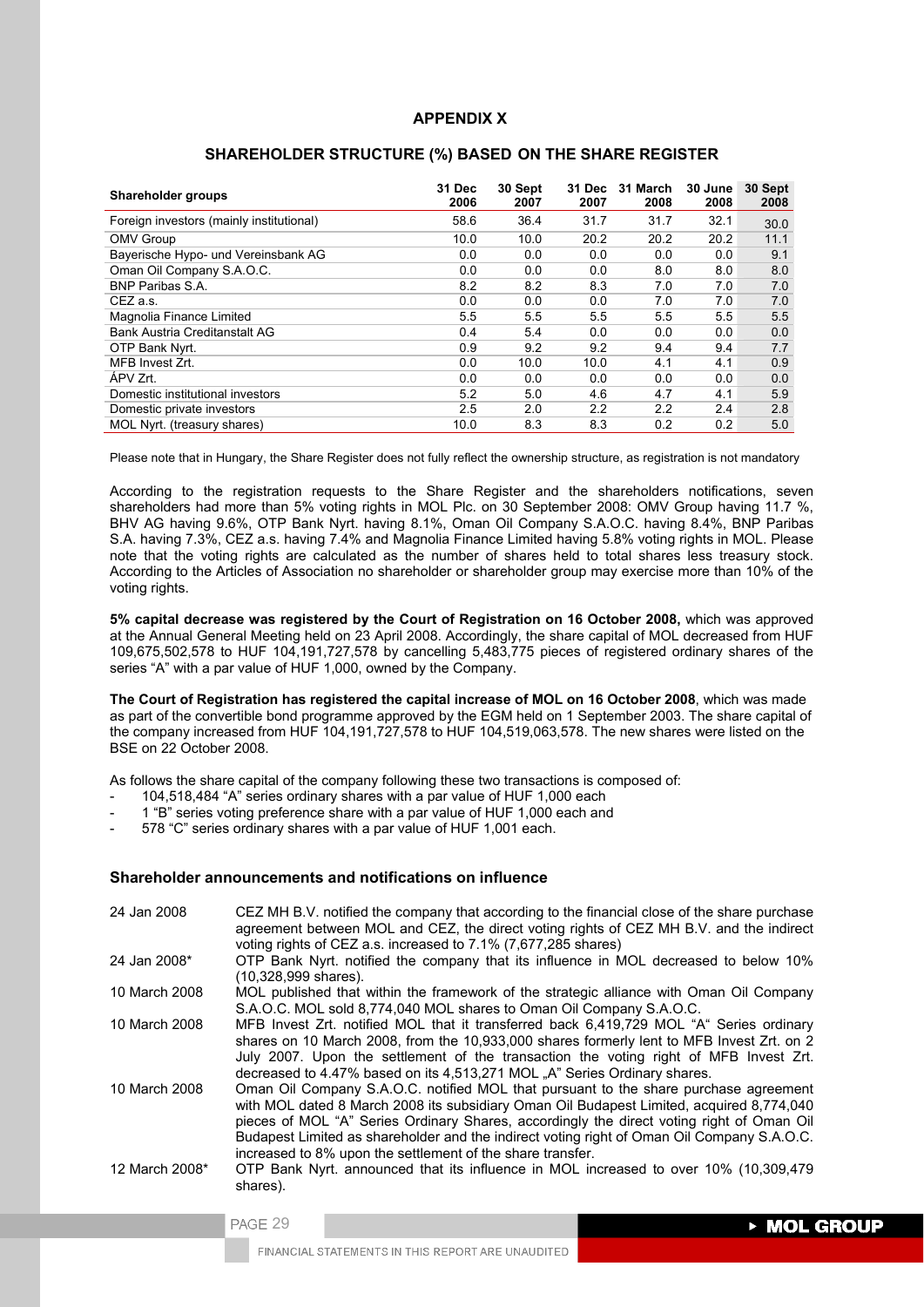## **APPENDIX X**

| Shareholder groups                       | 31 Dec<br>2006 | 30 Sept<br>2007 | 31 Dec<br>2007 | 31 March<br>2008 | 30 June<br>2008 | 30 Sept<br>2008 |
|------------------------------------------|----------------|-----------------|----------------|------------------|-----------------|-----------------|
| Foreign investors (mainly institutional) | 58.6           | 36.4            | 31.7           | 31.7             | 32.1            | 30.0            |
| <b>OMV Group</b>                         | 10.0           | 10.0            | 20.2           | 20.2             | 20.2            | 11.1            |
| Bayerische Hypo- und Vereinsbank AG      | 0.0            | 0.0             | 0.0            | 0.0              | 0.0             | 9.1             |
| Oman Oil Company S.A.O.C.                | 0.0            | 0.0             | 0.0            | 8.0              | 8.0             | 8.0             |
| <b>BNP Paribas S.A.</b>                  | 8.2            | 8.2             | 8.3            | 7.0              | 7.0             | 7.0             |
| CEZ a.s.                                 | 0.0            | 0.0             | 0.0            | 7.0              | 7.0             | 7.0             |
| Magnolia Finance Limited                 | 5.5            | 5.5             | 5.5            | 5.5              | 5.5             | 5.5             |
| Bank Austria Creditanstalt AG            | 0.4            | 5.4             | 0.0            | 0.0              | 0.0             | 0.0             |
| OTP Bank Nyrt.                           | 0.9            | 9.2             | 9.2            | 9.4              | 9.4             | 7.7             |
| MFB Invest Zrt.                          | 0.0            | 10.0            | 10.0           | 4.1              | 4.1             | 0.9             |
| ÁPV Zrt.                                 | 0.0            | 0.0             | 0.0            | 0.0              | 0.0             | 0.0             |
| Domestic institutional investors         | 5.2            | 5.0             | 4.6            | 4.7              | 4.1             | 5.9             |
| Domestic private investors               | 2.5            | 2.0             | 2.2            | 2.2              | 2.4             | 2.8             |
| MOL Nyrt. (treasury shares)              | 10.0           | 8.3             | 8.3            | 0.2              | $0.2^{\circ}$   | 5.0             |

### **SHAREHOLDER STRUCTURE (%) BASED ON THE SHARE REGISTER**

Please note that in Hungary, the Share Register does not fully reflect the ownership structure, as registration is not mandatory

According to the registration requests to the Share Register and the shareholders notifications, seven shareholders had more than 5% voting rights in MOL Plc. on 30 September 2008: OMV Group having 11.7 %, BHV AG having 9.6%, OTP Bank Nyrt. having 8.1%, Oman Oil Company S.A.O.C. having 8.4%, BNP Paribas S.A. having 7.3%, CEZ a.s. having 7.4% and Magnolia Finance Limited having 5.8% voting rights in MOL. Please note that the voting rights are calculated as the number of shares held to total shares less treasury stock. According to the Articles of Association no shareholder or shareholder group may exercise more than 10% of the voting rights.

**5% capital decrease was registered by the Court of Registration on 16 October 2008,** which was approved at the Annual General Meeting held on 23 April 2008. Accordingly, the share capital of MOL decreased from HUF 109,675,502,578 to HUF 104,191,727,578 by cancelling 5,483,775 pieces of registered ordinary shares of the series "A" with a par value of HUF 1,000, owned by the Company.

**The Court of Registration has registered the capital increase of MOL on 16 October 2008**, which was made as part of the convertible bond programme approved by the EGM held on 1 September 2003. The share capital of the company increased from HUF 104,191,727,578 to HUF 104,519,063,578. The new shares were listed on the BSE on 22 October 2008.

As follows the share capital of the company following these two transactions is composed of:

- 104,518,484 "A" series ordinary shares with a par value of HUF 1,000 each
- 1 "B" series voting preference share with a par value of HUF 1,000 each and
- 578 "C" series ordinary shares with a par value of HUF 1,001 each.

### **Shareholder announcements and notifications on influence**

| 24 Jan 2008    | CEZ MH B.V. notified the company that according to the financial close of the share purchase<br>agreement between MOL and CEZ, the direct voting rights of CEZ MH B.V. and the indirect<br>voting rights of CEZ a.s. increased to 7.1% (7,677,285 shares)                                                                                                                                                                                 |
|----------------|-------------------------------------------------------------------------------------------------------------------------------------------------------------------------------------------------------------------------------------------------------------------------------------------------------------------------------------------------------------------------------------------------------------------------------------------|
| 24 Jan 2008*   | OTP Bank Nyrt. notified the company that its influence in MOL decreased to below 10%<br>(10.328.999 shares).                                                                                                                                                                                                                                                                                                                              |
| 10 March 2008  | MOL published that within the framework of the strategic alliance with Oman Oil Company<br>S.A.O.C. MOL sold 8,774,040 MOL shares to Oman Oil Company S.A.O.C.                                                                                                                                                                                                                                                                            |
| 10 March 2008  | MFB Invest Zrt. notified MOL that it transferred back 6,419,729 MOL "A" Series ordinary<br>shares on 10 March 2008, from the 10,933,000 shares formerly lent to MFB Invest Zrt. on 2<br>July 2007. Upon the settlement of the transaction the voting right of MFB Invest Zrt.<br>decreased to 4.47% based on its 4,513,271 MOL "A" Series Ordinary shares.                                                                                |
| 10 March 2008  | Oman Oil Company S.A.O.C. notified MOL that pursuant to the share purchase agreement<br>with MOL dated 8 March 2008 its subsidiary Oman Oil Budapest Limited, acquired 8,774,040<br>pieces of MOL "A" Series Ordinary Shares, accordingly the direct voting right of Oman Oil<br>Budapest Limited as shareholder and the indirect voting right of Oman Oil Company S.A.O.C.<br>increased to 8% upon the settlement of the share transfer. |
| 12 March 2008* | OTP Bank Nyrt. announced that its influence in MOL increased to over 10% (10,309,479<br>shares).                                                                                                                                                                                                                                                                                                                                          |